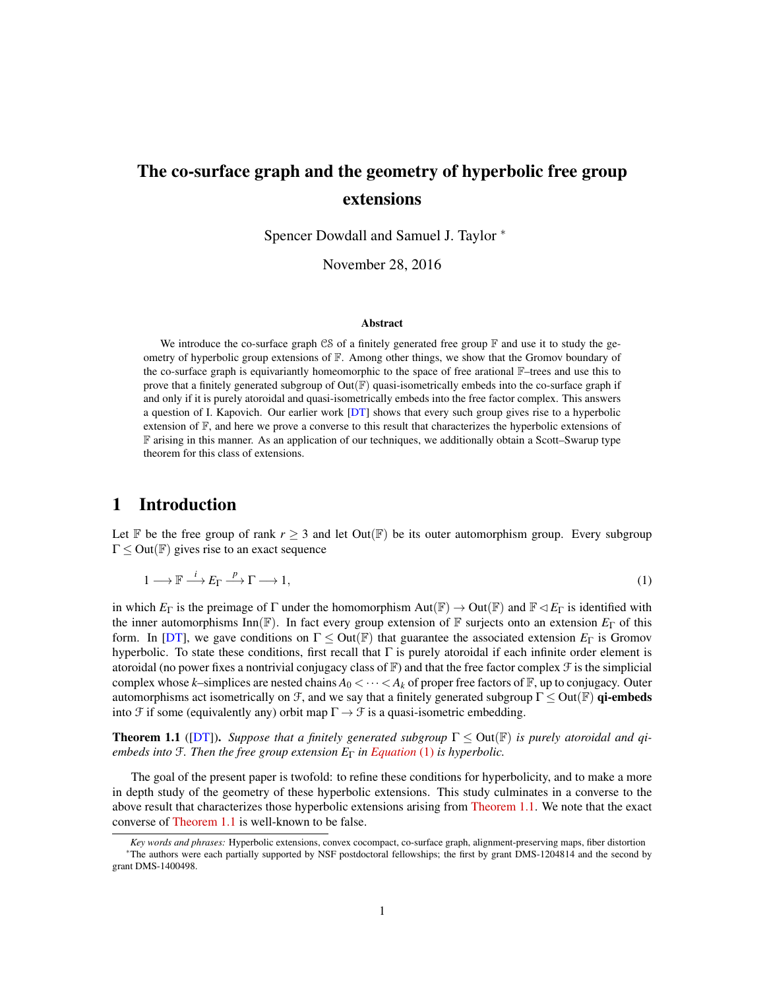# The co-surface graph and the geometry of hyperbolic free group extensions

Spencer Dowdall and Samuel J. Taylor <sup>∗</sup>

November 28, 2016

#### <span id="page-0-0"></span>Abstract

We introduce the co-surface graph  $\mathcal{CS}$  of a finitely generated free group  $\mathbb F$  and use it to study the geometry of hyperbolic group extensions of F. Among other things, we show that the Gromov boundary of the co-surface graph is equivariantly homeomorphic to the space of free arational F–trees and use this to prove that a finitely generated subgroup of  $Out(\mathbb{F})$  quasi-isometrically embeds into the co-surface graph if and only if it is purely atoroidal and quasi-isometrically embeds into the free factor complex. This answers a question of I. Kapovich. Our earlier work [\[DT\]](#page-31-0) shows that every such group gives rise to a hyperbolic extension of  $\mathbb{F}$ , and here we prove a converse to this result that characterizes the hyperbolic extensions of F arising in this manner. As an application of our techniques, we additionally obtain a Scott–Swarup type theorem for this class of extensions.

### 1 Introduction

Let F be the free group of rank  $r \geq 3$  and let Out(F) be its outer automorphism group. Every subgroup  $\Gamma \leq Out(\mathbb{F})$  gives rise to an exact sequence

$$
1 \longrightarrow \mathbb{F} \xrightarrow{i} E_{\Gamma} \xrightarrow{p} \Gamma \longrightarrow 1,
$$
\n<sup>(1)</sup>

in which  $E_{\Gamma}$  is the preimage of  $\Gamma$  under the homomorphism Aut( $\mathbb{F}) \to$  Out( $\mathbb{F})$  and  $\mathbb{F} \triangleleft E_{\Gamma}$  is identified with the inner automorphisms Inn(F). In fact every group extension of F surjects onto an extension *E*<sup>Γ</sup> of this form. In [\[DT\]](#page-31-0), we gave conditions on  $\Gamma \leq Out(\mathbb{F})$  that guarantee the associated extension  $E_{\Gamma}$  is Gromov hyperbolic. To state these conditions, first recall that  $\Gamma$  is purely atoroidal if each infinite order element is atoroidal (no power fixes a nontrivial conjugacy class of  $\mathbb{F}$ ) and that the free factor complex  $\mathcal F$  is the simplicial complex whose *k*–simplices are nested chains  $A_0 < \cdots < A_k$  of proper free factors of  $\mathbb{F}$ , up to conjugacy. Outer automorphisms act isometrically on F, and we say that a finitely generated subgroup  $\Gamma \leq Out(\mathbb{F})$  qi-embeds into F if some (equivalently any) orbit map  $\Gamma \to \mathcal{F}$  is a quasi-isometric embedding.

<span id="page-0-1"></span>**Theorem 1.1** ([\[DT\]](#page-31-0)). *Suppose that a finitely generated subgroup*  $\Gamma \leq$  Out( $\mathbb{F}$ ) *is purely atoroidal and qiembeds into* F*. Then the free group extension E*<sup>Γ</sup> *in [Equation](#page-0-0)* (1) *is hyperbolic.*

The goal of the present paper is twofold: to refine these conditions for hyperbolicity, and to make a more in depth study of the geometry of these hyperbolic extensions. This study culminates in a converse to the above result that characterizes those hyperbolic extensions arising from [Theorem 1.1.](#page-0-1) We note that the exact converse of [Theorem 1.1](#page-0-1) is well-known to be false.

*Key words and phrases:* Hyperbolic extensions, convex cocompact, co-surface graph, alignment-preserving maps, fiber distortion <sup>∗</sup>The authors were each partially supported by NSF postdoctoral fellowships; the first by grant DMS-1204814 and the second by grant DMS-1400498.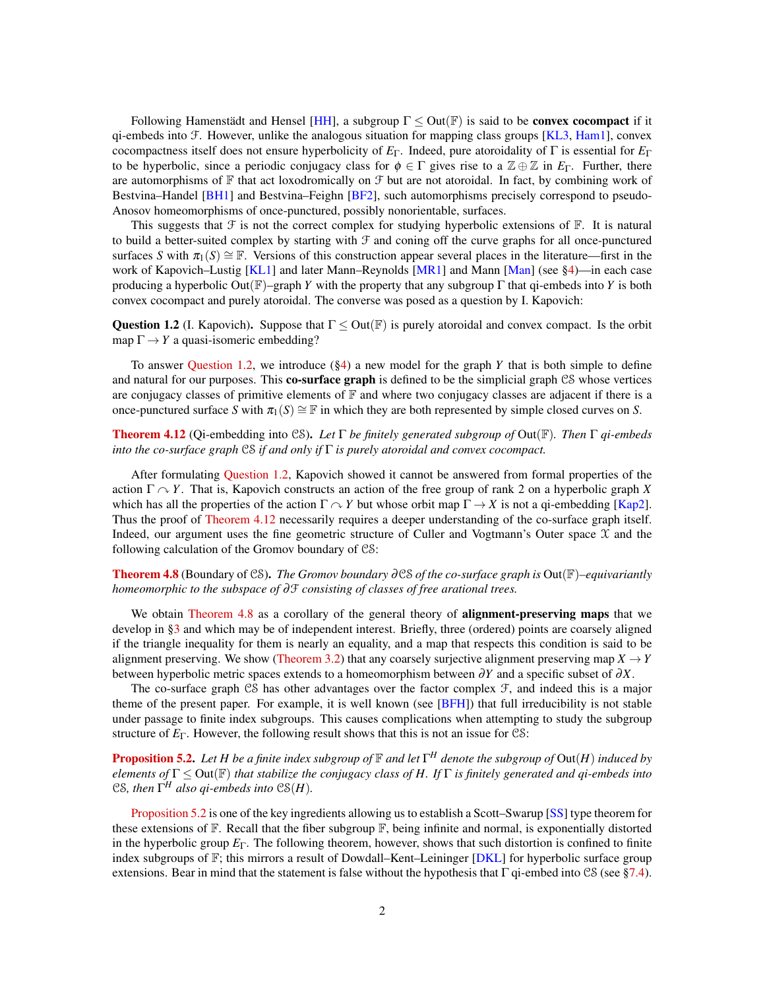Following Hamenstädt and Hensel [\[HH\]](#page-31-1), a subgroup  $\Gamma \leq Out(\mathbb{F})$  is said to be **convex cocompact** if it qi-embeds into  $\mathcal F$ . However, unlike the analogous situation for mapping class groups [\[KL3,](#page-32-0) [Ham1\]](#page-31-2), convex cocompactness itself does not ensure hyperbolicity of *E*Γ. Indeed, pure atoroidality of Γ is essential for *E*<sup>Γ</sup> to be hyperbolic, since a periodic conjugacy class for  $\phi \in \Gamma$  gives rise to a  $\mathbb{Z} \oplus \mathbb{Z}$  in  $E_{\Gamma}$ . Further, there are automorphisms of  $\mathbb F$  that act loxodromically on  $\mathcal F$  but are not atoroidal. In fact, by combining work of Bestvina–Handel [\[BH1\]](#page-30-0) and Bestvina–Feighn [\[BF2\]](#page-30-1), such automorphisms precisely correspond to pseudo-Anosov homeomorphisms of once-punctured, possibly nonorientable, surfaces.

This suggests that  $F$  is not the correct complex for studying hyperbolic extensions of  $F$ . It is natural to build a better-suited complex by starting with  $\mathcal F$  and coning off the curve graphs for all once-punctured surfaces *S* with  $\pi_1(S) \cong \mathbb{F}$ . Versions of this construction appear several places in the literature—first in the work of Kapovich–Lustig  $KL1$ ] and later Mann–Reynolds  $[MR1]$  and Mann  $[Man]$  (see [§4\)](#page-10-0)—in each case producing a hyperbolic Out(F)–graph *Y* with the property that any subgroup Γ that qi-embeds into *Y* is both convex cocompact and purely atoroidal. The converse was posed as a question by I. Kapovich:

<span id="page-1-0"></span>**Question 1.2** (I. Kapovich). Suppose that  $\Gamma \leq Out(\mathbb{F})$  is purely atoroidal and convex compact. Is the orbit map  $\Gamma \rightarrow Y$  a quasi-isomeric embedding?

To answer [Question 1.2,](#page-1-0) we introduce ([§4\)](#page-10-0) a new model for the graph *Y* that is both simple to define and natural for our purposes. This **co-surface graph** is defined to be the simplicial graph CS whose vertices are conjugacy classes of primitive elements of  $\mathbb F$  and where two conjugacy classes are adjacent if there is a once-punctured surface *S* with  $\pi_1(S) \cong \mathbb{F}$  in which they are both represented by simple closed curves on *S*.

### [Theorem 4.12](#page-14-0) (Qi-embedding into CS). *Let* Γ *be finitely generated subgroup of* Out(F)*. Then* Γ *qi-embeds into the co-surface graph* CS *if and only if* Γ *is purely atoroidal and convex cocompact.*

After formulating [Question 1.2,](#page-1-0) Kapovich showed it cannot be answered from formal properties of the action  $\Gamma \curvearrowright Y$ . That is, Kapovich constructs an action of the free group of rank 2 on a hyperbolic graph *X* which has all the properties of the action  $\Gamma \cap Y$  but whose orbit map  $\Gamma \to X$  is not a qi-embedding [\[Kap2\]](#page-31-4). Thus the proof of [Theorem 4.12](#page-14-0) necessarily requires a deeper understanding of the co-surface graph itself. Indeed, our argument uses the fine geometric structure of Culler and Vogtmann's Outer space  $\mathfrak X$  and the following calculation of the Gromov boundary of CS:

[Theorem 4.8](#page-13-0) (Boundary of CS). *The Gromov boundary* ∂CS *of the co-surface graph is* Out(F)*–equivariantly homeomorphic to the subspace of* ∂F *consisting of classes of free arational trees.*

We obtain [Theorem 4.8](#page-13-0) as a corollary of the general theory of **alignment-preserving maps** that we develop in [§3](#page-7-0) and which may be of independent interest. Briefly, three (ordered) points are coarsely aligned if the triangle inequality for them is nearly an equality, and a map that respects this condition is said to be alignment preserving. We show [\(Theorem 3.2\)](#page-8-0) that any coarsely surjective alignment preserving map  $X \to Y$ between hyperbolic metric spaces extends to a homeomorphism between ∂*Y* and a specific subset of ∂*X*.

The co-surface graph CS has other advantages over the factor complex  $F$ , and indeed this is a major theme of the present paper. For example, it is well known (see [\[BFH\]](#page-30-2)) that full irreducibility is not stable under passage to finite index subgroups. This causes complications when attempting to study the subgroup structure of  $E_{\Gamma}$ . However, the following result shows that this is not an issue for CS:

[Proposition 5.2.](#page-15-0) *Let H be a finite index subgroup of* F *and let* Γ *<sup>H</sup> denote the subgroup of* Out(*H*) *induced by elements of*  $\Gamma \leq$  Out( $\mathbb{F}$ ) *that stabilize the conjugacy class of H. If*  $\Gamma$  *is finitely generated and qi-embeds into* CS, then  $\Gamma^H$  also qi-embeds into  $\mathcal{CS}(H)$ .

[Proposition 5.2](#page-15-0) is one of the key ingredients allowing us to establish a Scott–Swarup [\[SS\]](#page-32-3) type theorem for these extensions of  $\mathbb F$ . Recall that the fiber subgroup  $\mathbb F$ , being infinite and normal, is exponentially distorted in the hyperbolic group *E*Γ. The following theorem, however, shows that such distortion is confined to finite index subgroups of  $\mathbb{F}$ ; this mirrors a result of Dowdall–Kent–Leininger [\[DKL\]](#page-31-5) for hyperbolic surface group extensions. Bear in mind that the statement is false without the hypothesis that  $\Gamma$  qi-embed into CS (see [§7.4\)](#page-28-0).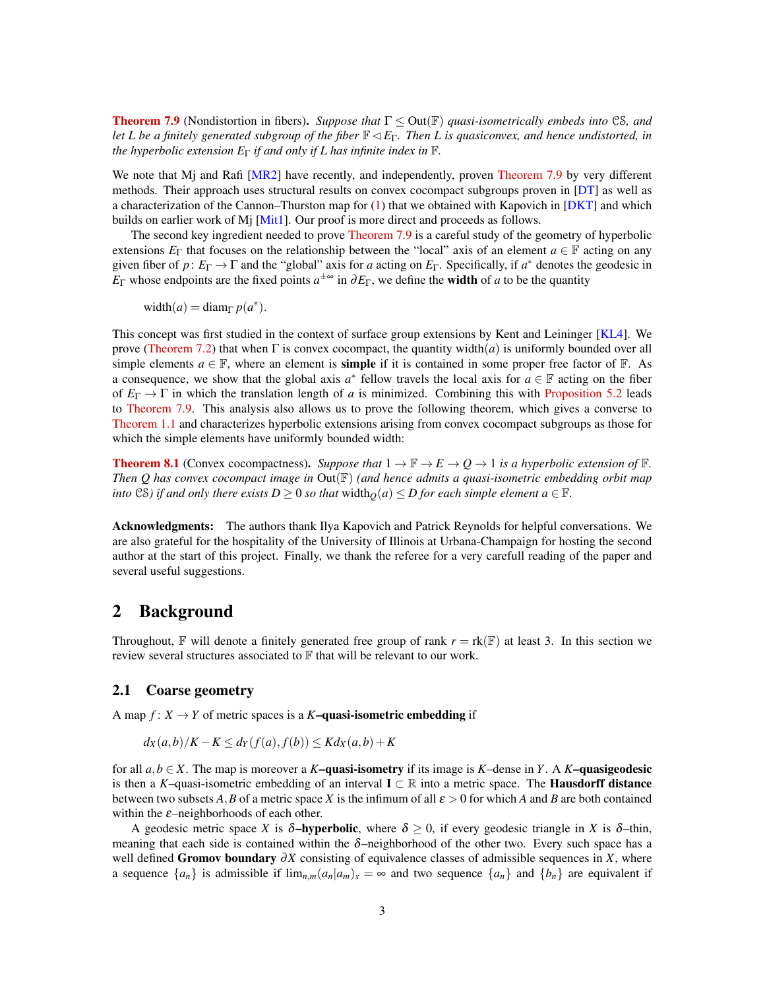[Theorem 7.9](#page-28-1) (Nondistortion in fibers). *Suppose that* Γ ≤ Out(F) *quasi-isometrically embeds into* CS*, and let L be a finitely generated subgroup of the fiber*  $\mathbb{F}$  ⊲ *E*<sub>Γ</sub>*. Then L is quasiconvex, and hence undistorted, in the hyperbolic extension*  $E_{\Gamma}$  *if and only if L has infinite index in*  $\mathbb{F}$ *.* 

We note that Mj and Rafi [\[MR2\]](#page-32-4) have recently, and independently, proven [Theorem 7.9](#page-28-1) by very different methods. Their approach uses structural results on convex cocompact subgroups proven in [\[DT\]](#page-31-0) as well as a characterization of the Cannon–Thurston map for [\(1\)](#page-0-0) that we obtained with Kapovich in [\[DKT\]](#page-31-6) and which builds on earlier work of Mj [\[Mit1\]](#page-32-5). Our proof is more direct and proceeds as follows.

The second key ingredient needed to prove [Theorem 7.9](#page-28-1) is a careful study of the geometry of hyperbolic extensions  $E_{\Gamma}$  that focuses on the relationship between the "local" axis of an element  $a \in \mathbb{F}$  acting on any given fiber of  $p: E_{\Gamma} \to \Gamma$  and the "global" axis for *a* acting on  $E_{\Gamma}$ . Specifically, if  $a^*$  denotes the geodesic in *E*<sub>Γ</sub> whose endpoints are the fixed points  $a^{\pm \infty}$  in  $\partial E$ <sub>Γ</sub>, we define the **width** of *a* to be the quantity

width $(a)$  = diam<sub> $\Gamma$ </sub>  $p(a^*)$ .

This concept was first studied in the context of surface group extensions by Kent and Leininger [\[KL4\]](#page-32-6). We prove [\(Theorem 7.2\)](#page-24-0) that when  $\Gamma$  is convex cocompact, the quantity width(*a*) is uniformly bounded over all simple elements  $a \in \mathbb{F}$ , where an element is **simple** if it is contained in some proper free factor of  $\mathbb{F}$ . As a consequence, we show that the global axis  $a^*$  fellow travels the local axis for  $a \in \mathbb{F}$  acting on the fiber of  $E_{\Gamma} \to \Gamma$  in which the translation length of *a* is minimized. Combining this with [Proposition 5.2](#page-15-0) leads to [Theorem 7.9.](#page-28-1) This analysis also allows us to prove the following theorem, which gives a converse to [Theorem 1.1](#page-0-1) and characterizes hyperbolic extensions arising from convex cocompact subgroups as those for which the simple elements have uniformly bounded width:

**[Theorem 8.1](#page-29-0)** (Convex cocompactness). Suppose that  $1 \to \mathbb{F} \to E \to Q \to 1$  is a hyperbolic extension of  $\mathbb{F}$ . *Then Q has convex cocompact image in* Out(F) *(and hence admits a quasi-isometric embedding orbit map into* CS) *if and only there exists*  $D \ge 0$  *so that* width $_Q(a) \le D$  for each simple element  $a \in \mathbb{F}$ .

Acknowledgments: The authors thank Ilya Kapovich and Patrick Reynolds for helpful conversations. We are also grateful for the hospitality of the University of Illinois at Urbana-Champaign for hosting the second author at the start of this project. Finally, we thank the referee for a very carefull reading of the paper and several useful suggestions.

## 2 Background

Throughout,  $\mathbb F$  will denote a finitely generated free group of rank  $r = \text{rk}(\mathbb F)$  at least 3. In this section we review several structures associated to  $\mathbb F$  that will be relevant to our work.

### 2.1 Coarse geometry

A map  $f: X \to Y$  of metric spaces is a  $K$ **-quasi-isometric embedding** if

$$
d_X(a,b)/K - K \leq d_Y(f(a),f(b)) \leq K d_X(a,b) + K
$$

for all  $a, b \in X$ . The map is moreover a *K***–quasi-isometry** if its image is *K*–dense in *Y*. A *K***–quasigeodesic** is then a *K*–quasi-isometric embedding of an interval  $I \subset \mathbb{R}$  into a metric space. The **Hausdorff distance** between two subsets A, B of a metric space X is the infimum of all  $\varepsilon > 0$  for which A and B are both contained within the  $\varepsilon$ -neighborhoods of each other.

A geodesic metric space *X* is  $\delta$ -hyperbolic, where  $\delta \ge 0$ , if every geodesic triangle in *X* is  $\delta$ -thin, meaning that each side is contained within the  $\delta$ -neighborhood of the other two. Every such space has a well defined Gromov boundary ∂*X* consisting of equivalence classes of admissible sequences in *X*, where a sequence  $\{a_n\}$  is admissible if  $\lim_{n,m}(a_n|a_m)_x = \infty$  and two sequence  $\{a_n\}$  and  $\{b_n\}$  are equivalent if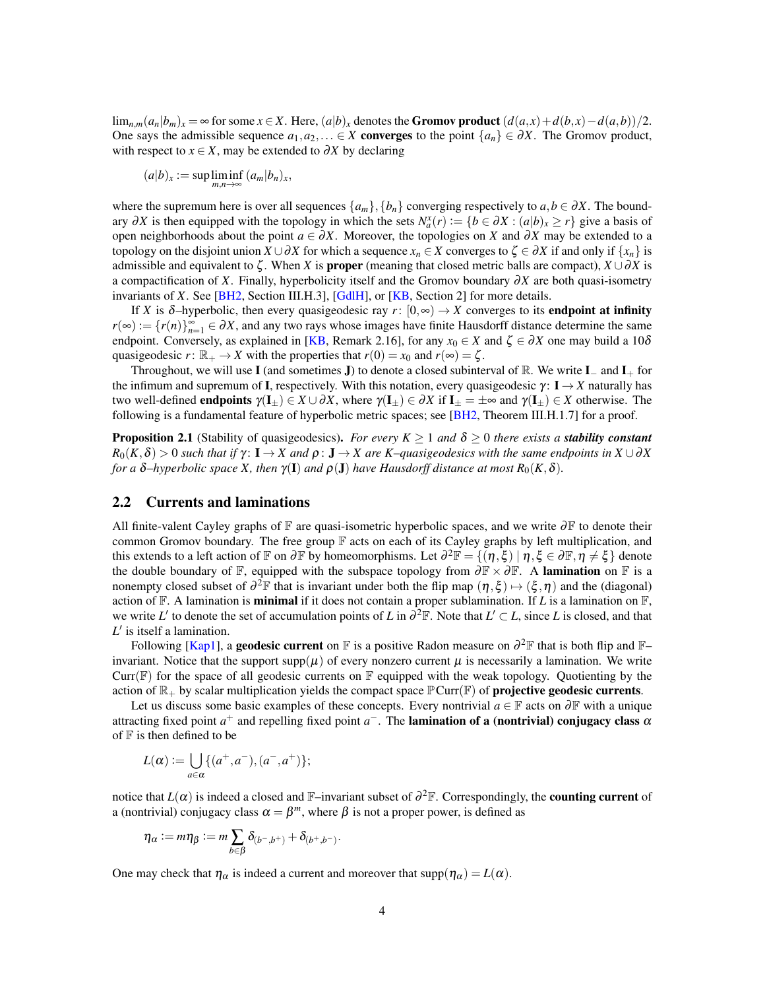$\lim_{n,m}(a_n|b_m)_x = \infty$  for some  $x \in X$ . Here,  $(a|b)_x$  denotes the **Gromov product**  $(d(a,x)+d(b,x)-d(a,b))/2$ . One says the admissible sequence  $a_1, a_2, \ldots \in X$  converges to the point  $\{a_n\} \in \partial X$ . The Gromov product, with respect to  $x \in X$ , may be extended to  $\partial X$  by declaring

$$
(a|b)_x := \sup \liminf_{m,n \to \infty} (a_m|b_n)_x,
$$

where the supremum here is over all sequences  $\{a_m\}, \{b_n\}$  converging respectively to  $a, b \in \partial X$ . The boundary  $\partial X$  is then equipped with the topology in which the sets  $N_a^x(r) := \{b \in \partial X : (a|b)_x \ge r\}$  give a basis of open neighborhoods about the point  $a \in \partial X$ . Moreover, the topologies on *X* and  $\partial X$  may be extended to a topology on the disjoint union  $X \cup \partial X$  for which a sequence  $x_n \in X$  converges to  $\zeta \in \partial X$  if and only if  $\{x_n\}$  is admissible and equivalent to  $\zeta$ . When *X* is **proper** (meaning that closed metric balls are compact),  $X \cup \partial X$  is a compactification of *X*. Finally, hyperbolicity itself and the Gromov boundary ∂*X* are both quasi-isometry invariants of *X*. See [\[BH2,](#page-30-3) Section III.H.3], [\[GdlH\]](#page-31-7), or [\[KB,](#page-31-8) Section 2] for more details.

If *X* is  $\delta$ –hyperbolic, then every quasigeodesic ray  $r: [0, \infty) \to X$  converges to its **endpoint at infinity**  $r(\infty) := \{r(n)\}_{n=1}^{\infty} \in \partial X$ , and any two rays whose images have finite Hausdorff distance determine the same endpoint. Conversely, as explained in [\[KB,](#page-31-8) Remark 2.16], for any  $x_0 \in X$  and  $\zeta \in \partial X$  one may build a 10 $\delta$ quasigeodesic *r*:  $\mathbb{R}_+ \to X$  with the properties that  $r(0) = x_0$  and  $r(\infty) = \zeta$ .

Throughout, we will use I (and sometimes J) to denote a closed subinterval of  $\mathbb R$ . We write I– and I<sub>+</sub> for the infimum and supremum of **I**, respectively. With this notation, every quasigeodesic  $\gamma$ : **I**  $\rightarrow$  *X* naturally has two well-defined endpoints  $\gamma(I_+) \in X \cup \partial X$ , where  $\gamma(I_+) \in \partial X$  if  $I_+ = \pm \infty$  and  $\gamma(I_+) \in X$  otherwise. The following is a fundamental feature of hyperbolic metric spaces; see [\[BH2,](#page-30-3) Theorem III.H.1.7] for a proof.

<span id="page-3-0"></span>**Proposition 2.1** (Stability of quasigeodesics). *For every K*  $\geq$  1 *and*  $\delta$   $\geq$  0 *there exists a stability constant*  $R_0(K,\delta) > 0$  *such that if*  $\gamma: \mathbf{I} \to X$  *and*  $\rho: \mathbf{J} \to X$  *are K–quasigeodesics with the same endpoints in*  $X \cup \partial X$ *for a*  $\delta$ –*hyperbolic space* X, then  $\gamma(I)$  *and*  $\rho(J)$  *have Hausdorff distance at most*  $R_0(K,\delta)$ *.* 

### 2.2 Currents and laminations

All finite-valent Cayley graphs of F are quasi-isometric hyperbolic spaces, and we write ∂F to denote their common Gromov boundary. The free group  $\mathbb F$  acts on each of its Cayley graphs by left multiplication, and this extends to a left action of F on  $\partial$ F by homeomorphisms. Let  $\partial^2 F = \{(\eta, \xi) \mid \eta, \xi \in \partial \mathbb{F}, \eta \neq \xi\}$  denote the double boundary of F, equipped with the subspace topology from  $\partial \mathbb{F} \times \partial \mathbb{F}$ . A lamination on F is a nonempty closed subset of  $\partial^2 \mathbb{F}$  that is invariant under both the flip map  $(\eta, \xi) \mapsto (\xi, \eta)$  and the (diagonal) action of F. A lamination is minimal if it does not contain a proper sublamination. If *L* is a lamination on F, we write *L'* to denote the set of accumulation points of *L* in  $\partial^2 \mathbb{F}$ . Note that  $L' \subset L$ , since *L* is closed, and that  $L'$  is itself a lamination.

Following [\[Kap1\]](#page-31-9), a **geodesic current** on F is a positive Radon measure on  $\partial^2$ F that is both flip and F– invariant. Notice that the support supp( $\mu$ ) of every nonzero current  $\mu$  is necessarily a lamination. We write Curr( $\mathbb{F}$ ) for the space of all geodesic currents on  $\mathbb{F}$  equipped with the weak topology. Quotienting by the action of  $\mathbb{R}_+$  by scalar multiplication yields the compact space  $\mathbb{P}$ Curr( $\mathbb{F}$ ) of **projective geodesic currents.** 

Let us discuss some basic examples of these concepts. Every nontrivial  $a \in \mathbb{F}$  acts on  $\partial \mathbb{F}$  with a unique attracting fixed point  $a^+$  and repelling fixed point  $a^-$ . The **lamination of a (nontrivial) conjugacy class**  $\alpha$ of  $F$  is then defined to be

$$
L(\alpha) := \bigcup_{a \in \alpha} \{ (a^+, a^-), (a^-, a^+) \};
$$

notice that  $L(\alpha)$  is indeed a closed and F–invariant subset of  $\partial^2 \mathbb{F}$ . Correspondingly, the **counting current** of a (nontrivial) conjugacy class  $\alpha = \beta^m$ , where  $\beta$  is not a proper power, is defined as

$$
\eta_\alpha:=m\eta_\beta:=m\sum_{b\in\beta}\delta_{(b^-,b^+)}+\delta_{(b^+,b^-)}.
$$

One may check that  $\eta_{\alpha}$  is indeed a current and moreover that supp( $\eta_{\alpha}$ ) =  $L(\alpha)$ .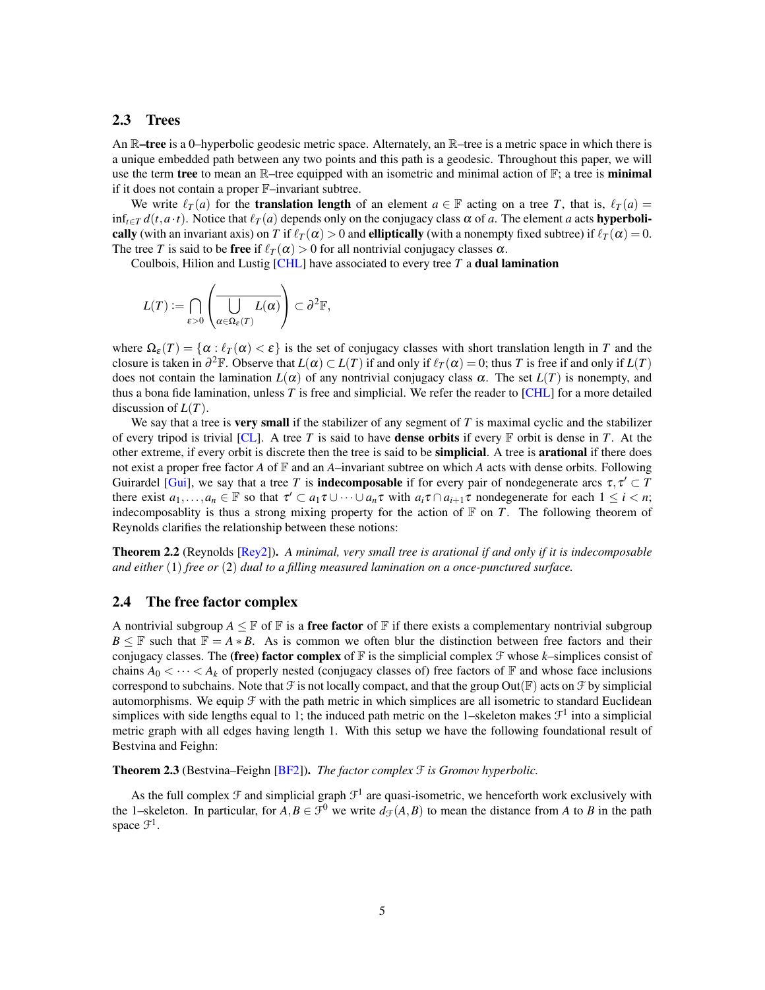### <span id="page-4-0"></span>2.3 Trees

An R–tree is a 0–hyperbolic geodesic metric space. Alternately, an R–tree is a metric space in which there is a unique embedded path between any two points and this path is a geodesic. Throughout this paper, we will use the term tree to mean an  $\mathbb{R}$ –tree equipped with an isometric and minimal action of  $\mathbb{F}$ ; a tree is **minimal** if it does not contain a proper F–invariant subtree.

We write  $\ell_T(a)$  for the **translation length** of an element  $a \in \mathbb{F}$  acting on a tree *T*, that is,  $\ell_T(a) =$  $\inf_{t \in T} d(t, a \cdot t)$ . Notice that  $\ell_T(a)$  depends only on the conjugacy class  $\alpha$  of *a*. The element *a* acts **hyperboli**cally (with an invariant axis) on *T* if  $\ell_T(\alpha) > 0$  and elliptically (with a nonempty fixed subtree) if  $\ell_T(\alpha) = 0$ . The tree *T* is said to be free if  $\ell_T(\alpha) > 0$  for all nontrivial conjugacy classes  $\alpha$ .

Coulbois, Hilion and Lustig [\[CHL\]](#page-30-4) have associated to every tree *T* a dual lamination

$$
L(T) := \bigcap_{\varepsilon > 0} \left( \frac{1}{\alpha \in \Omega_{\varepsilon}(T)} L(\alpha) \right) \subset \partial^2 \mathbb{F},
$$

where  $\Omega_{\varepsilon}(T) = \{\alpha : \ell_T(\alpha) < \varepsilon\}$  is the set of conjugacy classes with short translation length in *T* and the closure is taken in  $\partial^2 \mathbb{F}$ . Observe that  $L(\alpha) \subset L(T)$  if and only if  $\ell_T(\alpha) = 0$ ; thus *T* is free if and only if  $L(T)$ does not contain the lamination  $L(\alpha)$  of any nontrivial conjugacy class  $\alpha$ . The set  $L(T)$  is nonempty, and thus a bona fide lamination, unless *T* is free and simplicial. We refer the reader to [\[CHL\]](#page-30-4) for a more detailed discussion of *L*(*T*).

We say that a tree is **very small** if the stabilizer of any segment of *T* is maximal cyclic and the stabilizer of every tripod is trivial [\[CL\]](#page-31-10). A tree *T* is said to have **dense orbits** if every  $\mathbb F$  orbit is dense in *T*. At the other extreme, if every orbit is discrete then the tree is said to be simplicial. A tree is arational if there does not exist a proper free factor  $A$  of  $\mathbb F$  and an  $A$ –invariant subtree on which  $A$  acts with dense orbits. Following Guirardel [\[Gui\]](#page-31-11), we say that a tree T is **indecomposable** if for every pair of nondegenerate arcs  $\tau$ ,  $\tau' \subset T$ there exist  $a_1, \ldots, a_n \in \mathbb{F}$  so that  $\tau' \subset a_1 \tau \cup \cdots \cup a_n \tau$  with  $a_i \tau \cap a_{i+1} \tau$  nondegenerate for each  $1 \leq i < n$ ; indecomposablity is thus a strong mixing property for the action of  $\mathbb F$  on  $T$ . The following theorem of Reynolds clarifies the relationship between these notions:

<span id="page-4-1"></span>Theorem 2.2 (Reynolds [\[Rey2\]](#page-32-7)). *A minimal, very small tree is arational if and only if it is indecomposable and either* (1) *free or* (2) *dual to a filling measured lamination on a once-punctured surface.*

### 2.4 The free factor complex

A nontrivial subgroup  $A \leq \mathbb{F}$  of  $\mathbb{F}$  is a **free factor** of  $\mathbb{F}$  if there exists a complementary nontrivial subgroup *B*  $\leq$  F such that  $\mathbb{F} = A * B$ . As is common we often blur the distinction between free factors and their conjugacy classes. The (free) factor complex of  $\mathbb F$  is the simplicial complex  $\mathcal F$  whose *k*–simplices consist of chains  $A_0 < \cdots < A_k$  of properly nested (conjugacy classes of) free factors of  $\mathbb F$  and whose face inclusions correspond to subchains. Note that  $\mathcal F$  is not locally compact, and that the group Out( $\mathbb F$ ) acts on  $\mathcal F$  by simplicial automorphisms. We equip  $\mathcal F$  with the path metric in which simplices are all isometric to standard Euclidean simplices with side lengths equal to 1; the induced path metric on the 1-skeleton makes  $\mathcal{F}^1$  into a simplicial metric graph with all edges having length 1. With this setup we have the following foundational result of Bestvina and Feighn:

<span id="page-4-2"></span>Theorem 2.3 (Bestvina–Feighn [\[BF2\]](#page-30-1)). *The factor complex* F *is Gromov hyperbolic.*

As the full complex  $\mathcal F$  and simplicial graph  $\mathcal F^1$  are quasi-isometric, we henceforth work exclusively with the 1–skeleton. In particular, for  $A, B \in \mathcal{F}^0$  we write  $d_{\mathcal{F}}(A, B)$  to mean the distance from *A* to *B* in the path space  $\mathfrak{F}^1$ .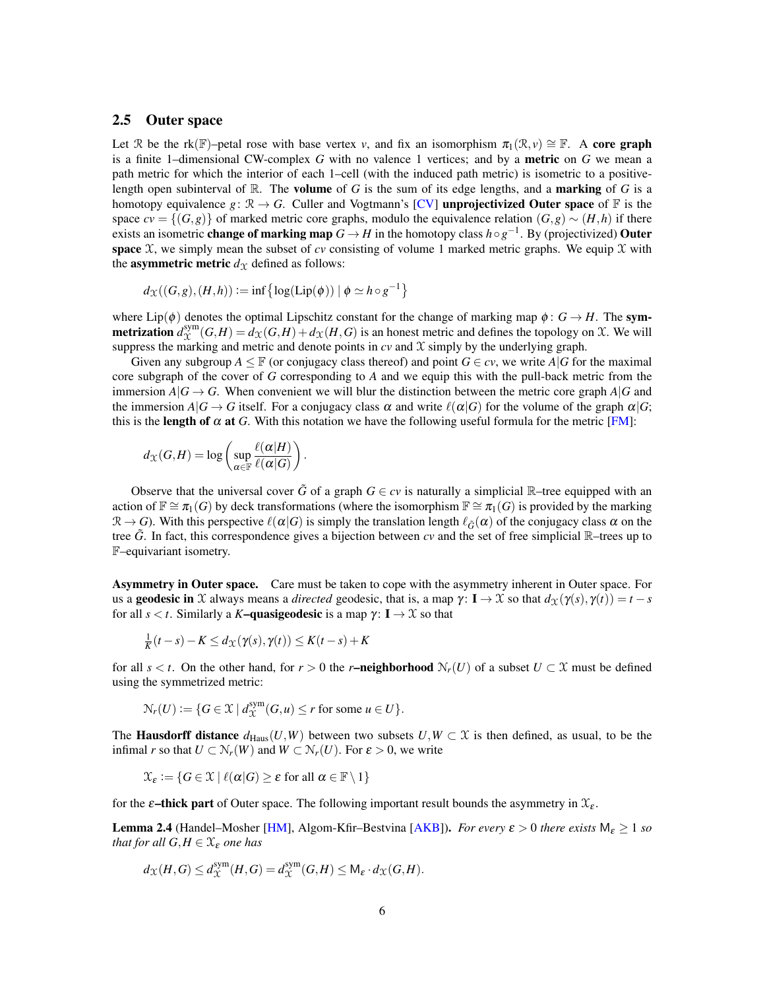### 2.5 Outer space

Let R be the rk(F)–petal rose with base vertex *v*, and fix an isomorphism  $\pi_1(\mathcal{R}, v) \cong \mathbb{F}$ . A core graph is a finite 1–dimensional CW-complex *G* with no valence 1 vertices; and by a metric on *G* we mean a path metric for which the interior of each 1–cell (with the induced path metric) is isometric to a positivelength open subinterval of  $\mathbb{R}$ . The **volume** of *G* is the sum of its edge lengths, and a **marking** of *G* is a homotopy equivalence *g*:  $\mathcal{R} \to G$ . Culler and Vogtmann's [\[CV\]](#page-31-12) **unprojectivized Outer space** of  $\mathbb{F}$  is the space  $cv = \{(G, g)\}\$  of marked metric core graphs, modulo the equivalence relation  $(G, g) \sim (H, h)$  if there exists an isometric **change of marking map**  $G \to H$  in the homotopy class  $h \circ g^{-1}$ . By (projectivized) Outer space  $X$ , we simply mean the subset of  $cv$  consisting of volume 1 marked metric graphs. We equip  $X$  with the **asymmetric metric**  $d_{\mathcal{X}}$  defined as follows:

$$
d_{\mathcal{X}}((G,g),(H,h)) := \inf \{ \log(\text{Lip}(\phi)) \mid \phi \simeq h \circ g^{-1} \}
$$

where  $Lip(\phi)$  denotes the optimal Lipschitz constant for the change of marking map  $\phi: G \to H$ . The symmetrization  $d_{\Upsilon}^{\text{sym}}$  $\chi^{\text{sym}}(G,H) = d\chi(G,H) + d\chi(H,G)$  is an honest metric and defines the topology on X. We will suppress the marking and metric and denote points in  $cv$  and  $\mathcal X$  simply by the underlying graph.

Given any subgroup  $A \leq \mathbb{F}$  (or conjugacy class thereof) and point  $G \in \mathcal{CV}$ , we write  $A|G$  for the maximal core subgraph of the cover of *G* corresponding to *A* and we equip this with the pull-back metric from the immersion  $A|G \to G$ . When convenient we will blur the distinction between the metric core graph  $A|G$  and the immersion  $A|G \to G$  itself. For a conjugacy class  $\alpha$  and write  $\ell(\alpha|G)$  for the volume of the graph  $\alpha|G;$ this is the **length of**  $\alpha$  **at** *G*. With this notation we have the following useful formula for the metric [\[FM\]](#page-31-13):

$$
d_{\mathcal{X}}(G,H) = \log \left( \sup_{\alpha \in \mathbb{F}} \frac{\ell(\alpha|H)}{\ell(\alpha|G)} \right).
$$

Observe that the universal cover  $\tilde{G}$  of a graph  $G \in cv$  is naturally a simplicial R–tree equipped with an action of  $\mathbb{F} \cong \pi_1(G)$  by deck transformations (where the isomorphism  $\mathbb{F} \cong \pi_1(G)$  is provided by the marking  $\mathcal{R} \to G$ ). With this perspective  $\ell(\alpha|G)$  is simply the translation length  $\ell_{\tilde{G}}(\alpha)$  of the conjugacy class  $\alpha$  on the tree  $\tilde{G}$ . In fact, this correspondence gives a bijection between *cv* and the set of free simplicial R–trees up to F–equivariant isometry.

Asymmetry in Outer space. Care must be taken to cope with the asymmetry inherent in Outer space. For us a **geodesic in** X always means a *directed* geodesic, that is, a map  $\gamma: I \to X$  so that  $d_{\Upsilon}(\gamma(s), \gamma(t)) = t - s$ for all  $s < t$ . Similarly a *K***–quasigeodesic** is a map  $\gamma : I \rightarrow \mathcal{X}$  so that

$$
\frac{1}{K}(t-s) - K \le d_{\mathcal{X}}(\gamma(s), \gamma(t)) \le K(t-s) + K
$$

for all  $s < t$ . On the other hand, for  $r > 0$  the *r*–neighborhood  $\mathcal{N}_r(U)$  of a subset  $U \subset \mathcal{X}$  must be defined using the symmetrized metric:

$$
\mathcal{N}_r(U) := \{ G \in \mathcal{X} \mid d_{\mathcal{X}}^{sym}(G, u) \leq r \text{ for some } u \in U \}.
$$

The **Hausdorff distance**  $d_{\text{Haus}}(U, W)$  between two subsets  $U, W \subset \mathcal{X}$  is then defined, as usual, to be the infimal *r* so that  $U \subset \mathcal{N}_r(W)$  and  $W \subset \mathcal{N}_r(U)$ . For  $\varepsilon > 0$ , we write

$$
\mathfrak{X}_{\varepsilon} := \{ G \in \mathfrak{X} \mid \ell(\alpha|G) \geq \varepsilon \text{ for all } \alpha \in \mathbb{F} \setminus 1 \}
$$

for the  $\varepsilon$ –thick part of Outer space. The following important result bounds the asymmetry in  $\mathfrak{X}_{\varepsilon}$ .

<span id="page-5-0"></span>**Lemma 2.4** (Handel–Mosher [\[HM\]](#page-31-14), Algom-Kfir–Bestvina [\[AKB\]](#page-30-5)). *For every*  $\varepsilon > 0$  *there exists*  $M_{\varepsilon} \ge 1$  *so that for all*  $G, H \in \mathcal{X}_{\varepsilon}$  *one has* 

$$
d_{\mathcal{X}}(H,G) \leq d_{\mathcal{X}}^{\text{sym}}(H,G) = d_{\mathcal{X}}^{\text{sym}}(G,H) \leq \mathsf{M}_{\varepsilon} \cdot d_{\mathcal{X}}(G,H).
$$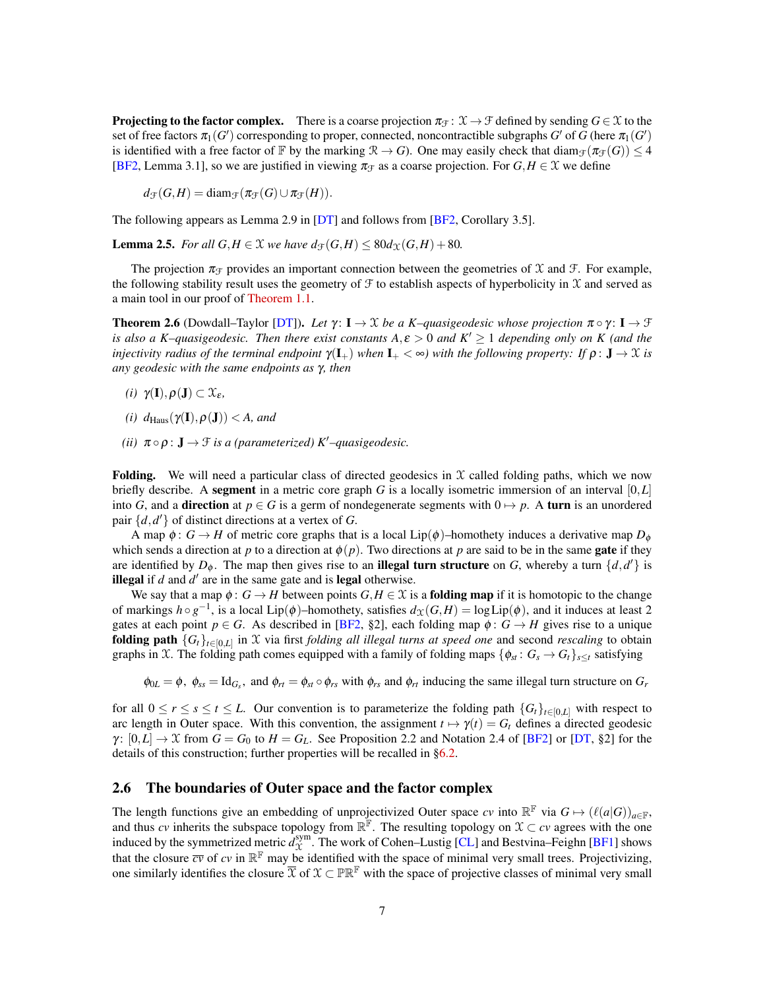**Projecting to the factor complex.** There is a coarse projection  $\pi_{\mathcal{F}} : \mathcal{X} \to \mathcal{F}$  defined by sending  $G \in \mathcal{X}$  to the set of free factors  $\pi_1(G')$  corresponding to proper, connected, noncontractible subgraphs  $G'$  of  $G$  (here  $\pi_1(G')$ is identified with a free factor of F by the marking  $\mathcal{R} \to G$ ). One may easily check that diam<sub> $\mathcal{F}(\pi_{\mathcal{F}}(G)) \leq 4$ </sub> [\[BF2,](#page-30-1) Lemma 3.1], so we are justified in viewing  $\pi_f$  as a coarse projection. For  $G, H \in \mathcal{X}$  we define

$$
d_{\mathcal{F}}(G,H) = \text{diam}_{\mathcal{F}}(\pi_{\mathcal{F}}(G) \cup \pi_{\mathcal{F}}(H)).
$$

<span id="page-6-2"></span>The following appears as Lemma 2.9 in  $[DT]$  and follows from  $[BF2, Corollary 3.5]$  $[BF2, Corollary 3.5]$ .

**Lemma 2.5.** *For all*  $G, H \in \mathcal{X}$  *we have*  $d_{\mathcal{F}}(G, H) \leq 80d_{\mathcal{X}}(G, H) + 80$ *.* 

The projection  $\pi_{\mathcal{F}}$  provides an important connection between the geometries of X and F. For example, the following stability result uses the geometry of  $\mathcal F$  to establish aspects of hyperbolicity in  $\mathcal X$  and served as a main tool in our proof of [Theorem 1.1.](#page-0-1)

<span id="page-6-0"></span>**Theorem 2.6** (Dowdall–Taylor [\[DT\]](#page-31-0)). Let  $\gamma: I \to \mathcal{X}$  be a K–quasigeodesic whose projection  $\pi \circ \gamma: I \to \mathcal{F}$ *is also a K–quasigeodesic. Then there exist constants*  $A, \varepsilon > 0$  *and*  $K' \ge 1$  *depending only on* K (*and the injectivity radius of the terminal endpoint*  $\gamma(\mathbf{I}_{+})$  *when*  $\mathbf{I}_{+}<\infty$ *) with the following property: If*  $\rho: \mathbf{J} \to \mathcal{X}$  *is any geodesic with the same endpoints as* γ*, then*

- *(i)*  $\gamma(I), \rho(J) \subset \mathfrak{X}_{\varepsilon}$ *,*
- *(i)*  $d_{\text{Haus}}(\gamma(\mathbf{I}), \rho(\mathbf{J})) < A$ , and
- *(ii)*  $\pi \circ \rho : \mathbf{J} \to \mathcal{F}$  *is a (parameterized)*  $K'$ –*quasigeodesic.*

<span id="page-6-1"></span>Folding. We will need a particular class of directed geodesics in  $X$  called folding paths, which we now briefly describe. A segment in a metric core graph *G* is a locally isometric immersion of an interval [0,*L*] into *G*, and a **direction** at  $p \in G$  is a germ of nondegenerate segments with  $0 \mapsto p$ . A turn is an unordered pair  $\{d, d'\}$  of distinct directions at a vertex of *G*.

A map  $\phi$ : *G*  $\rightarrow$  *H* of metric core graphs that is a local Lip( $\phi$ )–homothety induces a derivative map  $D_{\phi}$ which sends a direction at *p* to a direction at  $\phi(p)$ . Two directions at *p* are said to be in the same **gate** if they are identified by  $D_{\phi}$ . The map then gives rise to an **illegal turn structure** on *G*, whereby a turn  $\{d, d'\}$  is illegal if  $d$  and  $d'$  are in the same gate and is legal otherwise.

We say that a map  $\phi: G \to H$  between points  $G, H \in \mathcal{X}$  is a **folding map** if it is homotopic to the change of markings  $h \circ g^{-1}$ , is a local Lip( $\phi$ )–homothety, satisfies  $d_{\mathcal{X}}(G,H) = \log \text{Lip}(\phi)$ , and it induces at least 2 gates at each point  $p \in G$ . As described in [\[BF2,](#page-30-1) §2], each folding map  $\phi : G \to H$  gives rise to a unique folding path {*Gt*}*t*∈[0,*L*] in X via first *folding all illegal turns at speed one* and second *rescaling* to obtain graphs in X. The folding path comes equipped with a family of folding maps  $\{\phi_{st}: G_s \to G_t\}_{s \leq t}$  satisfying

 $\phi_{0L} = \phi$ ,  $\phi_{ss} = \text{Id}_{G_s}$ , and  $\phi_{rt} = \phi_{st} \circ \phi_{rs}$  with  $\phi_{rs}$  and  $\phi_{rt}$  inducing the same illegal turn structure on  $G_r$ 

for all  $0 \le r \le s \le t \le L$ . Our convention is to parameterize the folding path  $\{G_t\}_{t \in [0,L]}$  with respect to arc length in Outer space. With this convention, the assignment  $t \mapsto \gamma(t) = G_t$  defines a directed geodesic  $\gamma: [0,L] \to \mathfrak{X}$  from  $G = G_0$  to  $H = G_L$ . See Proposition 2.2 and Notation 2.4 of [\[BF2\]](#page-30-1) or [\[DT,](#page-31-0) §2] for the details of this construction; further properties will be recalled in [§6.2.](#page-18-0)

### 2.6 The boundaries of Outer space and the factor complex

The length functions give an embedding of unprojectivized Outer space *cv* into  $\mathbb{R}^{\mathbb{F}}$  via  $G \mapsto (\ell(a|G))_{a \in \mathbb{F}}$ , and thus *cv* inherits the subspace topology from  $\mathbb{R}^{\mathbb{F}}$ . The resulting topology on  $\mathcal{X} \subset cv$  agrees with the one induced by the symmetrized metric  $\tilde{d}_{\Upsilon}^{\text{sym}}$  $\chi^{\text{sym}}$ . The work of Cohen–Lustig [\[CL\]](#page-31-10) and Bestvina–Feighn [\[BF1\]](#page-30-6) shows that the closure  $\overline{cv}$  of  $cv$  in  $\mathbb{R}^{\mathbb{F}}$  may be identified with the space of minimal very small trees. Projectivizing, one similarly identifies the closure  $\overline{X}$  of  $\mathcal{X} \subset \mathbb{PR}^{\mathbb{F}}$  with the space of projective classes of minimal very small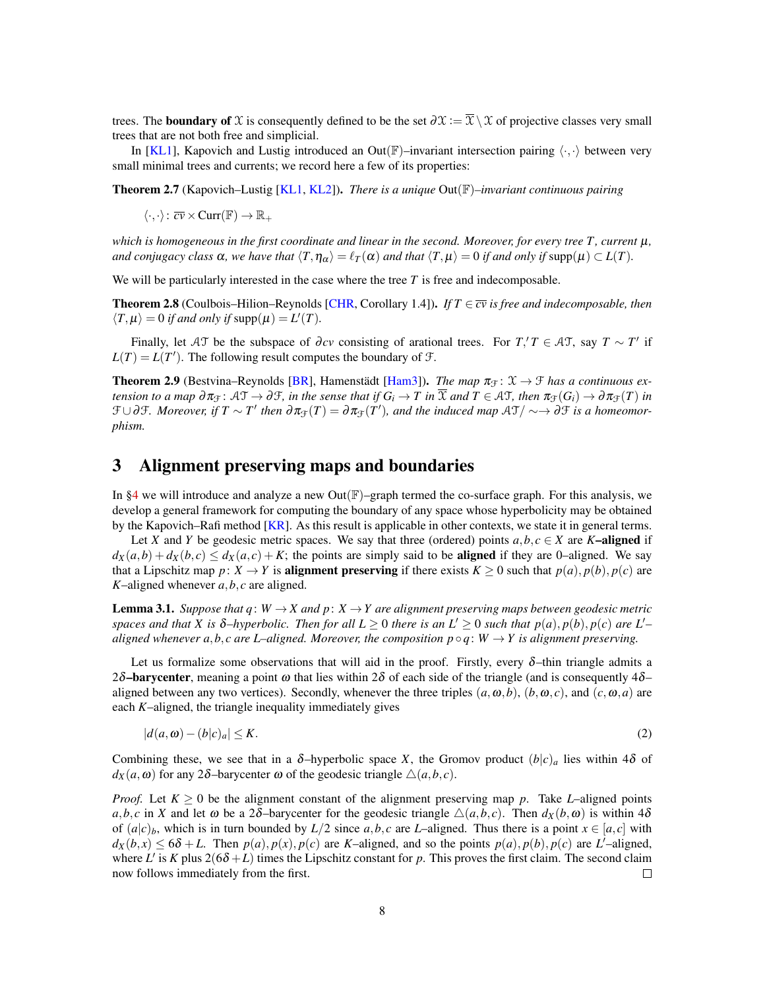trees. The **boundary of** X is consequently defined to be the set  $\partial \mathcal{X} := \overline{\mathcal{X}} \setminus \mathcal{X}$  of projective classes very small trees that are not both free and simplicial.

In [\[KL1\]](#page-31-3), Kapovich and Lustig introduced an Out( $\mathbb{F}$ )–invariant intersection pairing  $\langle \cdot, \cdot \rangle$  between very small minimal trees and currents; we record here a few of its properties:

<span id="page-7-3"></span>Theorem 2.7 (Kapovich–Lustig [\[KL1,](#page-31-3) [KL2\]](#page-31-15)). *There is a unique* Out(F)*–invariant continuous pairing*

 $\langle \cdot,\cdot\rangle\colon \overline{cv}\times \text{Curr}(\mathbb{F})\to \mathbb{R}_+$ 

*which is homogeneous in the first coordinate and linear in the second. Moreover, for every tree T, current*  $\mu$ *, and conjugacy class*  $\alpha$ *, we have that*  $\langle T, \eta_{\alpha} \rangle = \ell_T(\alpha)$  *and that*  $\langle T, \mu \rangle = 0$  *if and only if* supp $(\mu) \subset L(T)$ *.* 

We will be particularly interested in the case where the tree *T* is free and indecomposable.

<span id="page-7-4"></span>**Theorem 2.8** (Coulbois–Hilion–Reynolds [\[CHR,](#page-30-7) Corollary 1.4]). *If*  $T \in \overline{cv}$  *is free and indecomposable, then*  $\langle T, \mu \rangle = 0$  *if and only if* supp $(\mu) = L'(T)$ .

Finally, let  $AT$  be the subspace of  $\partial cv$  consisting of arational trees. For  $T, T \in AT$ , say  $T \sim T'$  if  $L(T) = L(T')$ . The following result computes the boundary of  $\mathcal{F}$ .

<span id="page-7-5"></span>**Theorem 2.9** (Bestvina–Reynolds [\[BR\]](#page-30-8), Hamenstädt [\[Ham3\]](#page-31-16)). *The map*  $\pi_{\mathcal{F}}: \mathcal{X} \to \mathcal{F}$  *has a continuous extension to a map*  $\partial \pi_{\mathcal{F}} : \mathcal{AT} \to \partial \mathcal{F}$ *, in the sense that if*  $G_i \to T$  *in*  $\overline{\mathcal{X}}$  *and*  $T \in \mathcal{AT}$ *, then*  $\pi_{\mathcal{F}}(G_i) \to \partial \pi_{\mathcal{F}}(T)$  *in*  $\mathcal{F} \cup \partial \mathcal{F}$ *. Moreover, if*  $T \sim T'$  then  $\partial \pi_{\mathcal{F}}(T) = \partial \pi_{\mathcal{F}}(T')$ *, and the induced map*  $\mathcal{AT}/\sim \rightarrow \partial \mathcal{F}$  *is a homeomorphism.*

## <span id="page-7-0"></span>3 Alignment preserving maps and boundaries

In [§4](#page-10-0) we will introduce and analyze a new Out $(\mathbb{F})$ –graph termed the co-surface graph. For this analysis, we develop a general framework for computing the boundary of any space whose hyperbolicity may be obtained by the Kapovich–Rafi method [\[KR\]](#page-32-8). As this result is applicable in other contexts, we state it in general terms.

Let *X* and *Y* be geodesic metric spaces. We say that three (ordered) points  $a, b, c \in X$  are *K*–aligned if  $d_X(a,b) + d_X(b,c) \leq d_X(a,c) + K$ ; the points are simply said to be **aligned** if they are 0–aligned. We say that a Lipschitz map  $p: X \to Y$  is **alignment preserving** if there exists  $K \ge 0$  such that  $p(a), p(b), p(c)$  are *K*–aligned whenever *a*,*b*, *c* are aligned.

<span id="page-7-1"></span>**Lemma 3.1.** *Suppose that q*:  $W \to X$  *and p*:  $X \to Y$  *are alignment preserving maps between geodesic metric spaces and that X is*  $\delta$ –*hyperbolic. Then for all*  $L \geq 0$  *there is an*  $L' \geq 0$  *such that*  $p(a), p(b), p(c)$  *are*  $L'$ – *aligned whenever a,b,c are L–aligned. Moreover, the composition*  $p \circ q$ *:*  $W \to Y$  *is alignment preserving.* 

Let us formalize some observations that will aid in the proof. Firstly, every  $\delta$ -thin triangle admits a 2δ–barycenter, meaning a point  $\omega$  that lies within 2δ of each side of the triangle (and is consequently  $4\delta$ – aligned between any two vertices). Secondly, whenever the three triples  $(a, \omega, b)$ ,  $(b, \omega, c)$ , and  $(c, \omega, a)$  are each *K*–aligned, the triangle inequality immediately gives

<span id="page-7-2"></span>
$$
|d(a, \mathbf{w}) - (b|c)_a| \le K. \tag{2}
$$

Combining these, we see that in a  $\delta$ -hyperbolic space *X*, the Gromov product  $(b|c)_a$  lies within 4 $\delta$  of  $d_X(a, \omega)$  for any 2δ–barycenter  $\omega$  of the geodesic triangle  $\triangle(a, b, c)$ .

*Proof.* Let  $K \geq 0$  be the alignment constant of the alignment preserving map p. Take *L*–aligned points  $a, b, c$  in *X* and let  $\omega$  be a 2δ–barycenter for the geodesic triangle  $\triangle(a, b, c)$ . Then  $d_X(b, \omega)$  is within 4δ of  $(a|c)_b$ , which is in turn bounded by  $L/2$  since  $a, b, c$  are *L*–aligned. Thus there is a point  $x \in [a, c]$  with  $d_X(b,x) \leq 6\delta + L$ . Then  $p(a), p(x), p(c)$  are K-aligned, and so the points  $p(a), p(b), p(c)$  are L'-aligned, where L' is K plus  $2(6\delta + L)$  times the Lipschitz constant for p. This proves the first claim. The second claim now follows immediately from the first.  $\Box$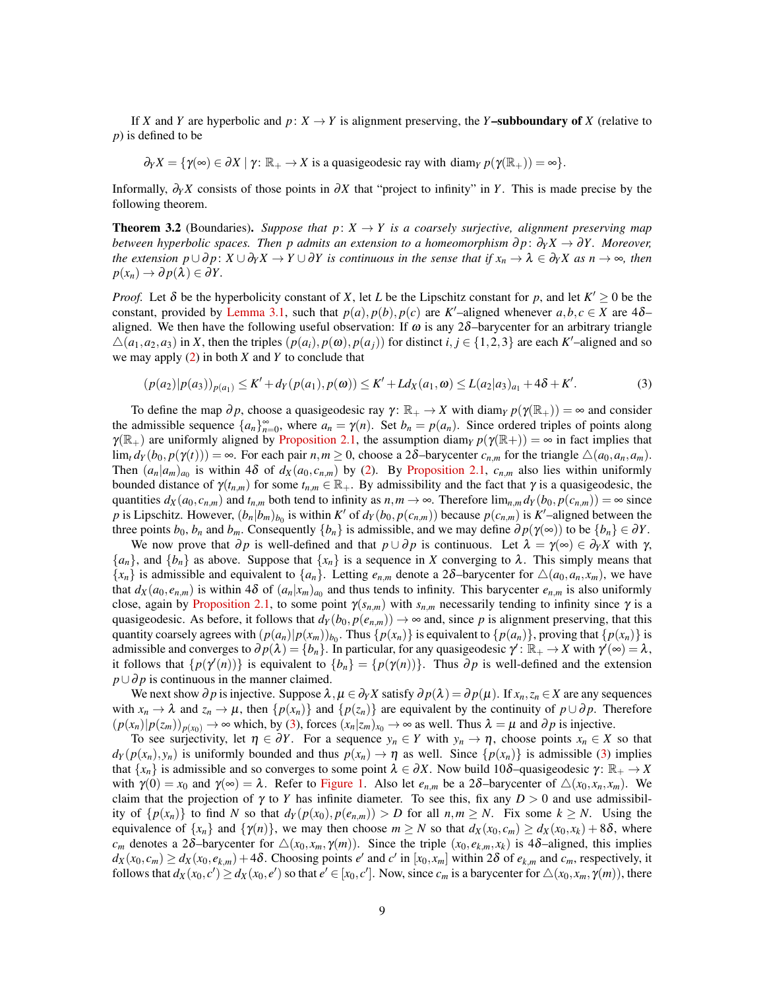If *X* and *Y* are hyperbolic and  $p: X \to Y$  is alignment preserving, the *Y*–subboundary of *X* (relative to *p*) is defined to be

$$
\partial_Y X = \{ \gamma(\infty) \in \partial X \mid \gamma \colon \mathbb{R}_+ \to X \text{ is a quasigeodesic ray with } \operatorname{diam}_Y p(\gamma(\mathbb{R}_+)) = \infty \}.
$$

Informally, ∂*YX* consists of those points in ∂*X* that "project to infinity" in *Y*. This is made precise by the following theorem.

<span id="page-8-0"></span>**Theorem 3.2** (Boundaries). *Suppose that p*:  $X \rightarrow Y$  is a coarsely surjective, alignment preserving map *between hyperbolic spaces. Then p admits an extension to a homeomorphism* ∂ *p*: ∂*YX* → ∂*Y . Moreover, the extension p*∪∂*p*:  $X \cup \partial_Y X \to Y \cup \partial Y$  is continuous in the sense that if  $x_n \to \lambda \in \partial_Y X$  as  $n \to \infty$ , then  $p(x_n) \rightarrow \partial p(\lambda) \in \partial Y$ .

*Proof.* Let  $\delta$  be the hyperbolicity constant of *X*, let *L* be the Lipschitz constant for *p*, and let  $K' \ge 0$  be the constant, provided by [Lemma 3.1,](#page-7-1) such that  $p(a), p(b), p(c)$  are *K*<sup> $l$ </sup>-aligned whenever  $a, b, c \in X$  are  $4\delta$ aligned. We then have the following useful observation: If  $\omega$  is any  $2\delta$ -barycenter for an arbitrary triangle  $\triangle(a_1, a_2, a_3)$  in *X*, then the triples  $(p(a_i), p(\omega), p(a_j))$  for distinct  $i, j \in \{1, 2, 3\}$  are each *K*'-aligned and so we may apply [\(2\)](#page-7-2) in both *X* and *Y* to conclude that

<span id="page-8-1"></span>
$$
(p(a_2)|p(a_3))_{p(a_1)} \le K' + d_Y(p(a_1), p(\omega)) \le K' + Ld_X(a_1, \omega) \le L(a_2|a_3)_{a_1} + 4\delta + K'.
$$
 (3)

To define the map  $\partial p$ , choose a quasigeodesic ray  $\gamma: \mathbb{R}_+ \to X$  with diam<sub>*Y*</sub>  $p(\gamma(\mathbb{R}_+)) = \infty$  and consider the admissible sequence  $\{a_n\}_{n=0}^{\infty}$ , where  $a_n = \gamma(n)$ . Set  $b_n = p(a_n)$ . Since ordered triples of points along  $\gamma(\mathbb{R}_+)$  are uniformly aligned by [Proposition 2.1,](#page-3-0) the assumption diam<sub>*Y*</sub>  $p(\gamma(\mathbb{R}_+)) = \infty$  in fact implies that lim<sub>*t*</sub>  $d_Y(b_0, p(\gamma(t))) = \infty$ . For each pair  $n, m \geq 0$ , choose a 2 $\delta$ -barycenter  $c_{n,m}$  for the triangle  $\Delta(a_0, a_n, a_m)$ . Then  $(a_n|a_m)_{a_0}$  is within 4 $\delta$  of  $d_X(a_0, c_{n,m})$  by [\(2\)](#page-7-2). By [Proposition 2.1,](#page-3-0)  $c_{n,m}$  also lies within uniformly bounded distance of  $\gamma(t_{n,m})$  for some  $t_{n,m} \in \mathbb{R}_+$ . By admissibility and the fact that  $\gamma$  is a quasigeodesic, the quantities  $d_X(a_0, c_{n,m})$  and  $t_{n,m}$  both tend to infinity as  $n,m \to \infty$ . Therefore  $\lim_{n,m} d_Y(b_0, p(c_{n,m})) = \infty$  since p is Lipschitz. However,  $(b_n|b_m)_{b_0}$  is within K' of  $d_Y(b_0, p(c_{n,m}))$  because  $p(c_{n,m})$  is K'-aligned between the three points  $b_0$ ,  $b_n$  and  $b_m$ . Consequently  $\{b_n\}$  is admissible, and we may define  $\partial p(\gamma(\infty))$  to be  $\{b_n\} \in \partial Y$ .

We now prove that  $\partial p$  is well-defined and that  $p \cup \partial p$  is continuous. Let  $\lambda = \gamma(\infty) \in \partial_Y X$  with  $\gamma$ ,  ${a_n}$ , and  ${b_n}$  as above. Suppose that  ${x_n}$  is a sequence in *X* converging to  $\lambda$ . This simply means that  ${x_n}$  is admissible and equivalent to  ${a_n}$ . Letting  $e_{n,m}$  denote a 2δ–barycenter for  $\Delta(a_0, a_n, x_m)$ , we have that  $d_X(a_0, e_{n,m})$  is within  $4\delta$  of  $(a_n|x_m)_{a_0}$  and thus tends to infinity. This barycenter  $e_{n,m}$  is also uniformly close, again by [Proposition 2.1,](#page-3-0) to some point  $\gamma(s_{n,m})$  with  $s_{n,m}$  necessarily tending to infinity since  $\gamma$  is a quasigeodesic. As before, it follows that  $d_Y(b_0, p(e_{n,m})) \to \infty$  and, since p is alignment preserving, that this quantity coarsely agrees with  $(p(a_n)|p(x_m))_{b_0}$ . Thus  $\{p(x_n)\}$  is equivalent to  $\{p(a_n)\}$ , proving that  $\{p(x_n)\}$  is admissible and converges to  $\partial p(\lambda) = \{b_n\}$ . In particular, for any quasigeodesic  $\gamma' : \mathbb{R}_+ \to X$  with  $\gamma(\infty) = \lambda$ , it follows that  $\{p(\gamma(n))\}$  is equivalent to  $\{b_n\} = \{p(\gamma(n))\}$ . Thus  $\partial p$  is well-defined and the extension *p*∪∂*p* is continuous in the manner claimed.

We next show  $\partial p$  is injective. Suppose  $\lambda, \mu \in \partial_Y X$  satisfy  $\partial p(\lambda) = \partial p(\mu)$ . If  $x_n, z_n \in X$  are any sequences with  $x_n \to \lambda$  and  $z_n \to \mu$ , then  $\{p(x_n)\}\$ and  $\{p(z_n)\}\$ are equivalent by the continuity of  $p \cup \partial p$ . Therefore  $(p(x_n)|p(z_m))_{p(x_0)} \to \infty$  which, by [\(3\)](#page-8-1), forces  $(x_n|z_m)_{x_0} \to \infty$  as well. Thus  $\lambda = \mu$  and  $\partial p$  is injective.

To see surjectivity, let  $\eta \in \partial Y$ . For a sequence  $y_n \in Y$  with  $y_n \to \eta$ , choose points  $x_n \in X$  so that  $d_Y(p(x_n), y_n)$  is uniformly bounded and thus  $p(x_n) \to \eta$  as well. Since  $\{p(x_n)\}$  is admissible [\(3\)](#page-8-1) implies that  $\{x_n\}$  is admissible and so converges to some point  $\lambda \in \partial X$ . Now build 10 $\delta$ –quasigeodesic  $\gamma: \mathbb{R}_+ \to X$ with  $\gamma(0) = x_0$  and  $\gamma(\infty) = \lambda$ . Refer to [Figure 1.](#page-9-0) Also let  $e_{n,m}$  be a 2 $\delta$ -barycenter of  $\Delta(x_0, x_n, x_m)$ . We claim that the projection of  $\gamma$  to *Y* has infinite diameter. To see this, fix any  $D > 0$  and use admissibility of  $\{p(x_n)\}\$ to find N so that  $d_Y(p(x_0), p(e_{n,m})) > D$  for all  $n, m \ge N$ . Fix some  $k \ge N$ . Using the equivalence of  $\{x_n\}$  and  $\{\gamma(n)\}\$ , we may then choose  $m \geq N$  so that  $d_X(x_0, c_m) \geq d_X(x_0, x_k) + 8\delta$ , where *c<sub>m</sub>* denotes a 2δ–barycenter for  $\Delta(x_0, x_m, \gamma(m))$ . Since the triple  $(x_0, e_{k,m}, x_k)$  is 4δ–aligned, this implies  $d_X(x_0, c_m) \ge d_X(x_0, e_{k,m}) + 4\delta$ . Choosing points e' and c' in  $[x_0, x_m]$  within 28 of  $e_{k,m}$  and  $c_m$ , respectively, it follows that  $d_X(x_0, c') \ge d_X(x_0, e')$  so that  $e' \in [x_0, c']$ . Now, since  $c_m$  is a barycenter for  $\triangle(x_0, x_m, \gamma(m))$ , there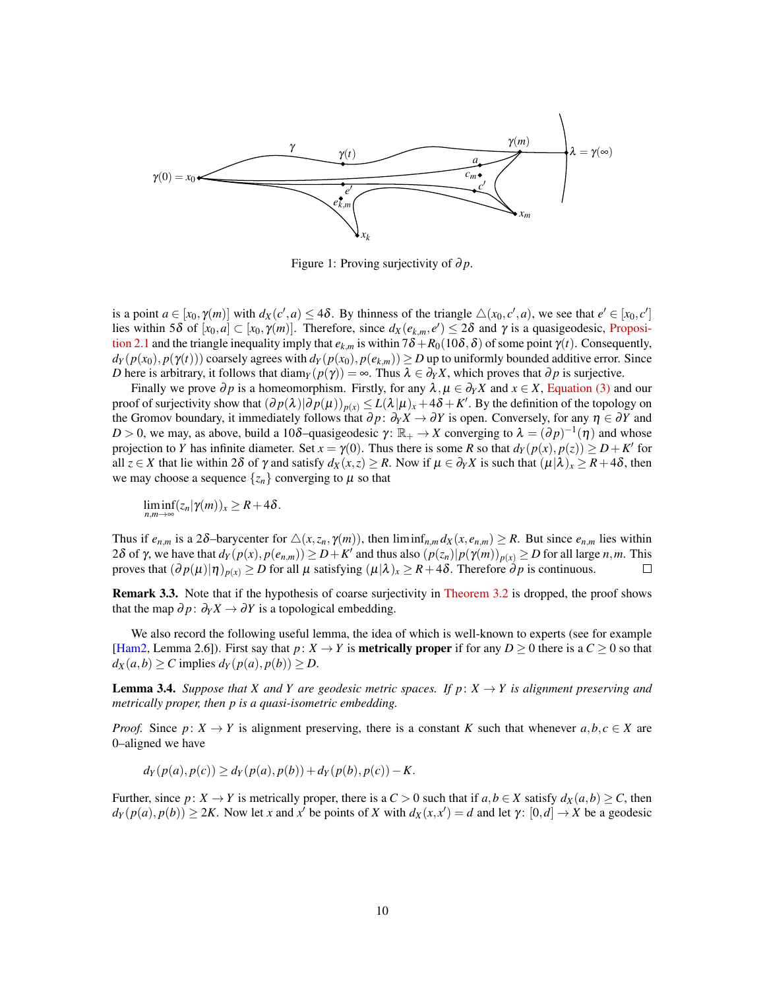

<span id="page-9-0"></span>Figure 1: Proving surjectivity of ∂ *p*.

is a point  $a \in [x_0, \gamma(m)]$  with  $d_X(c', a) \leq 4\delta$ . By thinness of the triangle  $\triangle(x_0, c', a)$ , we see that  $e' \in [x_0, c']$ lies within 5δ of  $[x_0, a] \subset [x_0, \gamma(m)]$ . Therefore, since  $d_X(e_{k,m}, e') \leq 2\delta$  and  $\gamma$  is a quasigeodesic, [Proposi](#page-3-0)[tion 2.1](#page-3-0) and the triangle inequality imply that  $e_{k,m}$  is within  $7δ + R_0(10δ, δ)$  of some point  $γ(t)$ . Consequently,  $d_Y(p(x_0), p(\gamma(t)))$  coarsely agrees with  $d_Y(p(x_0), p(e_{k,m})) \ge D$  up to uniformly bounded additive error. Since *D* here is arbitrary, it follows that diam<sub>*Y*</sub> ( $p(\gamma)$ ) = ∞. Thus  $\lambda \in \partial_Y X$ , which proves that  $\partial p$  is surjective.

Finally we prove  $\partial p$  is a homeomorphism. Firstly, for any  $\lambda, \mu \in \partial_Y X$  and  $x \in X$ , [Equation \(3\)](#page-8-1) and our proof of surjectivity show that  $(\partial p(\lambda)|\partial p(\mu))_{p(x)} \leq L(\lambda|\mu)_x + 4\delta + K'$ . By the definition of the topology on the Gromov boundary, it immediately follows that  $\partial p: \partial Y \to \partial Y$  is open. Conversely, for any  $\eta \in \partial Y$  and *D* > 0, we may, as above, build a 10δ–quasigeodesic  $\gamma$ :  $\mathbb{R}_+ \to X$  converging to  $\lambda = (\partial p)^{-1}(\eta)$  and whose projection to *Y* has infinite diameter. Set  $x = \gamma(0)$ . Thus there is some *R* so that  $d_Y(p(x), p(z)) \ge D + K'$  for all  $z \in X$  that lie within 2 $\delta$  of  $\gamma$  and satisfy  $d_X(x, z) \geq R$ . Now if  $\mu \in \partial_Y X$  is such that  $(\mu | \lambda)_x \geq R + 4\delta$ , then we may choose a sequence  $\{z_n\}$  converging to  $\mu$  so that

$$
\liminf_{n,m\to\infty}(z_n|\gamma(m))_x\geq R+4\delta.
$$

Thus if  $e_{n,m}$  is a 2 $\delta$ -barycenter for  $\Delta(x,z_n,\gamma(m))$ , then  $\liminf_{n,m}d_X(x,e_{n,m}) \geq R$ . But since  $e_{n,m}$  lies within 28 of  $\gamma$ , we have that  $d_Y(p(x), p(e_{n,m})) \ge D + K'$  and thus also  $(p(z_n)|p(\gamma(m))_{p(x)}) \ge D$  for all large n, m. This proves that  $(\partial p(\mu)|\eta)_{p(x)} \ge D$  for all  $\mu$  satisfying  $(\mu|\lambda)_x \ge R + 4\delta$ . Therefore  $\partial p$  is continuous. □

Remark 3.3. Note that if the hypothesis of coarse surjectivity in [Theorem 3.2](#page-8-0) is dropped, the proof shows that the map  $\partial p: \partial_Y X \to \partial Y$  is a topological embedding.

We also record the following useful lemma, the idea of which is well-known to experts (see for example [\[Ham2,](#page-31-17) Lemma 2.6]). First say that  $p: X \to Y$  is **metrically proper** if for any  $D \ge 0$  there is a  $C \ge 0$  so that  $d_X(a,b) \ge C$  implies  $d_Y(p(a), p(b)) \ge D$ .

<span id="page-9-1"></span>**Lemma 3.4.** *Suppose that X and Y are geodesic metric spaces. If p:*  $X \rightarrow Y$  *is alignment preserving and metrically proper, then p is a quasi-isometric embedding.*

*Proof.* Since *p*:  $X \rightarrow Y$  is alignment preserving, there is a constant *K* such that whenever  $a, b, c \in X$  are 0–aligned we have

$$
d_Y(p(a), p(c)) \ge d_Y(p(a), p(b)) + d_Y(p(b), p(c)) - K.
$$

Further, since  $p: X \to Y$  is metrically proper, there is a  $C > 0$  such that if  $a, b \in X$  satisfy  $d_X(a, b) \geq C$ , then  $d_Y(p(a), p(b)) \ge 2K$ . Now let x and x' be points of X with  $d_X(x,x') = d$  and let  $\gamma : [0,d] \to X$  be a geodesic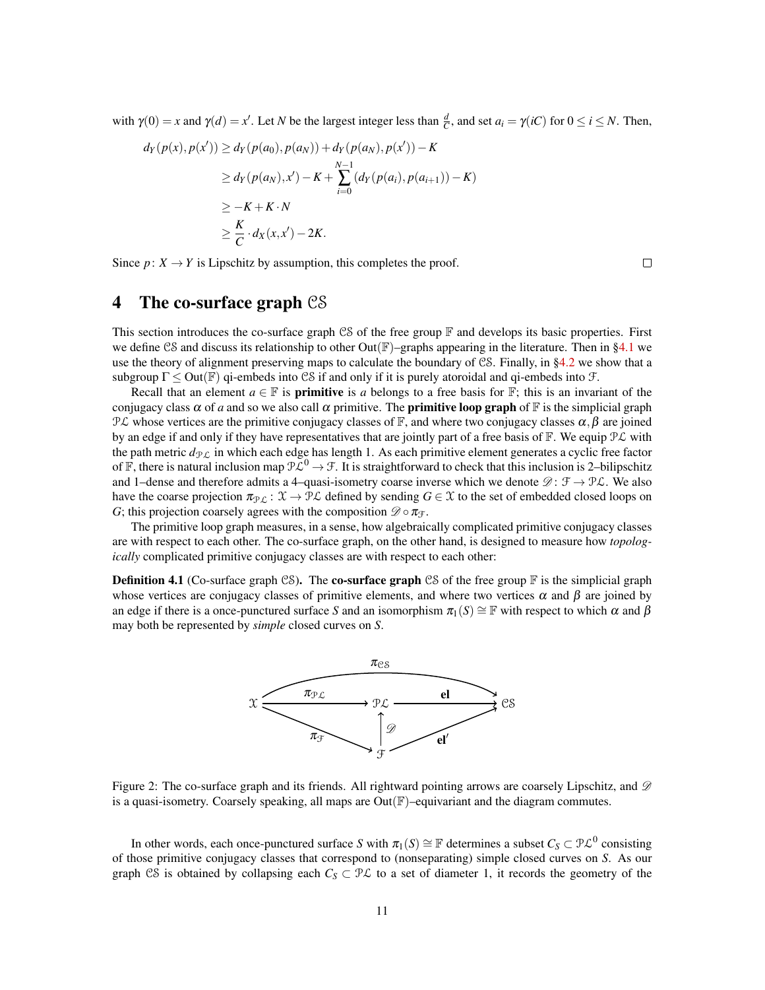with  $\gamma(0) = x$  and  $\gamma(d) = x'$ . Let *N* be the largest integer less than  $\frac{d}{C}$ , and set  $a_i = \gamma(iC)$  for  $0 \le i \le N$ . Then,

$$
d_Y(p(x), p(x')) \ge d_Y(p(a_0), p(a_N)) + d_Y(p(a_N), p(x')) - K
$$
  
\n
$$
\ge d_Y(p(a_N), x') - K + \sum_{i=0}^{N-1} (d_Y(p(a_i), p(a_{i+1})) - K)
$$
  
\n
$$
\ge -K + K \cdot N
$$
  
\n
$$
\ge \frac{K}{C} \cdot d_X(x, x') - 2K.
$$

Since  $p: X \to Y$  is Lipschitz by assumption, this completes the proof.

#### $\Box$

# <span id="page-10-0"></span>4 The co-surface graph CS

This section introduces the co-surface graph  $\mathfrak{CS}$  of the free group  $\mathbb F$  and develops its basic properties. First we define CS and discuss its relationship to other Out( $\mathbb{F}$ )–graphs appearing in the literature. Then in [§4.1](#page-12-0) we use the theory of alignment preserving maps to calculate the boundary of CS. Finally, in [§4.2](#page-13-1) we show that a subgroup  $\Gamma \leq Out(\mathbb{F})$  qi-embeds into CS if and only if it is purely atoroidal and qi-embeds into F.

Recall that an element  $a \in \mathbb{F}$  is **primitive** is a belongs to a free basis for  $\mathbb{F}$ ; this is an invariant of the conjugacy class  $\alpha$  of *a* and so we also call  $\alpha$  primitive. The **primitive loop graph** of **F** is the simplicial graph PL whose vertices are the primitive conjugacy classes of F, and where two conjugacy classes  $\alpha, \beta$  are joined by an edge if and only if they have representatives that are jointly part of a free basis of  $\mathbb F$ . We equip  $\mathcal{PL}$  with the path metric  $d_{\mathcal{PL}}$  in which each edge has length 1. As each primitive element generates a cyclic free factor of F, there is natural inclusion map  $\mathcal{PL}^0 \to \mathcal{F}$ . It is straightforward to check that this inclusion is 2–bilipschitz and 1–dense and therefore admits a 4–quasi-isometry coarse inverse which we denote  $\mathscr{D}$ :  $\mathscr{F} \to \mathscr{P} \mathscr{L}$ . We also have the coarse projection  $\pi_{\mathcal{PL}} : \mathcal{X} \to \mathcal{PL}$  defined by sending  $G \in \mathcal{X}$  to the set of embedded closed loops on *G*; this projection coarsely agrees with the composition  $\mathscr{D} \circ \pi_{\mathscr{F}}$ .

The primitive loop graph measures, in a sense, how algebraically complicated primitive conjugacy classes are with respect to each other. The co-surface graph, on the other hand, is designed to measure how *topologically* complicated primitive conjugacy classes are with respect to each other:

**Definition 4.1** (Co-surface graph CS). The co-surface graph CS of the free group  $\mathbb{F}$  is the simplicial graph whose vertices are conjugacy classes of primitive elements, and where two vertices  $\alpha$  and  $\beta$  are joined by an edge if there is a once-punctured surface *S* and an isomorphism  $\pi_1(S) \cong \mathbb{F}$  with respect to which  $\alpha$  and  $\beta$ may both be represented by *simple* closed curves on *S*.



Figure 2: The co-surface graph and its friends. All rightward pointing arrows are coarsely Lipschitz, and  $\mathscr D$ is a quasi-isometry. Coarsely speaking, all maps are  $Out(\mathbb{F})$ –equivariant and the diagram commutes.

In other words, each once-punctured surface *S* with  $\pi_1(S) \cong \mathbb{F}$  determines a subset  $C_S \subset \mathcal{PL}^0$  consisting of those primitive conjugacy classes that correspond to (nonseparating) simple closed curves on *S*. As our graph CS is obtained by collapsing each  $C_S \subset \mathcal{PL}$  to a set of diameter 1, it records the geometry of the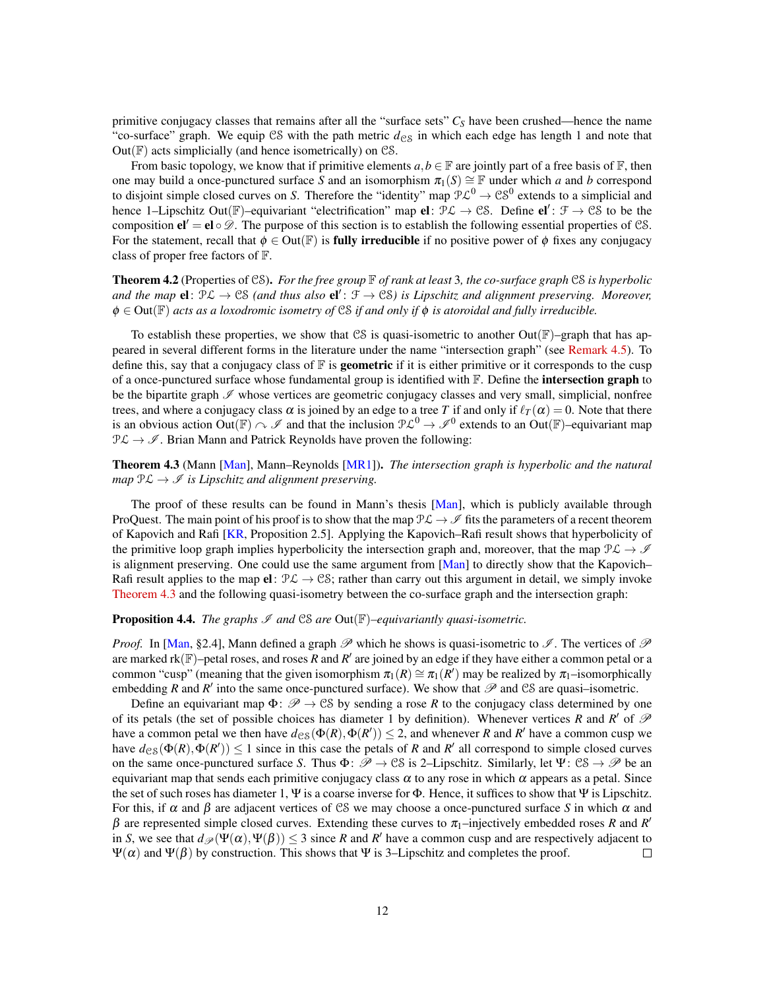primitive conjugacy classes that remains after all the "surface sets"  $C<sub>S</sub>$  have been crushed—hence the name "co-surface" graph. We equip CS with the path metric  $d_{\text{CS}}$  in which each edge has length 1 and note that  $Out(\mathbb{F})$  acts simplicially (and hence isometrically) on  $\mathcal{CS}$ .

From basic topology, we know that if primitive elements  $a, b \in \mathbb{F}$  are jointly part of a free basis of  $\mathbb{F}$ , then one may build a once-punctured surface *S* and an isomorphism  $\pi_1(S) \cong \mathbb{F}$  under which *a* and *b* correspond to disjoint simple closed curves on *S*. Therefore the "identity" map  $\mathcal{PL}^0 \to \mathcal{CS}^0$  extends to a simplicial and hence 1–Lipschitz Out(F)–equivariant "electrification" map  $el: \mathcal{PL} \to \mathcal{CS}$ . Define  $el': \mathcal{F} \to \mathcal{CS}$  to be the composition  $el' = el \circ \mathcal{D}$ . The purpose of this section is to establish the following essential properties of CS. For the statement, recall that  $\phi \in Out(\mathbb{F})$  is **fully irreducible** if no positive power of  $\phi$  fixes any conjugacy class of proper free factors of F.

<span id="page-11-1"></span>Theorem 4.2 (Properties of CS). *For the free group* F *of rank at least* 3*, the co-surface graph* CS *is hyperbolic* and the map  $el: \mathcal{PL} \to \mathcal{CS}$  (and thus also  $el': \mathcal{F} \to \mathcal{CS}$ ) is Lipschitz and alignment preserving. Moreover, φ ∈ Out(F) *acts as a loxodromic isometry of* CS *if and only if* φ *is atoroidal and fully irreducible.*

To establish these properties, we show that CS is quasi-isometric to another Out( $\mathbb{F}$ )–graph that has appeared in several different forms in the literature under the name "intersection graph" (see [Remark 4.5\)](#page-12-1). To define this, say that a conjugacy class of  $\mathbb F$  is **geometric** if it is either primitive or it corresponds to the cusp of a once-punctured surface whose fundamental group is identified with  $\mathbb{F}$ . Define the **intersection graph** to be the bipartite graph  $\mathcal I$  whose vertices are geometric conjugacy classes and very small, simplicial, nonfree trees, and where a conjugacy class  $\alpha$  is joined by an edge to a tree *T* if and only if  $\ell_T(\alpha) = 0$ . Note that there is an obvious action Out( $\mathbb{F}$ )  $\curvearrowright \mathscr{I}$  and that the inclusion  $\mathcal{PL}^0 \to \mathscr{I}^0$  extends to an Out( $\mathbb{F}$ )-equivariant map  $\mathcal{P}\mathcal{L} \to \mathcal{I}$ . Brian Mann and Patrick Reynolds have proven the following:

<span id="page-11-0"></span>Theorem 4.3 (Mann [\[Man\]](#page-32-2), Mann–Reynolds [\[MR1\]](#page-32-1)). *The intersection graph is hyperbolic and the natural map*  $\mathcal{P}\mathcal{L} \to \mathcal{I}$  *is Lipschitz and alignment preserving.* 

The proof of these results can be found in Mann's thesis [\[Man\]](#page-32-2), which is publicly available through ProQuest. The main point of his proof is to show that the map  $\mathcal{PL} \to \mathcal{I}$  fits the parameters of a recent theorem of Kapovich and Rafi [\[KR,](#page-32-8) Proposition 2.5]. Applying the Kapovich–Rafi result shows that hyperbolicity of the primitive loop graph implies hyperbolicity the intersection graph and, moreover, that the map  $\mathcal{PL} \to \mathcal{I}$ is alignment preserving. One could use the same argument from [\[Man\]](#page-32-2) to directly show that the Kapovich– Rafi result applies to the map el:  $\mathcal{PL} \to \mathcal{CS}$ ; rather than carry out this argument in detail, we simply invoke [Theorem 4.3](#page-11-0) and the following quasi-isometry between the co-surface graph and the intersection graph:

#### <span id="page-11-2"></span>**Proposition 4.4.** *The graphs*  $\mathscr I$  *and*  $\mathscr CS$  *are*  $Out(\mathbb F)$ *-equivariantly quasi-isometric.*

*Proof.* In [\[Man,](#page-32-2) §2.4], Mann defined a graph  $\mathscr P$  which he shows is quasi-isometric to  $\mathscr I$ . The vertices of  $\mathscr P$ are marked rk( $\mathbb{F}$ )–petal roses, and roses *R* and *R'* are joined by an edge if they have either a common petal or a common "cusp" (meaning that the given isomorphism  $\pi_1(R) \cong \pi_1(R)$  may be realized by  $\pi_1$ –isomorphically embedding *R* and *R'* into the same once-punctured surface). We show that  $\mathscr P$  and CS are quasi–isometric.

Define an equivariant map  $\Phi$ :  $\mathscr{P} \to \mathscr{CS}$  by sending a rose *R* to the conjugacy class determined by one of its petals (the set of possible choices has diameter 1 by definition). Whenever vertices  $R$  and  $R'$  of  $\mathcal P$ have a common petal we then have  $d_{\text{CS}}(\Phi(R), \Phi(R')) \leq 2$ , and whenever *R* and *R'* have a common cusp we have  $d_{CS}(\Phi(R), \Phi(R')) \le 1$  since in this case the petals of *R* and *R'* all correspond to simple closed curves on the same once-punctured surface *S*. Thus  $\Phi$ :  $\mathcal{P} \to \mathcal{CS}$  is 2–Lipschitz. Similarly, let  $\Psi$ :  $\mathcal{CS} \to \mathcal{P}$  be an equivariant map that sends each primitive conjugacy class  $\alpha$  to any rose in which  $\alpha$  appears as a petal. Since the set of such roses has diameter 1, Ψ is a coarse inverse for Φ. Hence, it suffices to show that Ψ is Lipschitz. For this, if  $\alpha$  and  $\beta$  are adjacent vertices of CS we may choose a once-punctured surface *S* in which  $\alpha$  and  $\beta$  are represented simple closed curves. Extending these curves to  $\pi_1$ -injectively embedded roses *R* and *R'* in *S*, we see that  $d_{\mathscr{P}}(\Psi(\alpha), \Psi(\beta)) \leq 3$  since *R* and *R'* have a common cusp and are respectively adjacent to  $\Psi(\alpha)$  and  $\Psi(\beta)$  by construction. This shows that  $\Psi$  is 3–Lipschitz and completes the proof.  $\Box$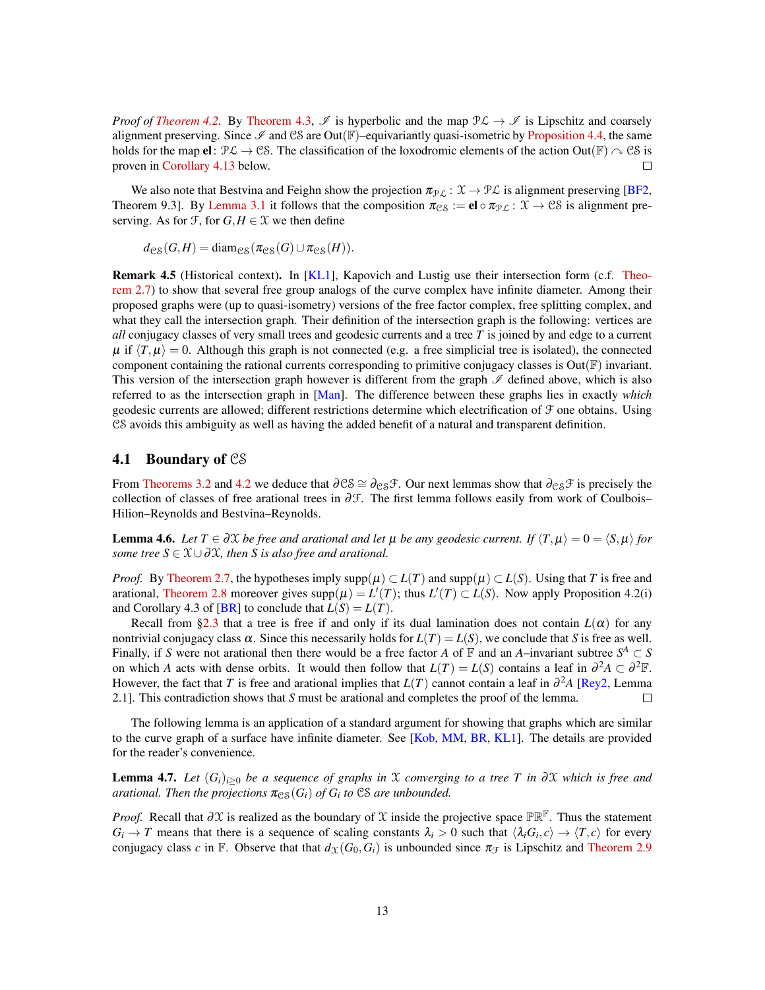*Proof of [Theorem 4.2.](#page-11-1)* By [Theorem 4.3,](#page-11-0)  $\mathcal{I}$  is hyperbolic and the map  $\mathcal{PL} \to \mathcal{I}$  is Lipschitz and coarsely alignment preserving. Since  $\mathscr I$  and CS are Out( $\mathbb F$ )–equivariantly quasi-isometric by [Proposition 4.4,](#page-11-2) the same holds for the map **el**:  $\mathcal{PL} \to \mathcal{CS}$ . The classification of the loxodromic elements of the action Out( $\mathbb{F} \cap \mathcal{CS}$  is proven in [Corollary 4.13](#page-14-1) below.  $\Box$ 

We also note that Bestvina and Feighn show the projection  $\pi_{\mathcal{PL}} : \mathcal{X} \to \mathcal{PL}$  is alignment preserving [\[BF2,](#page-30-1) Theorem 9.3]. By [Lemma 3.1](#page-7-1) it follows that the composition  $\pi_{\mathcal{CS}} := \mathbf{el} \circ \pi_{\mathcal{PL}} : \mathcal{X} \to \mathcal{CS}$  is alignment preserving. As for  $\mathcal{F}$ , for  $G, H \in \mathcal{X}$  we then define

 $d_{\text{CS}}(G,H) = \text{diam}_{\text{CS}}(\pi_{\text{CS}}(G) \cup \pi_{\text{CS}}(H)).$ 

<span id="page-12-1"></span>Remark 4.5 (Historical context). In [\[KL1\]](#page-31-3), Kapovich and Lustig use their intersection form (c.f. [Theo](#page-7-3)[rem 2.7\)](#page-7-3) to show that several free group analogs of the curve complex have infinite diameter. Among their proposed graphs were (up to quasi-isometry) versions of the free factor complex, free splitting complex, and what they call the intersection graph. Their definition of the intersection graph is the following: vertices are *all* conjugacy classes of very small trees and geodesic currents and a tree *T* is joined by and edge to a current  $\mu$  if  $\langle T,\mu \rangle = 0$ . Although this graph is not connected (e.g. a free simplicial tree is isolated), the connected component containing the rational currents corresponding to primitive conjugacy classes is  $Out(\mathbb{F})$  invariant. This version of the intersection graph however is different from the graph  $\mathscr I$  defined above, which is also referred to as the intersection graph in [\[Man\]](#page-32-2). The difference between these graphs lies in exactly *which* geodesic currents are allowed; different restrictions determine which electrification of F one obtains. Using CS avoids this ambiguity as well as having the added benefit of a natural and transparent definition.

### <span id="page-12-0"></span>4.1 Boundary of CS

From [Theorems 3.2](#page-8-0) and [4.2](#page-11-1) we deduce that  $\partial \mathcal{CS} \cong \partial_{\mathcal{CS}} \mathcal{F}$ . Our next lemmas show that  $\partial_{\mathcal{CS}} \mathcal{F}$  is precisely the collection of classes of free arational trees in  $\partial \mathcal{F}$ . The first lemma follows easily from work of Coulbois– Hilion–Reynolds and Bestvina–Reynolds.

<span id="page-12-2"></span>**Lemma 4.6.** Let  $T \in \partial X$  be free and arational and let  $\mu$  be any geodesic current. If  $\langle T, \mu \rangle = 0 = \langle S, \mu \rangle$  for *some tree*  $S \in \mathcal{X} \cup \partial \mathcal{X}$ , then S is also free and arational.

*Proof.* By [Theorem 2.7,](#page-7-3) the hypotheses imply supp( $\mu$ ) ⊂  $L(T)$  and supp( $\mu$ ) ⊂  $L(S)$ . Using that *T* is free and arational, [Theorem 2.8](#page-7-4) moreover gives  $supp(\mu) = L'(T)$ ; thus  $L'(T) \subset L(S)$ . Now apply Proposition 4.2(i) and Corollary 4.3 of [\[BR\]](#page-30-8) to conclude that  $L(S) = L(T)$ .

Recall from [§2.3](#page-4-0) that a tree is free if and only if its dual lamination does not contain  $L(\alpha)$  for any nontrivial conjugacy class  $\alpha$ . Since this necessarily holds for  $L(T) = L(S)$ , we conclude that *S* is free as well. Finally, if *S* were not arational then there would be a free factor *A* of  $\mathbb{F}$  and an *A*–invariant subtree  $S^A \subset S$ on which *A* acts with dense orbits. It would then follow that  $L(T) = L(S)$  contains a leaf in  $\partial^2 A \subset \partial^2 \mathbb{F}$ . However, the fact that *T* is free and arational implies that  $L(T)$  cannot contain a leaf in  $\partial^2 A$  [\[Rey2,](#page-32-7) Lemma 2.1]. This contradiction shows that *S* must be arational and completes the proof of the lemma.  $\Box$ 

The following lemma is an application of a standard argument for showing that graphs which are similar to the curve graph of a surface have infinite diameter. See [\[Kob,](#page-32-9) [MM,](#page-32-10) [BR,](#page-30-8) [KL1\]](#page-31-3). The details are provided for the reader's convenience.

<span id="page-12-3"></span>**Lemma 4.7.** Let  $(G_i)_{i>0}$  be a sequence of graphs in X converging to a tree T in  $\partial X$  which is free and  $a$ rational. Then the projections  $\pi_{\mathcal{CS}}(G_i)$  of  $G_i$  to  $\mathcal{CS}% (G_i)$  are unbounded.

*Proof.* Recall that  $\partial \mathcal{X}$  is realized as the boundary of  $\mathcal{X}$  inside the projective space  $\mathbb{PR}^{\mathbb{F}}$ . Thus the statement  $G_i \to T$  means that there is a sequence of scaling constants  $\lambda_i > 0$  such that  $\langle \lambda_i G_i, c \rangle \to \langle T, c \rangle$  for every conjugacy class *c* in F. Observe that that  $d_X(G_0, G_i)$  is unbounded since  $\pi_f$  is Lipschitz and [Theorem 2.9](#page-7-5)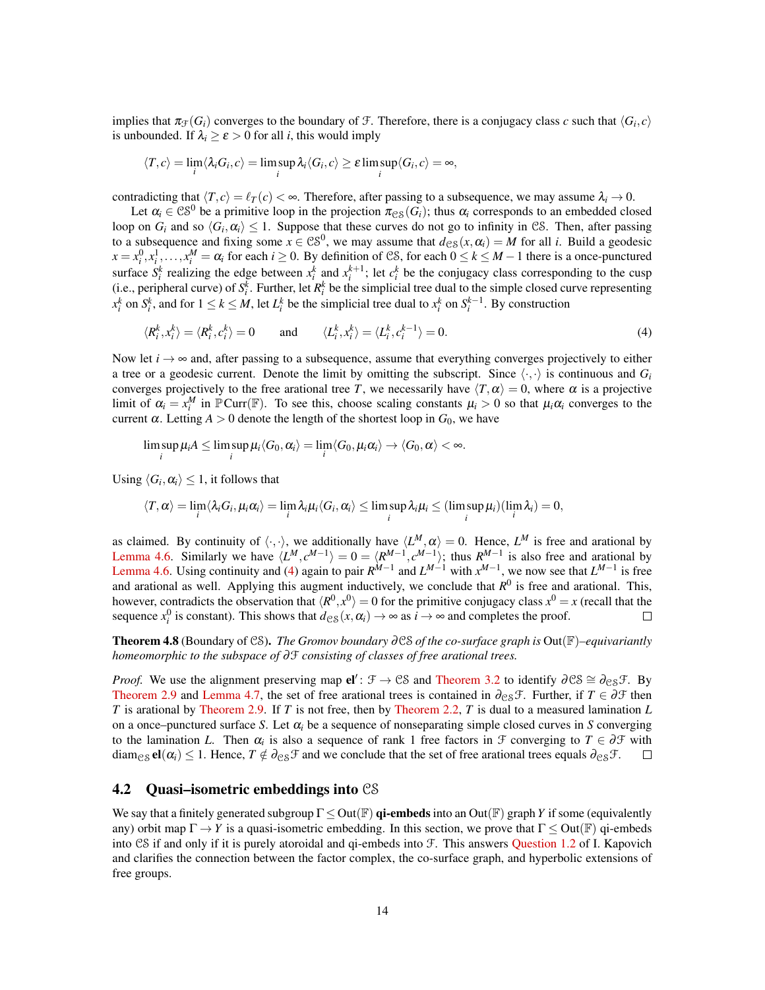implies that  $\pi_{\mathcal{F}}(G_i)$  converges to the boundary of  $\mathcal{F}$ . Therefore, there is a conjugacy class *c* such that  $\langle G_i, c \rangle$ is unbounded. If  $\lambda_i \geq \varepsilon > 0$  for all *i*, this would imply

$$
\langle T, c \rangle = \lim_i \langle \lambda_i G_i, c \rangle = \limsup_i \lambda_i \langle G_i, c \rangle \ge \varepsilon \limsup_i \langle G_i, c \rangle = \infty,
$$

contradicting that  $\langle T, c \rangle = \ell_T(c) < \infty$ . Therefore, after passing to a subsequence, we may assume  $\lambda_i \to 0$ .

Let  $\alpha_i \in \mathbb{C}S^0$  be a primitive loop in the projection  $\pi_{\mathbb{C}S}(G_i)$ ; thus  $\alpha_i$  corresponds to an embedded closed loop on  $G_i$  and so  $\langle G_i, \alpha_i \rangle \leq 1$ . Suppose that these curves do not go to infinity in CS. Then, after passing to a subsequence and fixing some  $x \in \mathbb{C}S^0$ , we may assume that  $d_{\mathbb{C}S}(x, \alpha_i) = M$  for all *i*. Build a geodesic  $x = x_i^0, x_i^1, \dots, x_i^M = \alpha_i$  for each  $i \ge 0$ . By definition of CS, for each  $0 \le k \le M - 1$  there is a once-punctured surface  $S_i^k$  realizing the edge between  $x_i^k$  and  $x_i^{k+1}$ ; let  $c_i^k$  be the conjugacy class corresponding to the cusp (i.e., peripheral curve) of  $S_i^k$ . Further, let  $R_i^k$  be the simplicial tree dual to the simple closed curve representing  $x_i^k$  on  $S_i^k$ , and for  $1 \le k \le M$ , let  $L_i^k$  be the simplicial tree dual to  $x_i^k$  on  $S_i^{k-1}$ . By construction

<span id="page-13-2"></span>
$$
\langle R_i^k, x_i^k \rangle = \langle R_i^k, c_i^k \rangle = 0 \quad \text{and} \quad \langle L_i^k, x_i^k \rangle = \langle L_i^k, c_i^{k-1} \rangle = 0. \tag{4}
$$

Now let  $i \to \infty$  and, after passing to a subsequence, assume that everything converges projectively to either a tree or a geodesic current. Denote the limit by omitting the subscript. Since  $\langle \cdot, \cdot \rangle$  is continuous and  $G_i$ converges projectively to the free arational tree *T*, we necessarily have  $\langle T, \alpha \rangle = 0$ , where  $\alpha$  is a projective limit of  $\alpha_i = x_i^M$  in  $\mathbb{P}(\text{Curr}(\mathbb{F}))$ . To see this, choose scaling constants  $\mu_i > 0$  so that  $\mu_i \alpha_i$  converges to the current  $\alpha$ . Letting  $A > 0$  denote the length of the shortest loop in  $G_0$ , we have

$$
\limsup_{i} \mu_i A \leq \limsup_{i} \mu_i \langle G_0, \alpha_i \rangle = \lim_{i} \langle G_0, \mu_i \alpha_i \rangle \rightarrow \langle G_0, \alpha \rangle < \infty.
$$

Using  $\langle G_i, \alpha_i \rangle \leq 1,$  it follows that

$$
\langle T, \alpha \rangle = \lim_i \langle \lambda_i G_i, \mu_i \alpha_i \rangle = \lim_i \lambda_i \mu_i \langle G_i, \alpha_i \rangle \leq \limsup_i \lambda_i \mu_i \leq (\limsup_i \mu_i) (\lim_i \lambda_i) = 0,
$$

as claimed. By continuity of  $\langle \cdot, \cdot \rangle$ , we additionally have  $\langle L^M, \alpha \rangle = 0$ . Hence,  $L^M$  is free and arational by [Lemma 4.6.](#page-12-2) Similarly we have  $\langle L^M, c^{M-1} \rangle = 0 = \langle R^{M-1}, c^{M-1} \rangle$ ; thus  $R^{M-1}$  is also free and arational by [Lemma 4.6.](#page-12-2) Using continuity and [\(4\)](#page-13-2) again to pair  $R^{M-1}$  and  $L^{M-1}$  with  $x^{M-1}$ , we now see that  $L^{M-1}$  is free and arational as well. Applying this augment inductively, we conclude that  $R^0$  is free and arational. This, however, contradicts the observation that  $\langle R^0, x^0 \rangle = 0$  for the primitive conjugacy class  $x^0 = x$  (recall that the sequence  $x_i^0$  is constant). This shows that  $d_{\text{CS}}(x, \alpha_i) \to \infty$  as  $i \to \infty$  and completes the proof. П

<span id="page-13-0"></span>Theorem 4.8 (Boundary of CS). *The Gromov boundary* ∂CS *of the co-surface graph is* Out(F)*–equivariantly homeomorphic to the subspace of* ∂F *consisting of classes of free arational trees.*

*Proof.* We use the alignment preserving map  $el': \mathcal{F} \to \mathcal{CS}$  and [Theorem 3.2](#page-8-0) to identify  $\partial \mathcal{CS} \cong \partial_{\mathcal{CS}} \mathcal{F}$ . By [Theorem 2.9](#page-7-5) and [Lemma 4.7,](#page-12-3) the set of free arational trees is contained in  $\partial_{\mathcal{CS}}\mathcal{F}$ . Further, if  $T \in \partial \mathcal{F}$  then *T* is arational by [Theorem 2.9.](#page-7-5) If *T* is not free, then by [Theorem 2.2,](#page-4-1) *T* is dual to a measured lamination *L* on a once–punctured surface *S*. Let  $\alpha_i$  be a sequence of nonseparating simple closed curves in *S* converging to the lamination *L*. Then  $\alpha_i$  is also a sequence of rank 1 free factors in  $\mathcal{F}$  converging to  $T \in \partial \mathcal{F}$  with diam<sub>CS</sub> el( $\alpha_i$ ) ≤ 1. Hence,  $T \notin \partial_{\text{CS}} \mathcal{F}$  and we conclude that the set of free arational trees equals  $\partial_{\text{CS}} \mathcal{F}$ .  $\Box$ 

#### <span id="page-13-1"></span>4.2 Quasi–isometric embeddings into CS

We say that a finitely generated subgroup  $\Gamma <$  Out(F) **qi-embeds** into an Out(F) graph *Y* if some (equivalently any) orbit map  $\Gamma \to Y$  is a quasi-isometric embedding. In this section, we prove that  $\Gamma \leq Out(\mathbb{F})$  qi-embeds into CS if and only if it is purely atoroidal and qi-embeds into F. This answers [Question 1.2](#page-1-0) of I. Kapovich and clarifies the connection between the factor complex, the co-surface graph, and hyperbolic extensions of free groups.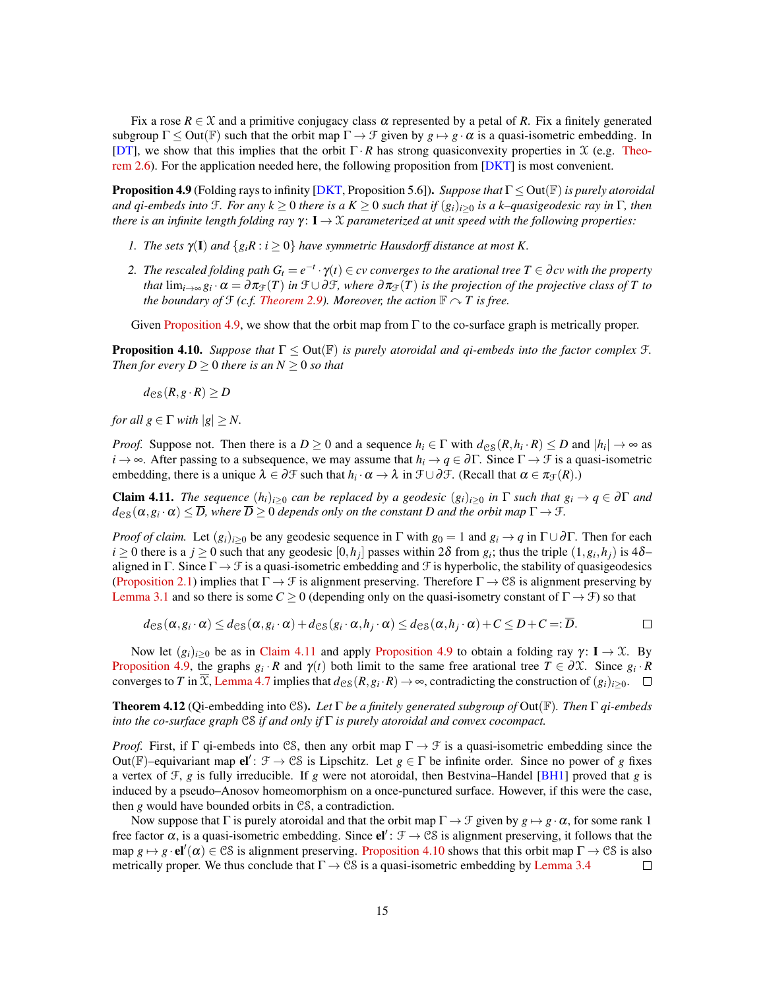Fix a rose  $R \in \mathcal{X}$  and a primitive conjugacy class  $\alpha$  represented by a petal of R. Fix a finitely generated subgroup  $\Gamma \leq Out(\mathbb{F})$  such that the orbit map  $\Gamma \to \mathcal{F}$  given by  $g \mapsto g \cdot \alpha$  is a quasi-isometric embedding. In [\[DT\]](#page-31-0), we show that this implies that the orbit Γ · *R* has strong quasiconvexity properties in X (e.g. [Theo](#page-6-0)[rem 2.6\)](#page-6-0). For the application needed here, the following proposition from [\[DKT\]](#page-31-6) is most convenient.

<span id="page-14-2"></span>Proposition 4.9 (Folding rays to infinity [\[DKT,](#page-31-6) Proposition 5.6]). *Suppose that* Γ ≤ Out(F)*is purely atoroidal and qi-embeds into*  $\mathcal{F}$ *. For any*  $k \geq 0$  *there is a*  $K \geq 0$  *such that if*  $(g_i)_{i \geq 0}$  *is a k–quasigeodesic ray in*  $\Gamma$ *, then there is an infinite length folding ray*  $\gamma: I \to \mathcal{X}$  *parameterized at unit speed with the following properties:* 

- *1. The sets*  $\gamma(I)$  *and*  $\{g_iR : i \geq 0\}$  *have symmetric Hausdorff distance at most K.*
- *2. The rescaled folding path*  $G_t = e^{-t} \cdot \gamma(t) \in cv$  converges to the arational tree  $T \in \partial cv$  with the property *that*  $\lim_{i\to\infty} g_i\cdot\alpha=\partial\pi_{\mathcal{F}}(T)$  *in*  $\mathcal{F}\cup\partial\mathcal{F}$ *, where*  $\partial\pi_{\mathcal{F}}(T)$  *is the projection of the projective class of* T *to the boundary of*  $\mathcal{F}$  *(c.f. [Theorem 2.9\)](#page-7-5). Moreover, the action*  $\mathbb{F} \cap T$  *is free.*

Given [Proposition 4.9,](#page-14-2) we show that the orbit map from Γ to the co-surface graph is metrically proper.

<span id="page-14-4"></span>**Proposition 4.10.** *Suppose that*  $\Gamma \leq Out(\mathbb{F})$  *is purely atoroidal and qi-embeds into the factor complex*  $\mathcal{F}$ *. Then for every*  $D \geq 0$  *there is an*  $N \geq 0$  *so that* 

 $d_{\mathcal{CS}}(R, g \cdot R) \geq D$ 

*for all*  $g \in \Gamma$  *with*  $|g| \geq N$ .

*Proof.* Suppose not. Then there is a  $D \ge 0$  and a sequence  $h_i \in \Gamma$  with  $d_{\text{CS}}(R, h_i \cdot R) \le D$  and  $|h_i| \to \infty$  as *i* → ∞. After passing to a subsequence, we may assume that  $h_i \to q \in \partial \Gamma$ . Since  $\Gamma \to \mathcal{F}$  is a quasi-isometric embedding, there is a unique  $\lambda \in \partial \mathcal{F}$  such that  $h_i \cdot \alpha \to \lambda$  in  $\mathcal{F} \cup \partial \mathcal{F}$ . (Recall that  $\alpha \in \pi_{\mathcal{F}}(R)$ .)

<span id="page-14-3"></span>**Claim 4.11.** *The sequence*  $(h_i)_{i>0}$  *can be replaced by a geodesic*  $(g_i)_{i>0}$  *in*  $\Gamma$  *such that*  $g_i \to q \in \partial \Gamma$  *and*  $d_{\text{CS}}(\alpha, g_i \cdot \alpha) \leq \overline{D}$ , where  $\overline{D} \geq 0$  depends only on the constant D and the orbit map  $\Gamma \to \mathfrak{F}$ .

*Proof of claim.* Let  $(g_i)_{i>0}$  be any geodesic sequence in Γ with  $g_0 = 1$  and  $g_i \to q$  in Γ∪∂Γ. Then for each  $i \ge 0$  there is a  $j \ge 0$  such that any geodesic  $[0, h_j]$  passes within 2 $\delta$  from  $g_i$ ; thus the triple  $(1, g_i, h_j)$  is  $4\delta$ aligned in Γ. Since  $\Gamma \to \mathcal{F}$  is a quasi-isometric embedding and  $\mathcal{F}$  is hyperbolic, the stability of quasigeodesics [\(Proposition 2.1\)](#page-3-0) implies that  $\Gamma \to \mathcal{F}$  is alignment preserving. Therefore  $\Gamma \to \mathcal{C}$  is alignment preserving by [Lemma 3.1](#page-7-1) and so there is some  $C \ge 0$  (depending only on the quasi-isometry constant of  $\Gamma \to \mathcal{F}$ ) so that

$$
d_{\text{CS}}(\alpha, g_i \cdot \alpha) \leq d_{\text{CS}}(\alpha, g_i \cdot \alpha) + d_{\text{CS}}(g_i \cdot \alpha, h_j \cdot \alpha) \leq d_{\text{CS}}(\alpha, h_j \cdot \alpha) + C \leq D + C =: \overline{D}.
$$

Now let  $(g_i)_{i\geq 0}$  be as in [Claim 4.11](#page-14-3) and apply [Proposition 4.9](#page-14-2) to obtain a folding ray  $\gamma: I \to \mathcal{X}$ . By [Proposition 4.9,](#page-14-2) the graphs  $g_i \cdot R$  and  $\gamma(t)$  both limit to the same free arational tree  $T \in \partial \mathcal{X}$ . Since  $g_i \cdot R$ converges to *T* in  $\overline{X}$ , [Lemma 4.7](#page-12-3) implies that  $d_{\text{CS}}(R, g_i \cdot R) \to \infty$ , contradicting the construction of  $(g_i)_{i \geq 0}$ .

<span id="page-14-0"></span>Theorem 4.12 (Qi-embedding into CS). *Let* Γ *be a finitely generated subgroup of* Out(F)*. Then* Γ *qi-embeds into the co-surface graph* CS *if and only if* Γ *is purely atoroidal and convex cocompact.*

*Proof.* First, if  $\Gamma$  qi-embeds into CS, then any orbit map  $\Gamma \to \mathcal{F}$  is a quasi-isometric embedding since the Out(F)–equivariant map  $el' : \mathcal{F} \to \mathcal{CS}$  is Lipschitz. Let  $g \in \Gamma$  be infinite order. Since no power of *g* fixes a vertex of F, *g* is fully irreducible. If *g* were not atoroidal, then Bestvina–Handel [\[BH1\]](#page-30-0) proved that *g* is induced by a pseudo–Anosov homeomorphism on a once-punctured surface. However, if this were the case, then *g* would have bounded orbits in CS, a contradiction.

<span id="page-14-1"></span>Now suppose that Γ is purely atoroidal and that the orbit map  $\Gamma \to \mathcal{F}$  given by  $g \mapsto g \cdot \alpha$ , for some rank 1 free factor  $\alpha$ , is a quasi-isometric embedding. Since  $el' : \mathcal{F} \to \mathcal{CS}$  is alignment preserving, it follows that the map  $g \mapsto g \cdot \mathbf{el}'(\alpha) \in \mathcal{CS}$  is alignment preserving. [Proposition 4.10](#page-14-4) shows that this orbit map  $\Gamma \to \mathcal{CS}$  is also metrically proper. We thus conclude that  $\Gamma \rightarrow \mathcal{CS}$  is a quasi-isometric embedding by [Lemma 3.4](#page-9-1)  $\Box$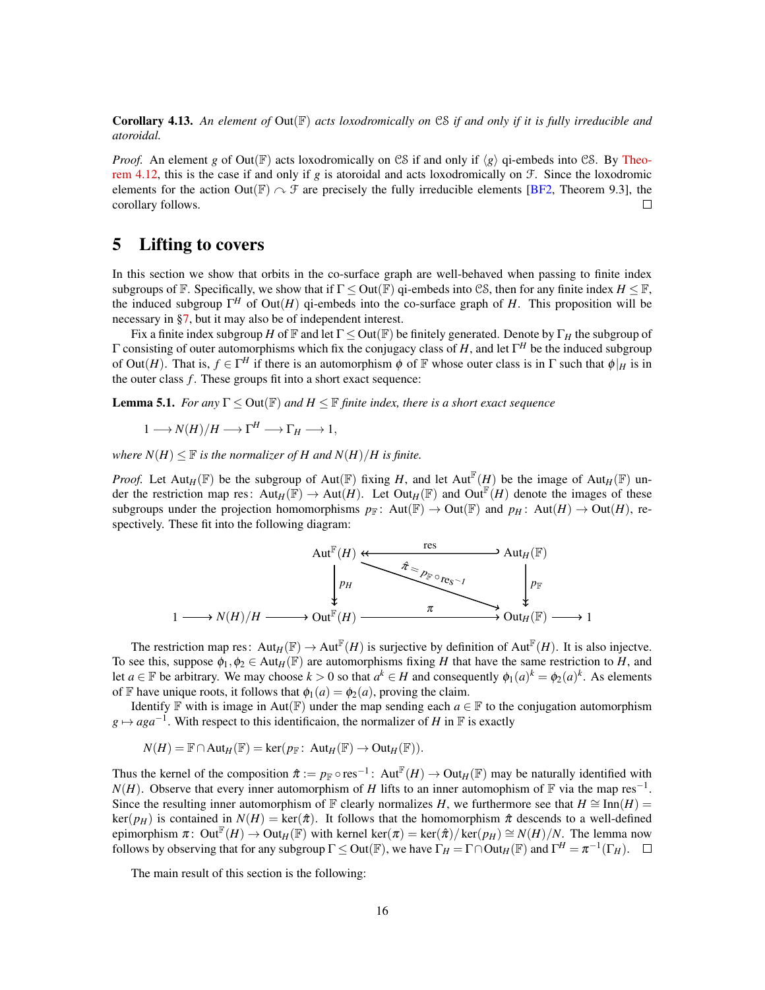Corollary 4.13. *An element of* Out(F) *acts loxodromically on* CS *if and only if it is fully irreducible and atoroidal.*

*Proof.* An element *g* of Out(F) acts loxodromically on CS if and only if  $\langle g \rangle$  qi-embeds into CS. By [Theo](#page-14-0)[rem 4.12,](#page-14-0) this is the case if and only if *g* is atoroidal and acts loxodromically on F. Since the loxodromic elements for the action Out( $\mathbb{F}$ )  $\sim$   $\mathcal F$  are precisely the fully irreducible elements [\[BF2,](#page-30-1) Theorem 9.3], the corollary follows.  $\Box$ 

## 5 Lifting to covers

In this section we show that orbits in the co-surface graph are well-behaved when passing to finite index subgroups of  $\mathbb F$ . Specifically, we show that if  $\Gamma \leq Out(\mathbb F)$  qi-embeds into CS, then for any finite index  $H \leq \mathbb F$ , the induced subgroup  $\Gamma^H$  of Out(*H*) qi-embeds into the co-surface graph of *H*. This proposition will be necessary in [§7,](#page-22-0) but it may also be of independent interest.

Fix a finite index subgroup *H* of  $\mathbb F$  and let  $\Gamma \leq Out(\mathbb F)$  be finitely generated. Denote by  $\Gamma_H$  the subgroup of Γ consisting of outer automorphisms which fix the conjugacy class of *H*, and let Γ *<sup>H</sup>* be the induced subgroup of Out(*H*). That is,  $f \in \Gamma^H$  if there is an automorphism  $\phi$  of F whose outer class is in  $\Gamma$  such that  $\phi|_H$  is in the outer class  $f$ . These groups fit into a short exact sequence:

**Lemma 5.1.** *For any*  $\Gamma \leq Out(\mathbb{F})$  *and*  $H \leq \mathbb{F}$  *finite index, there is a short exact sequence* 

$$
1 \longrightarrow N(H)/H \longrightarrow \Gamma^H \longrightarrow \Gamma_H \longrightarrow 1,
$$

*where*  $N(H) \leq \mathbb{F}$  *is the normalizer of H and*  $N(H)/H$  *is finite.* 

*Proof.* Let  $Aut_H(\mathbb{F})$  be the subgroup of  $Aut(\mathbb{F})$  fixing *H*, and let  $Aut^{\mathbb{F}}(H)$  be the image of  $Aut_H(\mathbb{F})$  under the restriction map res:  $\text{Aut}_H(\mathbb{F}) \to \text{Aut}(H)$ . Let  $\text{Out}_H(\mathbb{F})$  and  $\text{Out}_F^{\mathbb{F}}(H)$  denote the images of these subgroups under the projection homomorphisms  $p_F$ : Aut( $F$ )  $\to$  Out( $F$ ) and  $p_H$ : Aut( $H$ )  $\to$  Out( $H$ ), respectively. These fit into the following diagram:



The restriction map res:  $Aut_H(\mathbb{F}) \to Aut^{\mathbb{F}}(H)$  is surjective by definition of  $Aut^{\mathbb{F}}(H)$ . It is also injectve. To see this, suppose  $\phi_1, \phi_2 \in \text{Aut}_H(\mathbb{F})$  are automorphisms fixing *H* that have the same restriction to *H*, and let  $a \in \mathbb{F}$  be arbitrary. We may choose  $k > 0$  so that  $a^k \in H$  and consequently  $\phi_1(a)^k = \phi_2(a)^k$ . As elements of F have unique roots, it follows that  $\phi_1(a) = \phi_2(a)$ , proving the claim.

Identify  $\mathbb F$  with is image in Aut( $\mathbb F$ ) under the map sending each  $a \in \mathbb F$  to the conjugation automorphism  $g \mapsto aga^{-1}$ . With respect to this identificaion, the normalizer of *H* in F is exactly

$$
N(H) = \mathbb{F} \cap \text{Aut}_H(\mathbb{F}) = \text{ker}(p_{\mathbb{F}}: \text{Aut}_H(\mathbb{F}) \to \text{Out}_H(\mathbb{F})).
$$

Thus the kernel of the composition  $\hat{\pi} := p_{\mathbb{F}} \circ \text{res}^{-1}$ :  $\text{Aut}^{\mathbb{F}}(H) \to \text{Out}_H(\mathbb{F})$  may be naturally identified with *N*(*H*). Observe that every inner automorphism of *H* lifts to an inner automophism of F via the map res<sup>-1</sup>. Since the resulting inner automorphism of F clearly normalizes *H*, we furthermore see that  $H \cong \text{Inn}(H)$  =  $ker(p_H)$  is contained in  $N(H) = ker(\hat{\pi})$ . It follows that the homomorphism  $\hat{\pi}$  descends to a well-defined epimorphism  $\pi$ : Out<sup>IF</sup>(*H*)  $\rightarrow$  Out<sub>*H*</sub>(**F**) with kernel ker( $\pi$ ) = ker( $\hat{\pi}$ )/ker( $p$ <sub>*H*</sub>)  $\cong$  *N*(*H*)/*N*. The lemma now follows by observing that for any subgroup  $\Gamma \leq Out(\mathbb{F})$ , we have  $\Gamma_H = \Gamma \cap Out_H(\mathbb{F})$  and  $\Gamma^H = \pi^{-1}(\Gamma_H)$ .

<span id="page-15-0"></span>The main result of this section is the following: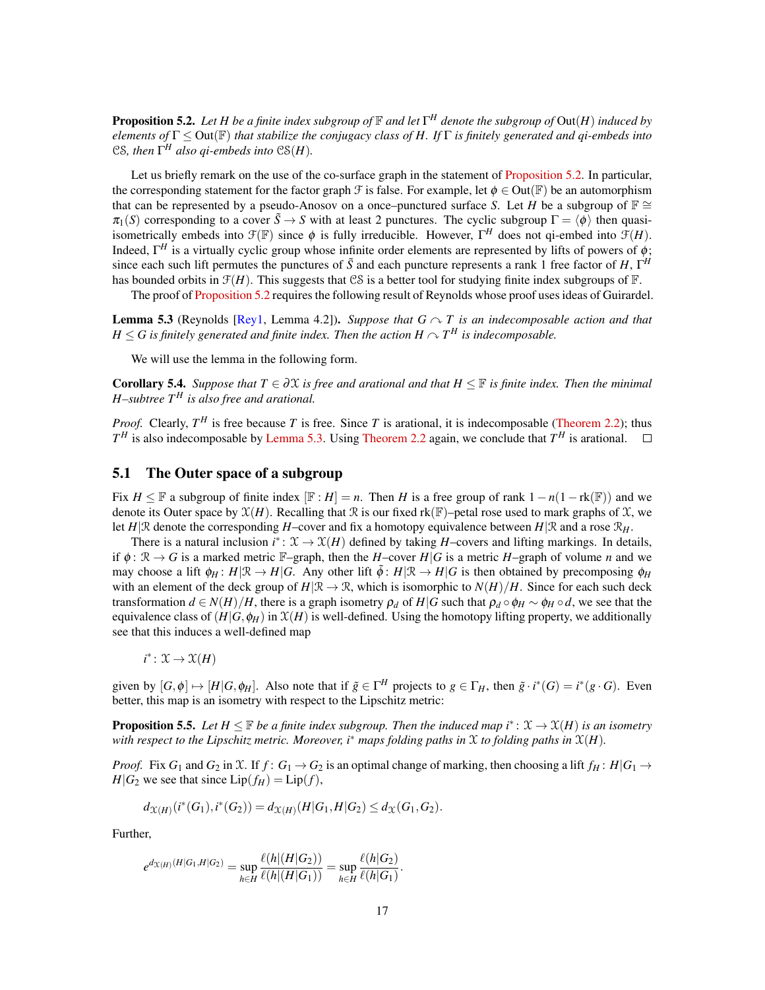Proposition 5.2. *Let H be a finite index subgroup of* F *and let* Γ *<sup>H</sup> denote the subgroup of* Out(*H*) *induced by elements of* Γ ≤ Out(F) *that stabilize the conjugacy class of H. If* Γ *is finitely generated and qi-embeds into* CS, then  $\Gamma^H$  also qi-embeds into  $\mathcal{CS}(H)$ .

Let us briefly remark on the use of the co-surface graph in the statement of [Proposition 5.2.](#page-15-0) In particular, the corresponding statement for the factor graph  $\mathcal F$  is false. For example, let  $\phi \in Out(\mathbb F)$  be an automorphism that can be represented by a pseudo-Anosov on a once–punctured surface *S*. Let *H* be a subgroup of  $\mathbb{F} \cong$  $\pi_1(S)$  corresponding to a cover  $\tilde{S} \to S$  with at least 2 punctures. The cyclic subgroup  $\Gamma = \langle \phi \rangle$  then quasiisometrically embeds into  $\mathcal{F}(\mathbb{F})$  since  $\phi$  is fully irreducible. However,  $\Gamma^H$  does not qi-embed into  $\mathcal{F}(H)$ . Indeed,  $\Gamma^H$  is a virtually cyclic group whose infinite order elements are represented by lifts of powers of  $\phi$ ; since each such lift permutes the punctures of  $\tilde{S}$  and each puncture represents a rank 1 free factor of *H*,  $\Gamma^H$ has bounded orbits in  $\mathcal{F}(H)$ . This suggests that CS is a better tool for studying finite index subgroups of  $\mathbb{F}$ .

The proof of [Proposition 5.2](#page-15-0) requires the following result of Reynolds whose proof uses ideas of Guirardel.

<span id="page-16-0"></span>**Lemma 5.3** (Reynolds [\[Rey1,](#page-32-11) Lemma 4.2]). *Suppose that*  $G \cap T$  *is an indecomposable action and that H*  $\le$  *G* is finitely generated and finite index. Then the action  $H \sim T^H$  is indecomposable.

We will use the lemma in the following form.

<span id="page-16-2"></span>**Corollary 5.4.** *Suppose that*  $T \in \partial \mathcal{X}$  *is free and arational and that*  $H \leq \mathbb{F}$  *is finite index. Then the minimal*  $H$ –subtree  $T^H$  *is also free and arational.* 

*Proof.* Clearly,  $T^H$  is free because *T* is free. Since *T* is arational, it is indecomposable [\(Theorem 2.2\)](#page-4-1); thus  $T^H$  is also indecomposable by [Lemma 5.3.](#page-16-0) Using [Theorem 2.2](#page-4-1) again, we conclude that  $T^H$  is arational.

### 5.1 The Outer space of a subgroup

Fix  $H \leq \mathbb{F}$  a subgroup of finite index  $[\mathbb{F} : H] = n$ . Then *H* is a free group of rank  $1 - n(1 - \text{rk}(\mathbb{F}))$  and we denote its Outer space by  $\mathfrak{X}(H)$ . Recalling that  $\mathfrak{R}$  is our fixed rk( $\mathbb{F}$ )–petal rose used to mark graphs of  $\mathfrak{X}$ , we let  $H|\mathcal{R}$  denote the corresponding *H*–cover and fix a homotopy equivalence between  $H|\mathcal{R}$  and a rose  $\mathcal{R}_H$ .

There is a natural inclusion  $i^*$ :  $\mathfrak{X} \to \mathfrak{X}(H)$  defined by taking *H*–covers and lifting markings. In details, if  $\phi$ :  $\mathcal{R} \to G$  is a marked metric  $\mathbb{F}$ –graph, then the *H*–cover *H*|*G* is a metric *H*–graph of volume *n* and we may choose a lift  $\phi_H: H|\mathcal{R} \to H|G$ . Any other lift  $\tilde{\phi}: H|\mathcal{R} \to H|G$  is then obtained by precomposing  $\phi_H$ with an element of the deck group of  $H|\mathcal{R} \to \mathcal{R}$ , which is isomorphic to  $N(H)/H$ . Since for each such deck transformation  $d \in N(H)/H$ , there is a graph isometry  $\rho_d$  of  $H/G$  such that  $\rho_d \circ \phi_H \circ \phi_H \circ d$ , we see that the equivalence class of  $(H|G, \phi_H)$  in  $\mathfrak{X}(H)$  is well-defined. Using the homotopy lifting property, we additionally see that this induces a well-defined map

$$
i^* \colon \mathfrak{X} \to \mathfrak{X}(H)
$$

given by  $[G, \phi] \mapsto [H|G, \phi_H]$ . Also note that if  $\tilde{g} \in \Gamma^H$  projects to  $g \in \Gamma_H$ , then  $\tilde{g} \cdot i^*(G) = i^*(g \cdot G)$ . Even better, this map is an isometry with respect to the Lipschitz metric:

<span id="page-16-1"></span>**Proposition 5.5.** Let  $H \leq \mathbb{F}$  be a finite index subgroup. Then the induced map  $i^* \colon \mathcal{X} \to \mathcal{X}(H)$  is an isometry *with respect to the Lipschitz metric. Moreover, i*<sup>\*</sup> *maps folding paths in*  $\mathcal X$  *to folding paths in*  $\mathcal X(H)$ *.* 

*Proof.* Fix  $G_1$  and  $G_2$  in X. If  $f: G_1 \to G_2$  is an optimal change of marking, then choosing a lift  $f_H: H|G_1 \to$  $H|G_2$  we see that since  $Lip(f_H) = Lip(f)$ ,

$$
d_{\mathcal{X}(H)}(i^*(G_1), i^*(G_2)) = d_{\mathcal{X}(H)}(H|G_1, H|G_2) \leq d_{\mathcal{X}}(G_1, G_2).
$$

Further,

$$
e^{d_{\mathcal{X}(H)}(H|G_1,H|G_2)} = \sup_{h \in H} \frac{\ell(h|(H|G_2))}{\ell(h|(H|G_1))} = \sup_{h \in H} \frac{\ell(h|G_2)}{\ell(h|G_1)}.
$$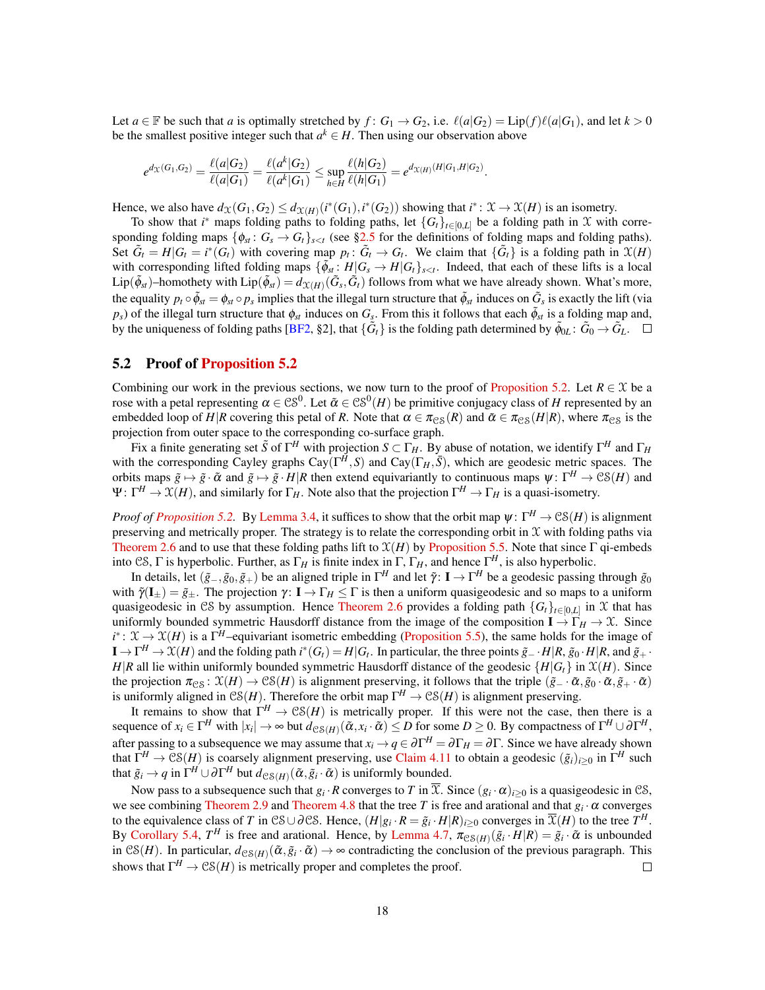Let  $a \in \mathbb{F}$  be such that *a* is optimally stretched by  $f: G_1 \to G_2$ , i.e.  $\ell(a|G_2) = \text{Lip}(f)\ell(a|G_1)$ , and let  $k > 0$ be the smallest positive integer such that  $a^k \in H$ . Then using our observation above

$$
e^{d_{\mathcal{X}}(G_1,G_2)} = \frac{\ell(a|G_2)}{\ell(a|G_1)} = \frac{\ell(a^k|G_2)}{\ell(a^k|G_1)} \le \sup_{h \in H} \frac{\ell(h|G_2)}{\ell(h|G_1)} = e^{d_{\mathcal{X}(H)}(H|G_1,H|G_2)}.
$$

Hence, we also have  $d_{\mathfrak{X}}(G_1, G_2) \leq d_{\mathfrak{X}(H)}(i^*(G_1), i^*(G_2))$  showing that  $i^*: \mathfrak{X} \to \mathfrak{X}(H)$  is an isometry.

To show that *i*<sup>\*</sup> maps folding paths to folding paths, let  ${G_t}_{t \in [0,L]}$  be a folding path in X with corresponding folding maps  $\{\phi_{st}: G_s \to G_t\}_{s < t}$  (see [§2.5](#page-6-1) for the definitions of folding maps and folding paths). Set  $\tilde{G}_t = H | G_t = i^*(G_t)$  with covering map  $p_t : \tilde{G}_t \to G_t$ . We claim that  $\{\tilde{G}_t\}$  is a folding path in  $\mathfrak{X}(H)$ with corresponding lifted folding maps  $\{\tilde{\phi}_s : H | G_s \to H | G_t\}_{s \leq t}$ . Indeed, that each of these lifts is a local  $\text{Lip}(\tilde{\phi}_{st})$ –homothety with  $\text{Lip}(\tilde{\phi}_{st}) = d_{\mathcal{X}(H)}(\tilde{G}_s, \tilde{G}_t)$  follows from what we have already shown. What's more, the equality  $p_t\circ \tilde{\phi}_{st}=\phi_{st}\circ p_s$  implies that the illegal turn structure that  $\tilde{\phi}_{st}$  induces on  $\tilde{G}_s$  is exactly the lift (via  $p_s$ ) of the illegal turn structure that  $\phi_{st}$  induces on  $G_s$ . From this it follows that each  $\tilde{\phi}_{st}$  is a folding map and, by the uniqueness of folding paths [\[BF2,](#page-30-1) §2], that  $\{\tilde{G}_t\}$  is the folding path determined by  $\tilde{\phi}_{0L}\colon \tilde{G}_0\to \tilde{G}_L.$ 

### 5.2 Proof of [Proposition 5.2](#page-15-0)

Combining our work in the previous sections, we now turn to the proof of [Proposition 5.2.](#page-15-0) Let  $R \in \mathcal{X}$  be a rose with a petal representing  $\alpha \in \mathcal{CS}^0$ . Let  $\tilde{\alpha} \in \mathcal{CS}^0(H)$  be primitive conjugacy class of H represented by an embedded loop of  $H|R$  covering this petal of R. Note that  $\alpha \in \pi_{\mathcal{CS}}(R)$  and  $\tilde{\alpha} \in \pi_{\mathcal{CS}}(H|R)$ , where  $\pi_{\mathcal{CS}}$  is the projection from outer space to the corresponding co-surface graph.

Fix a finite generating set  $\tilde{S}$  of  $\Gamma^H$  with projection  $S \subset \Gamma_H$ . By abuse of notation, we identify  $\Gamma^H$  and  $\Gamma_H$ with the corresponding Cayley graphs  $Cay(\Gamma^H, S)$  and  $Cay(\Gamma_H, \overline{S})$ , which are geodesic metric spaces. The orbits maps  $\tilde{g} \mapsto \tilde{g} \cdot \tilde{\alpha}$  and  $\tilde{g} \mapsto \tilde{g} \cdot H|R$  then extend equivariantly to continuous maps  $\psi \colon \Gamma^H \to \mathcal{CS}(H)$  and  $\Psi: \Gamma^H \to \mathfrak{X}(H)$ , and similarly for  $\Gamma_H$ . Note also that the projection  $\Gamma^H \to \Gamma_H$  is a quasi-isometry.

*Proof of [Proposition 5.2.](#page-15-0)* By [Lemma 3.4,](#page-9-1) it suffices to show that the orbit map  $\psi: \Gamma^H \to \mathcal{CS}(H)$  is alignment preserving and metrically proper. The strategy is to relate the corresponding orbit in  $\mathcal X$  with folding paths via [Theorem 2.6](#page-6-0) and to use that these folding paths lift to  $\mathfrak{X}(H)$  by [Proposition 5.5.](#page-16-1) Note that since  $\Gamma$  qi-embeds into CS, Γ is hyperbolic. Further, as  $\Gamma_H$  is finite index in  $\Gamma$ ,  $\Gamma_H$ , and hence  $\Gamma^H$ , is also hyperbolic.

In details, let  $(\tilde{g}_-, \tilde{g}_0, \tilde{g}_+)$  be an aligned triple in  $\Gamma^H$  and let  $\tilde{\gamma}$ : **I** →  $\Gamma^H$  be a geodesic passing through  $\tilde{g}_0$ with  $\tilde{\gamma}(\mathbf{I}_{\pm}) = \tilde{g}_{\pm}$ . The projection  $\gamma: \mathbf{I} \to \Gamma_H \leq \Gamma$  is then a uniform quasigeodesic and so maps to a uniform quasigeodesic in CS by assumption. Hence [Theorem 2.6](#page-6-0) provides a folding path  $\{G_t\}_{t\in[0,L]}$  in X that has uniformly bounded symmetric Hausdorff distance from the image of the composition  $I \to \Gamma_H \to \mathfrak{X}$ . Since  $i^*: \mathfrak{X} \to \mathfrak{X}(H)$  is a  $\Gamma^H$ –equivariant isometric embedding [\(Proposition 5.5\)](#page-16-1), the same holds for the image of  $I \to \Gamma^H \to \mathfrak{X}(H)$  and the folding path  $i^*(G_t) = H|G_t$ . In particular, the three points  $\tilde{g}_- \cdot H|R$ ,  $\tilde{g}_0 \cdot H|R$ , and  $\tilde{g}_+ \cdot H|G_t$ *H*|*R* all lie within uniformly bounded symmetric Hausdorff distance of the geodesic  $\{H|G_t\}$  in  $\mathfrak{X}(H)$ . Since the projection  $\pi_{\mathcal{CS}}: \mathcal{X}(H) \to \mathcal{CS}(H)$  is alignment preserving, it follows that the triple  $(\tilde{g}_-\cdot \tilde{\alpha}, \tilde{g}_0 \cdot \tilde{\alpha}, \tilde{g}_+ \cdot \tilde{\alpha})$ is uniformly aligned in  $\mathfrak{CS}(H)$ . Therefore the orbit map  $\Gamma^H \to \mathfrak{CS}(H)$  is alignment preserving.

It remains to show that  $\Gamma^H \to \mathcal{CS}(H)$  is metrically proper. If this were not the case, then there is a sequence of  $x_i \in \Gamma^H$  with  $|x_i| \to \infty$  but  $d_{\mathfrak{CS}(H)}(\tilde{\alpha},x_i\cdot\tilde{\alpha})\leq D$  for some  $D\geq 0.$  By compactness of  $\Gamma^H\cup \partial\Gamma^H,$ after passing to a subsequence we may assume that  $x_i\to q\in\partial\Gamma^H=\partial\Gamma_H=\partial\Gamma.$  Since we have already shown that  $\Gamma^H \to \mathcal{CS}(H)$  is coarsely alignment preserving, use [Claim 4.11](#page-14-3) to obtain a geodesic  $(\tilde{g}_i)_{i\geq 0}$  in  $\Gamma^H$  such that  $\tilde{g}_i \to q$  in  $\Gamma^H \cup \partial \Gamma^H$  but  $d_{\mathcal{CS}(H)}(\tilde{\alpha}, \tilde{g}_i \cdot \tilde{\alpha})$  is uniformly bounded.

Now pass to a subsequence such that  $g_i \cdot R$  converges to *T* in *X*. Since  $(g_i \cdot \alpha)_{i \geq 0}$  is a quasigeodesic in CS, we see combining [Theorem 2.9](#page-7-5) and [Theorem 4.8](#page-13-0) that the tree *T* is free and arational and that  $g_i \cdot \alpha$  converges to the equivalence class of *T* in CS∪∂CS. Hence,  $(H|g_i \cdot R = \tilde{g}_i \cdot H|R)_{i≥0}$  converges in  $\overline{\mathcal{X}}(H)$  to the tree  $T^H$ . By [Corollary 5.4,](#page-16-2)  $T^H$  is free and arational. Hence, by [Lemma 4.7,](#page-12-3)  $\pi_{\mathcal{CS}(H)}(\tilde{g}_i \cdot H | R) = \tilde{g}_i \cdot \tilde{\alpha}$  is unbounded in CS(*H*). In particular,  $d_{CS(H)}(\tilde{\alpha}, \tilde{g}_i \cdot \tilde{\alpha}) \to \infty$  contradicting the conclusion of the previous paragraph. This shows that  $\Gamma^H \to \mathcal{CS}(H)$  is metrically proper and completes the proof.  $\Box$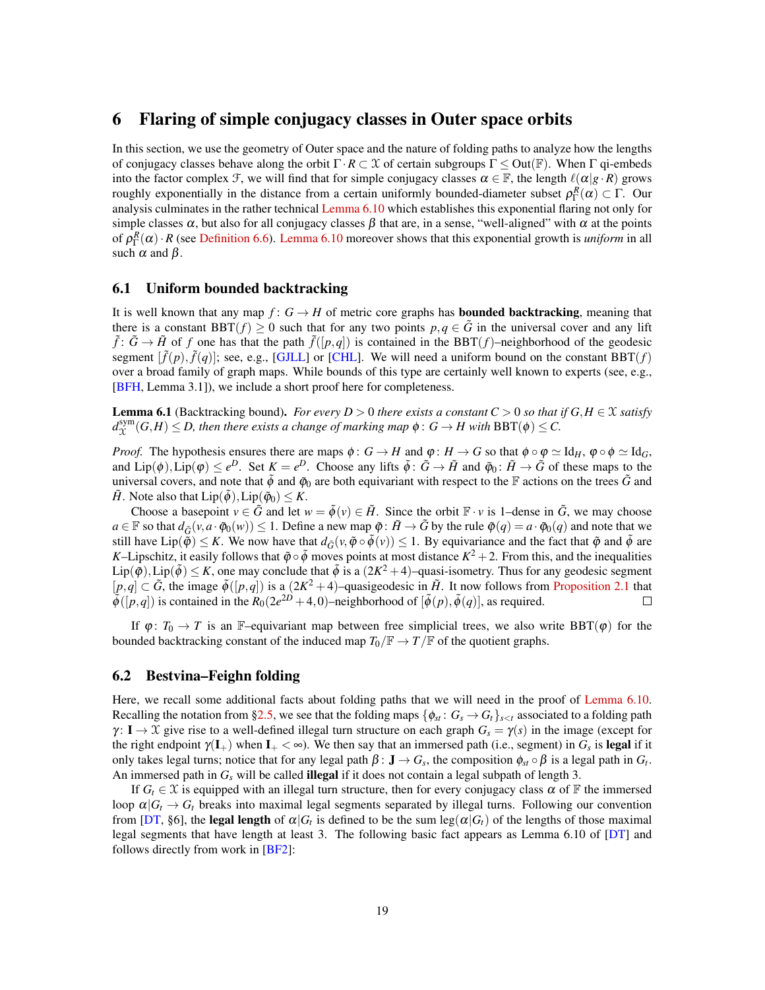### <span id="page-18-3"></span>6 Flaring of simple conjugacy classes in Outer space orbits

In this section, we use the geometry of Outer space and the nature of folding paths to analyze how the lengths of conjugacy classes behave along the orbit  $\Gamma \cdot R \subset \mathfrak{X}$  of certain subgroups  $\Gamma \leq Out(\mathbb{F})$ . When  $\Gamma$  qi-embeds into the factor complex  $\mathcal{F}$ , we will find that for simple conjugacy classes  $\alpha \in \mathbb{F}$ , the length  $\ell(\alpha|g \cdot R)$  grows roughly exponentially in the distance from a certain uniformly bounded-diameter subset  $ρ_F^R(α) \subset Γ$ . Our analysis culminates in the rather technical [Lemma 6.10](#page-21-0) which establishes this exponential flaring not only for simple classes  $\alpha$ , but also for all conjugacy classes  $\beta$  that are, in a sense, "well-aligned" with  $\alpha$  at the points of  $\rho_{\Gamma}^R(\alpha) \cdot R$  (see [Definition 6.6\)](#page-19-0). [Lemma 6.10](#page-21-0) moreover shows that this exponential growth is *uniform* in all such  $\alpha$  and  $\beta$ .

### 6.1 Uniform bounded backtracking

It is well known that any map  $f: G \to H$  of metric core graphs has **bounded backtracking**, meaning that there is a constant  $\text{BBT}(f) \geq 0$  such that for any two points  $p, q \in \tilde{G}$  in the universal cover and any lift  $\tilde{f}$ :  $\tilde{G} \rightarrow \tilde{H}$  of f one has that the path  $\tilde{f}([p,q])$  is contained in the BBT(f)–neighborhood of the geodesic segment  $[\tilde{f}(p), \tilde{f}(q)]$ ; see, e.g., [\[GJLL\]](#page-31-18) or [\[CHL\]](#page-30-4). We will need a uniform bound on the constant BBT(*f*) over a broad family of graph maps. While bounds of this type are certainly well known to experts (see, e.g., [\[BFH,](#page-30-2) Lemma 3.1]), we include a short proof here for completeness.

<span id="page-18-1"></span>**Lemma 6.1** (Backtracking bound). *For every D* > 0 *there exists a constant C* > 0 *so that if*  $G, H \in \mathcal{X}$  *satisfy*  $d_{\Upsilon}^{\rm sym}$  $\chi^{\text{sym}}(G,H) \leq D$ , then there exists a change of marking map  $\phi : G \to H$  with  $\text{BBT}(\phi) \leq C$ .

*Proof.* The hypothesis ensures there are maps  $\phi : G \to H$  and  $\phi : H \to G$  so that  $\phi \circ \phi \simeq \text{Id}_H$ ,  $\phi \circ \phi \simeq \text{Id}_G$ , and  $\text{Lip}(\phi)$ ,  $\text{Lip}(\phi) \leq e^D$ . Set  $K = e^D$ . Choose any lifts  $\tilde{\phi}$ :  $\tilde{G} \to \tilde{H}$  and  $\tilde{\phi}_0$ :  $\tilde{H} \to \tilde{G}$  of these maps to the universal covers, and note that  $\tilde{\phi}$  and  $\tilde{\phi}_0$  are both equivariant with respect to the F actions on the trees  $\tilde{G}$  and  $\tilde{H}$ . Note also that  $Lip(\tilde{\phi})$ ,  $Lip(\tilde{\phi}_0) \leq K$ .

Choose a basepoint  $v \in \tilde{G}$  and let  $w = \tilde{\phi}(v) \in \tilde{H}$ . Since the orbit  $\mathbb{F} \cdot v$  is 1–dense in  $\tilde{G}$ , we may choose  $a \in \mathbb{F}$  so that  $d_{\tilde{G}}(v, a \cdot \tilde{\varphi}_0(w)) \leq 1$ . Define a new map  $\tilde{\varphi} : \tilde{H} \to \tilde{G}$  by the rule  $\tilde{\varphi}(q) = a \cdot \tilde{\varphi}_0(q)$  and note that we still have Lip( $\tilde{\varphi}$ )  $\leq K$ . We now have that  $d_{\tilde{G}}(v, \tilde{\varphi} \circ \tilde{\varphi}(v)) \leq 1$ . By equivariance and the fact that  $\tilde{\varphi}$  and  $\tilde{\varphi}$  are *K*–Lipschitz, it easily follows that  $\tilde{\varphi} \circ \tilde{\varphi}$  moves points at most distance  $K^2 + 2$ . From this, and the inequalities Lip( $\tilde{\phi}$ ), Lip( $\tilde{\phi}$ )  $\leq K$ , one may conclude that  $\tilde{\phi}$  is a  $(2K^2+4)$ -quasi-isometry. Thus for any geodesic segment  $[p,q] \subset \tilde{G}$ , the image  $\tilde{\phi}([p,q])$  is a  $(2K^2+4)$ –quasigeodesic in  $\tilde{H}$ . It now follows from [Proposition 2.1](#page-3-0) that  $\tilde{\phi}([p,q])$  is contained in the  $R_0(2e^{2D}+4,0)$ –neighborhood of  $[\tilde{\phi}(p), \tilde{\phi}(q)]$ , as required.  $\Box$ 

If  $\varphi: T_0 \to T$  is an F–equivariant map between free simplicial trees, we also write BBT( $\varphi$ ) for the bounded backtracking constant of the induced map  $T_0/\mathbb{F} \to T/\mathbb{F}$  of the quotient graphs.

#### <span id="page-18-0"></span>6.2 Bestvina–Feighn folding

Here, we recall some additional facts about folding paths that we will need in the proof of [Lemma 6.10.](#page-21-0) Recalling the notation from [§2.5,](#page-6-1) we see that the folding maps  $\{\phi_{st}: G_s \to G_t\}_{s \leq t}$  associated to a folding path  $\gamma: \mathbf{I} \to \mathcal{X}$  give rise to a well-defined illegal turn structure on each graph  $G_s = \gamma(s)$  in the image (except for the right endpoint  $\gamma(\mathbf{I}_{+})$  when  $\mathbf{I}_{+}<\infty$ ). We then say that an immersed path (i.e., segment) in  $G_s$  is **legal** if it only takes legal turns; notice that for any legal path  $\beta: J \to G_s$ , the composition  $\phi_{st} \circ \beta$  is a legal path in  $G_t$ . An immersed path in *G<sup>s</sup>* will be called illegal if it does not contain a legal subpath of length 3.

<span id="page-18-2"></span>If  $G_t \in \mathcal{X}$  is equipped with an illegal turn structure, then for every conjugacy class  $\alpha$  of  $\mathbb F$  the immersed loop  $\alpha|G_t \to G_t$  breaks into maximal legal segments separated by illegal turns. Following our convention from [\[DT,](#page-31-0) §6], the legal length of  $\alpha|G_t$  is defined to be the sum leg( $\alpha|G_t$ ) of the lengths of those maximal legal segments that have length at least 3. The following basic fact appears as Lemma 6.10 of [\[DT\]](#page-31-0) and follows directly from work in [\[BF2\]](#page-30-1):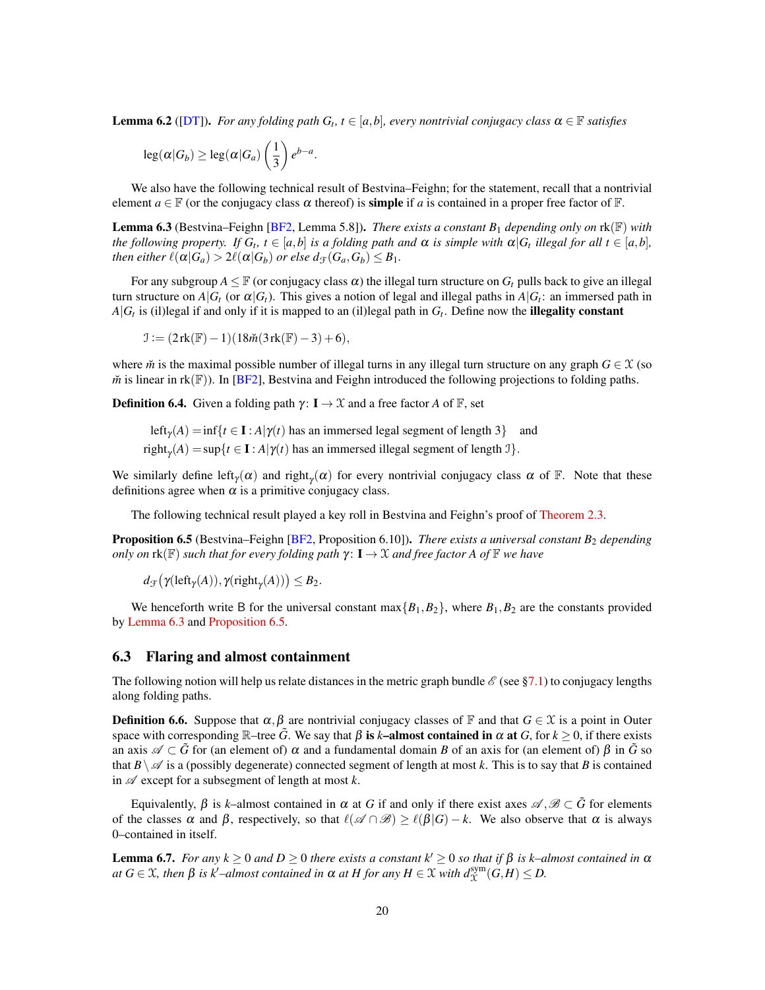**Lemma 6.2** ([\[DT\]](#page-31-0)). For any folding path  $G_t$ ,  $t \in [a,b]$ , every nontrivial conjugacy class  $\alpha \in \mathbb{F}$  satisfies

$$
\operatorname{leg}(\alpha|G_b) \ge \operatorname{leg}(\alpha|G_a) \left(\frac{1}{3}\right) e^{b-a}.
$$

We also have the following technical result of Bestvina–Feighn; for the statement, recall that a nontrivial element  $a \in \mathbb{F}$  (or the conjugacy class  $\alpha$  thereof) is **simple** if a is contained in a proper free factor of  $\mathbb{F}$ .

<span id="page-19-1"></span>Lemma 6.3 (Bestvina–Feighn [\[BF2,](#page-30-1) Lemma 5.8]). *There exists a constant B*<sup>1</sup> *depending only on* rk(F) *with the following property.* If  $G_t$ ,  $t \in [a,b]$  *is a folding path and*  $\alpha$  *is simple with*  $\alpha|G_t$  *illegal for all*  $t \in [a,b]$ *, then either*  $\ell(\alpha | G_a) > 2\ell(\alpha | G_b)$  *or else*  $d_f(G_a, G_b) \leq B_1$ *.* 

For any subgroup  $A \leq \mathbb{F}$  (or conjugacy class  $\alpha$ ) the illegal turn structure on  $G_t$  pulls back to give an illegal turn structure on  $A|G_t$  (or  $\alpha|G_t$ ). This gives a notion of legal and illegal paths in  $A|G_t$ : an immersed path in  $A|G_t$  is (il)legal if and only if it is mapped to an (il)legal path in  $G_t$ . Define now the **illegality constant** 

 $\mathcal{I} := (2 \text{rk}(\mathbb{F}) - 1)(18 \tilde{m}(3 \text{rk}(\mathbb{F}) - 3) + 6),$ 

where  $\breve{m}$  is the maximal possible number of illegal turns in any illegal turn structure on any graph  $G \in \mathcal{X}$  (so  $\tilde{m}$  is linear in rk(F)). In [\[BF2\]](#page-30-1), Bestvina and Feighn introduced the following projections to folding paths.

<span id="page-19-3"></span>**Definition 6.4.** Given a folding path  $\gamma: I \to \mathcal{X}$  and a free factor *A* of  $\mathbb{F}$ , set

left<sub>γ</sub>(A) = inf{ $t \in I : A|\gamma(t)$  has an immersed legal segment of length 3} and

right<sub>γ</sub>(*A*) = sup{*t* ∈ **I** : *A*|γ(*t*) has an immersed illegal segment of length J}.

We similarly define left $_{\gamma}(\alpha)$  and right $_{\gamma}(\alpha)$  for every nontrivial conjugacy class  $\alpha$  of  $\mathbb{F}$ . Note that these definitions agree when  $\alpha$  is a primitive conjugacy class.

The following technical result played a key roll in Bestvina and Feighn's proof of [Theorem 2.3.](#page-4-2)

<span id="page-19-2"></span>Proposition 6.5 (Bestvina–Feighn [\[BF2,](#page-30-1) Proposition 6.10]). *There exists a universal constant B*<sup>2</sup> *depending only on*  $rk(\mathbb{F})$  *such that for every folding path*  $\gamma: I \to \mathcal{X}$  *and free factor A of*  $\mathbb{F}$  *we have* 

 $d_{\mathcal{F}}(\gamma(\text{left}_{\gamma}(A)), \gamma(\text{right}_{\gamma}(A))) \leq B_2.$ 

We henceforth write B for the universal constant  $\max\{B_1, B_2\}$ , where  $B_1, B_2$  are the constants provided by [Lemma 6.3](#page-19-1) and [Proposition 6.5.](#page-19-2)

### 6.3 Flaring and almost containment

The following notion will help us relate distances in the metric graph bundle  $\mathscr E$  (see [§7.1\)](#page-23-0) to conjugacy lengths along folding paths.

<span id="page-19-0"></span>**Definition 6.6.** Suppose that  $\alpha, \beta$  are nontrivial conjugacy classes of F and that  $G \in \mathcal{X}$  is a point in Outer space with corresponding  $\mathbb{R}$ –tree  $\tilde{G}$ . We say that  $\beta$  is *k*–almost contained in  $\alpha$  at  $G$ , for  $k \geq 0$ , if there exists an axis  $\mathscr{A} \subset \tilde{G}$  for (an element of)  $\alpha$  and a fundamental domain *B* of an axis for (an element of)  $\beta$  in  $\tilde{G}$  so that  $B \setminus \mathscr{A}$  is a (possibly degenerate) connected segment of length at most *k*. This is to say that *B* is contained in  $\mathscr A$  except for a subsegment of length at most  $k$ .

Equivalently, β is *k*–almost contained in  $\alpha$  at G if and only if there exist axes  $\mathscr{A}, \mathscr{B} \subset \tilde{G}$  for elements of the classes  $\alpha$  and  $\beta$ , respectively, so that  $\ell(\mathscr{A} \cap \mathscr{B}) \geq \ell(\beta|G) - k$ . We also observe that  $\alpha$  is always 0–contained in itself.

<span id="page-19-4"></span>**Lemma 6.7.** *For any*  $k \ge 0$  *and*  $D \ge 0$  *there exists a constant*  $k' \ge 0$  *so that if*  $\beta$  *is k–almost contained in*  $\alpha$  $a \in G \in \mathfrak{X}$ , then  $\beta$  *is k*<sup> $j$ </sup>–almost contained in  $\alpha$  at *H* for any  $H \in \mathfrak{X}$  with  $d_{\mathfrak{X}}^{sym}(G,H) \leq D$ .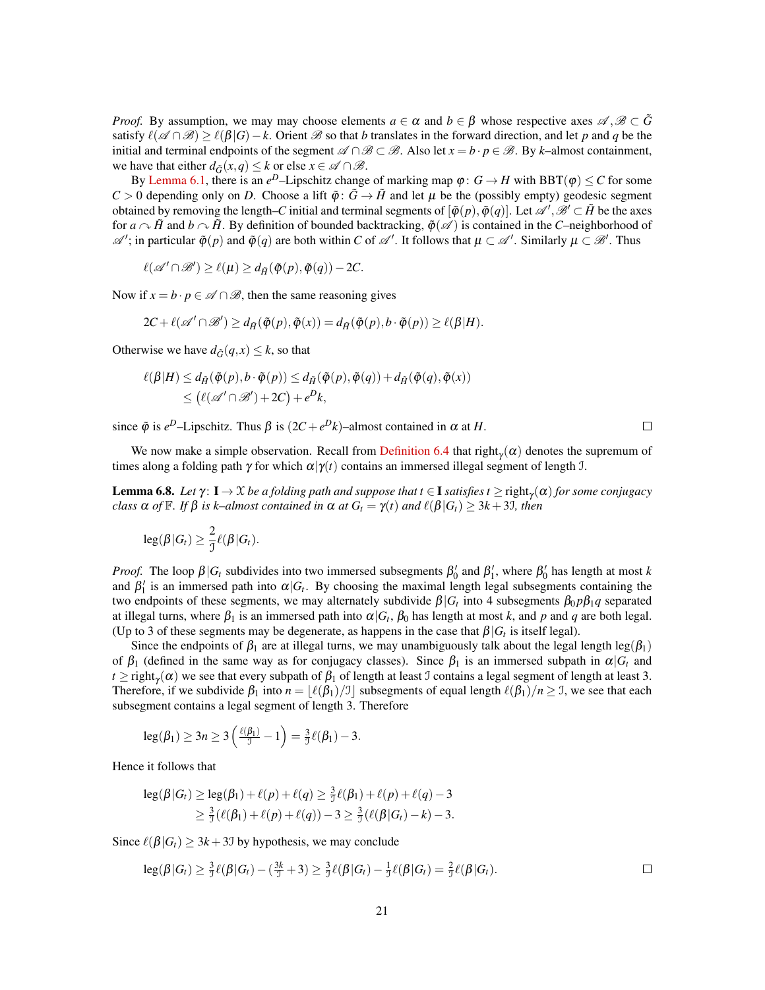*Proof.* By assumption, we may may choose elements  $a \in \alpha$  and  $b \in \beta$  whose respective axes  $\mathscr{A}, \mathscr{B} \subset \tilde{G}$ satisfy  $\ell(\mathscr{A} \cap \mathscr{B}) \geq \ell(\beta|G) - k$ . Orient  $\mathscr{B}$  so that *b* translates in the forward direction, and let *p* and *q* be the initial and terminal endpoints of the segment  $\mathscr{A} \cap \mathscr{B} \subset \mathscr{B}$ . Also let  $x = b \cdot p \in \mathscr{B}$ . By *k*–almost containment, we have that either  $d_{\tilde{G}}(x,q) \leq k$  or else  $x \in \mathcal{A} \cap \mathcal{B}$ .

By [Lemma 6.1,](#page-18-1) there is an  $e^D$ –Lipschitz change of marking map  $\varphi: G \to H$  with BBT $(\varphi) \leq C$  for some  $C > 0$  depending only on *D*. Choose a lift  $\tilde{\varphi}$  :  $\tilde{G} \rightarrow \tilde{H}$  and let  $\mu$  be the (possibly empty) geodesic segment obtained by removing the length–*C* initial and terminal segments of  $[\phi(p), \phi(q)]$ . Let  $\mathscr{A}', \mathscr{B}' \subset \tilde{H}$  be the axes for  $a \sim \tilde{H}$  and  $b \sim \tilde{H}$ . By definition of bounded backtracking,  $\tilde{\varphi}(\mathscr{A})$  is contained in the *C*–neighborhood of  $\mathscr{A}'$ ; in particular  $\tilde{\varphi}(p)$  and  $\tilde{\varphi}(q)$  are both within *C* of  $\mathscr{A}'$ . It follows that  $\mu \subset \mathscr{A}'$ . Similarly  $\mu \subset \mathscr{B}'$ . Thus

$$
\ell(\mathscr{A}'\cap\mathscr{B}')\geq \ell(\mu)\geq d_{\tilde{H}}(\tilde{\varphi}(p),\tilde{\varphi}(q))-2C.
$$

Now if  $x = b \cdot p \in \mathcal{A} \cap \mathcal{B}$ , then the same reasoning gives

$$
2C+\ell(\mathscr{A}'\cap\mathscr{B}')\geq d_{\tilde{H}}(\tilde{\varphi}(p),\tilde{\varphi}(x))=d_{\tilde{H}}(\tilde{\varphi}(p),b\cdot\tilde{\varphi}(p))\geq\ell(\beta|H).
$$

Otherwise we have  $d_{\tilde{G}}(q, x) \leq k$ , so that

$$
\ell(\beta|H) \le d_{\tilde{H}}(\tilde{\varphi}(p), b \cdot \tilde{\varphi}(p)) \le d_{\tilde{H}}(\tilde{\varphi}(p), \tilde{\varphi}(q)) + d_{\tilde{H}}(\tilde{\varphi}(q), \tilde{\varphi}(x)) \le (\ell(\mathscr{A}' \cap \mathscr{B}') + 2C) + e^D k,
$$

since  $\tilde{\varphi}$  is  $e^{D}$ –Lipschitz. Thus  $\beta$  is  $(2C + e^{D}k)$ –almost contained in  $\alpha$  at *H*.

We now make a simple observation. Recall from [Definition 6.4](#page-19-3) that right $_{\gamma}(\alpha)$  denotes the supremum of times along a folding path  $\gamma$  for which  $\alpha|\gamma(t)$  contains an immersed illegal segment of length J.

<span id="page-20-0"></span>**Lemma 6.8.** Let  $\gamma: I \to X$  be a folding path and suppose that  $t \in I$  satisfies  $t \geq \text{right}_{\gamma}(\alpha)$  for some conjugacy *class*  $\alpha$  *of*  $\mathbb{F}$ *. If*  $\beta$  *is k–almost contained in*  $\alpha$  *at*  $G_t = \gamma(t)$  *and*  $\ell(\beta|G_t) \geq 3k + 3\pi$ *, then* 

$$
\operatorname{leg}(\beta|G_t) \geq \frac{2}{\mathfrak{I}} \ell(\beta|G_t).
$$

*Proof.* The loop  $\beta | G_t$  subdivides into two immersed subsegments  $\beta'_0$  and  $\beta'_1$ , where  $\beta'_0$  has length at most *k* and  $\beta'_1$  is an immersed path into  $\alpha|G_t$ . By choosing the maximal length legal subsegments containing the two endpoints of these segments, we may alternately subdivide  $\beta | G_t$  into 4 subsegments  $\beta_0 p \beta_1 q$  separated at illegal turns, where  $\beta_1$  is an immersed path into  $\alpha|G_t$ ,  $\beta_0$  has length at most *k*, and *p* and *q* are both legal. (Up to 3 of these segments may be degenerate, as happens in the case that  $\beta | G_t$  is itself legal).

Since the endpoints of  $\beta_1$  are at illegal turns, we may unambiguously talk about the legal length leg( $\beta_1$ ) of  $\beta_1$  (defined in the same way as for conjugacy classes). Since  $\beta_1$  is an immersed subpath in  $\alpha|G_t$  and  $t \geq$  right<sub> $\gamma$ </sub>( $\alpha$ ) we see that every subpath of  $\beta_1$  of length at least J contains a legal segment of length at least 3. Therefore, if we subdivide  $\beta_1$  into  $n = |\ell(\beta_1)/\mathcal{I}|$  subsegments of equal length  $\ell(\beta_1)/n \geq 1$ , we see that each subsegment contains a legal segment of length 3. Therefore

$$
\operatorname{leg}(\beta_1) \geq 3n \geq 3\left(\frac{\ell(\beta_1)}{J}-1\right) = \frac{3}{J}\ell(\beta_1) - 3.
$$

Hence it follows that

$$
\begin{aligned} \log(\beta|G_t) &\geq \log(\beta_1) + \ell(p) + \ell(q) \geq \frac{3}{J}\ell(\beta_1) + \ell(p) + \ell(q) - 3 \\ &\geq \frac{3}{J}(\ell(\beta_1) + \ell(p) + \ell(q)) - 3 \geq \frac{3}{J}(\ell(\beta|G_t) - k) - 3. \end{aligned}
$$

Since  $\ell(\beta|G_t) \geq 3k + 3\mathbb{J}$  by hypothesis, we may conclude

<span id="page-20-1"></span>
$$
\operatorname{leg}(\beta|G_t) \geq \frac{3}{\mathcal{I}}\ell(\beta|G_t) - \left(\frac{3k}{\mathcal{I}} + 3\right) \geq \frac{3}{\mathcal{I}}\ell(\beta|G_t) - \frac{1}{\mathcal{I}}\ell(\beta|G_t) = \frac{2}{\mathcal{I}}\ell(\beta|G_t).
$$

 $\Box$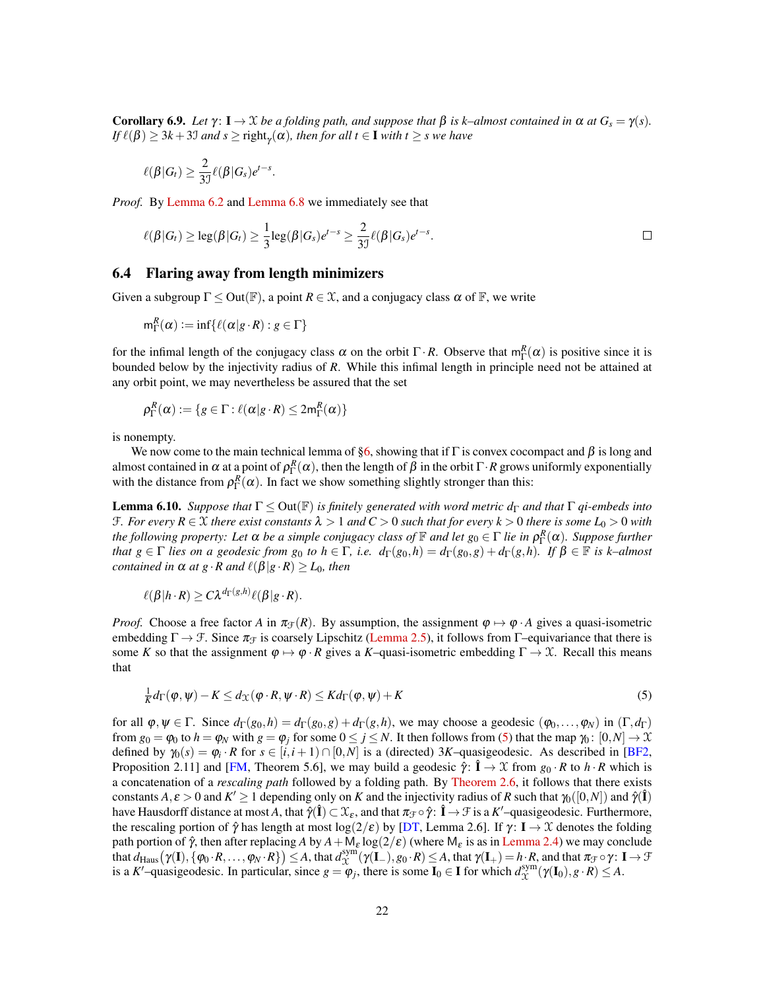**Corollary 6.9.** *Let*  $\gamma: I \to \mathcal{X}$  *be a folding path, and suppose that*  $\beta$  *is k–almost contained in*  $\alpha$  *at*  $G_s = \gamma(s)$ *. If*  $\ell(\beta) \geq 3k + 3J$  *and*  $s \geq \text{right}_{\gamma}(\alpha)$ *, then for all*  $t \in I$  *with*  $t \geq s$  *we have* 

$$
\ell(\boldsymbol{\beta}|G_t) \geq \frac{2}{3\mathcal{I}} \ell(\boldsymbol{\beta}|G_s)e^{t-s}.
$$

*Proof.* By [Lemma 6.2](#page-18-2) and [Lemma 6.8](#page-20-0) we immediately see that

$$
\ell(\beta|G_t) \geq \log(\beta|G_t) \geq \frac{1}{3}\log(\beta|G_s)e^{t-s} \geq \frac{2}{3J}\ell(\beta|G_s)e^{t-s}.
$$

#### <span id="page-21-2"></span>6.4 Flaring away from length minimizers

Given a subgroup  $\Gamma \leq Out(\mathbb{F})$ , a point  $R \in \mathcal{X}$ , and a conjugacy class  $\alpha$  of  $\mathbb{F}$ , we write

$$
\mathsf{m}_{\Gamma}^R(\alpha) := \inf \{ \ell(\alpha | g \cdot R) : g \in \Gamma \}
$$

for the infimal length of the conjugacy class  $\alpha$  on the orbit  $\Gamma \cdot R$ . Observe that  $m_{\Gamma}^R(\alpha)$  is positive since it is bounded below by the injectivity radius of *R*. While this infimal length in principle need not be attained at any orbit point, we may nevertheless be assured that the set

$$
\rho^R_\Gamma(\alpha) := \{ g \in \Gamma : \ell(\alpha | g \cdot R) \leq 2\mathsf{m}^R_\Gamma(\alpha) \}
$$

is nonempty.

We now come to the main technical lemma of [§6,](#page-18-3) showing that if  $\Gamma$  is convex cocompact and  $\beta$  is long and almost contained in  $\alpha$  at a point of  $\rho_{\Gamma}^{R}(\alpha)$ , then the length of  $\beta$  in the orbit  $\Gamma \cdot R$  grows uniformly exponentially with the distance from  $\rho_{\Gamma}^{R}(\alpha)$ . In fact we show something slightly stronger than this:

<span id="page-21-0"></span>**Lemma 6.10.** *Suppose that*  $\Gamma \leq Out(\mathbb{F})$  *is finitely generated with word metric d*<sub> $\Gamma$ </sub> *and that*  $\Gamma$  *qi-embeds into* F. For every  $R \in \mathcal{X}$  there exist constants  $\lambda > 1$  and  $C > 0$  such that for every  $k > 0$  there is some  $L_0 > 0$  with *the following property: Let*  $\alpha$  *be a simple conjugacy class of*  $\mathbb F$  *and let*  $g_0 \in \Gamma$  *lie in*  $\rho_{\Gamma}^R(\alpha)$ *. Suppose further that*  $g \in \Gamma$  *lies on a geodesic from*  $g_0$  *to*  $h \in \Gamma$ *, i.e.*  $d_{\Gamma}(g_0, h) = d_{\Gamma}(g_0, g) + d_{\Gamma}(g, h)$ *. If*  $\beta \in \mathbb{F}$  *is k–almost contained in*  $\alpha$  *at*  $g \cdot R$  *and*  $\ell(\beta | g \cdot R) \ge L_0$ *, then* 

$$
\ell(\beta|h\cdot R)\geq C\lambda^{d_{\Gamma}(g,h)}\ell(\beta|g\cdot R).
$$

*Proof.* Choose a free factor *A* in  $\pi_{\mathcal{F}}(R)$ . By assumption, the assignment  $\varphi \mapsto \varphi \cdot A$  gives a quasi-isometric embedding  $\Gamma \to \mathcal{F}$ . Since  $\pi_{\mathcal{F}}$  is coarsely Lipschitz [\(Lemma 2.5\)](#page-6-2), it follows from  $\Gamma$ –equivariance that there is some *K* so that the assignment  $\varphi \mapsto \varphi \cdot R$  gives a *K*–quasi-isometric embedding  $\Gamma \to \mathcal{X}$ . Recall this means that

<span id="page-21-1"></span>
$$
\frac{1}{K}d_{\Gamma}(\varphi,\psi) - K \leq d_{\mathcal{X}}(\varphi \cdot R, \psi \cdot R) \leq K d_{\Gamma}(\varphi,\psi) + K \tag{5}
$$

for all  $φ, ψ ∈ Γ$ . Since  $dΓ(g0, h) = dΓ(g0, g) + dΓ(g, h)$ , we may choose a geodesic ( $φ_0, ..., φ_N$ ) in (Γ,  $dΓ$ ) from  $g_0 = \varphi_0$  to  $h = \varphi_N$  with  $g = \varphi_j$  for some  $0 \le j \le N$ . It then follows from [\(5\)](#page-21-1) that the map  $\gamma_0 : [0, N] \to \mathcal{X}$ defined by  $\gamma_0(s) = \varphi_i \cdot R$  for  $s \in [i, i+1) \cap [0, N]$  is a (directed) 3*K*–quasigeodesic. As described in [\[BF2,](#page-30-1) Proposition 2.11] and [\[FM,](#page-31-13) Theorem 5.6], we may build a geodesic  $\hat{\gamma}$ :  $\hat{\mathbf{I}} \to \mathcal{X}$  from  $g_0 \cdot R$  to  $h \cdot R$  which is a concatenation of a *rescaling path* followed by a folding path. By [Theorem 2.6,](#page-6-0) it follows that there exists constants  $A, \varepsilon > 0$  and  $K' \ge 1$  depending only on *K* and the injectivity radius of *R* such that  $\gamma_0([0,N])$  and  $\hat{\gamma}(1)$ have Hausdorff distance at most *A*, that  $\hat{\gamma}(I) \subset \mathcal{X}_{\varepsilon}$ , and that  $\pi_{\mathcal{F}} \circ \hat{\gamma} \colon I \to \mathcal{F}$  is a *K'*-quasigeodesic. Furthermore, the rescaling portion of  $\hat{\gamma}$  has length at most  $\log(2/\epsilon)$  by [\[DT,](#page-31-0) Lemma 2.6]. If  $\gamma: I \to \mathcal{X}$  denotes the folding path portion of  $\hat{\gamma}$ , then after replacing *A* by  $A + M_{\epsilon} \log(2/\epsilon)$  (where  $M_{\epsilon}$  is as in [Lemma 2.4\)](#page-5-0) we may conclude that  $d_{\text{Haus}}(\gamma(\mathbf{I}), \{\varphi_0 \cdot R, \dots, \varphi_N \cdot R\}) \leq A$ , that  $d_{\mathcal{X}}^{\text{sym}}$  $\chi^{\text{sym}}(\gamma(\mathbf{I}_{-}), g_0 \cdot R) \leq A$ , that  $\gamma(\mathbf{I}_{+}) = h \cdot R$ , and that  $\pi_{\mathcal{F}} \circ \gamma \colon \mathbf{I} \to \mathcal{F}$ is a *K*'-quasigeodesic. In particular, since  $g = \phi_j$ , there is some  $I_0 \in I$  for which  $d_{\chi}^{\text{sym}}$  $\chi^{\text{sym}}(\gamma(\mathbf{I}_0),g\cdot R)\leq A.$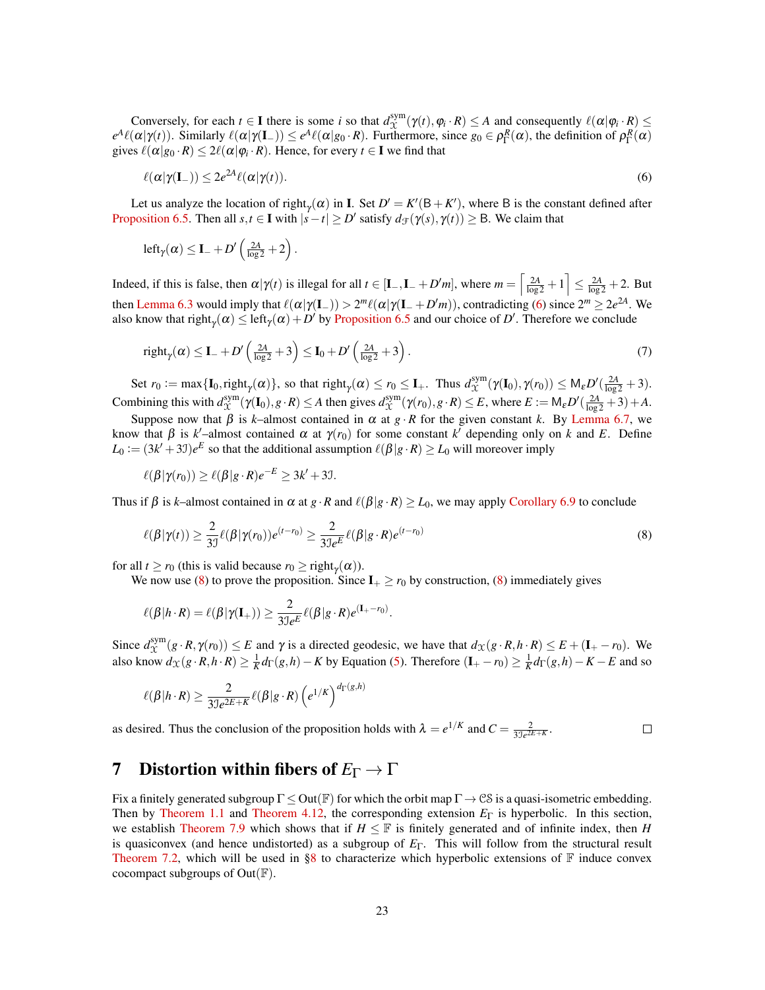Conversely, for each  $t \in I$  there is some *i* so that  $d_{\Upsilon}^{sym}$  $\chi^{\text{sym}}(\gamma(t), \varphi_i \cdot R) \leq A$  and consequently  $\ell(\alpha | \varphi_i \cdot R) \leq$  $e^{A}\ell(\alpha|\gamma(t))$ . Similarly  $\ell(\alpha|\gamma(I_{-})) \leq e^{A}\ell(\alpha|g_0 \cdot R)$ . Furthermore, since  $g_0 \in \rho_{\Gamma}^{R}(\alpha)$ , the definition of  $\rho_{\Gamma}^{R}(\alpha)$ gives  $\ell(\alpha|g_0 \cdot R) \leq 2\ell(\alpha|\varphi_i \cdot R)$ . Hence, for every  $t \in I$  we find that

<span id="page-22-1"></span>
$$
\ell(\alpha|\gamma(\mathbf{I}_{-})) \le 2e^{2A}\ell(\alpha|\gamma(t)).\tag{6}
$$

Let us analyze the location of right<sub> $\gamma$ </sub>( $\alpha$ ) in **I**. Set  $D' = K'(B + K')$ , where B is the constant defined after [Proposition 6.5.](#page-19-2) Then all  $s, t \in I$  with  $|s - t| \ge D'$  satisfy  $d_{\mathcal{F}}(\gamma(s), \gamma(t)) \ge B$ . We claim that

$$
\text{left}_{\gamma}(\alpha) \leq I_- + D' \left( \tfrac{2A}{\log 2} + 2 \right).
$$

Indeed, if this is false, then  $\alpha|\gamma(t)$  is illegal for all  $t \in [\mathbf{I}_-, \mathbf{I}_- + D'm]$ , where  $m = \left[\frac{2A}{\log 2} + 1\right] \le \frac{2A}{\log 2} + 2$ . But then [Lemma 6.3](#page-19-1) would imply that  $\ell(\alpha|\gamma(I_-)) > 2^m \ell(\alpha|\gamma(I_- + D'm))$ , contradicting [\(6\)](#page-22-1) since  $2^m \ge 2e^{2A}$ . We also know that  $\text{right}_{\gamma}(\alpha) \leq \text{left}_{\gamma}(\alpha) + D'$  by [Proposition 6.5](#page-19-2) and our choice of *D'*. Therefore we conclude

$$
right_{\gamma}(\alpha) \leq \mathbf{I}_{-} + D' \left( \frac{2A}{\log 2} + 3 \right) \leq \mathbf{I}_{0} + D' \left( \frac{2A}{\log 2} + 3 \right). \tag{7}
$$

Set  $r_0 := \max\{\mathbf{I}_0, \text{right}_{\gamma}(\alpha)\}\)$ , so that  $\text{right}_{\gamma}(\alpha) \le r_0 \le \mathbf{I}_+$ . Thus  $d_{\chi}^{\text{sym}}$  $\chi^{\text{sym}}(\gamma(\mathbf{I}_0), \gamma(r_0)) \leq M_{\varepsilon} D'(\frac{2A}{\log 2} + 3).$ Combining this with  $d_{\Upsilon}^{\text{sym}}$  $X^{\text{sym}}_{\mathcal{X}}(\gamma(\mathbf{I}_0), g \cdot R) \leq A$  then gives  $d_{\mathcal{X}}^{\text{sym}}$  $\chi^{\text{sym}}_{\mathcal{X}}(\gamma(r_0), g \cdot R) \leq E$ , where  $E := \mathsf{M}_{\varepsilon} D'(\frac{2A}{\log 2} + 3) + A$ .

Suppose now that  $\beta$  is *k*–almost contained in  $\alpha$  at  $g \cdot R$  for the given constant *k*. By [Lemma 6.7,](#page-19-4) we know that  $\beta$  is *k*'-almost contained  $\alpha$  at  $\gamma(r_0)$  for some constant *k*' depending only on *k* and *E*. Define  $L_0 := (3k' + 3\mathbb{J})e^E$  so that the additional assumption  $\ell(\beta | g \cdot R) \ge L_0$  will moreover imply

$$
\ell(\beta|\gamma(r_0)) \ge \ell(\beta|g \cdot R)e^{-E} \ge 3k' + 3\mathfrak{I}.
$$

Thus if  $\beta$  is *k*–almost contained in  $\alpha$  at  $g \cdot R$  and  $\ell(\beta | g \cdot R) \ge L_0$ , we may apply [Corollary 6.9](#page-20-1) to conclude

$$
\ell(\beta|\gamma(t)) \ge \frac{2}{3\Im} \ell(\beta|\gamma(r_0))e^{(t-r_0)} \ge \frac{2}{3\Im e^E} \ell(\beta|g \cdot R)e^{(t-r_0)} \tag{8}
$$

for all  $t \ge r_0$  (this is valid because  $r_0 \ge \text{right}_{\gamma}(\alpha)$ ).

We now use [\(8\)](#page-22-2) to prove the proposition. Since  $I_+ \ge r_0$  by construction, (8) immediately gives

$$
\ell(\beta|h \cdot R) = \ell(\beta|\gamma(\mathbf{I}_{+})) \ge \frac{2}{3\Im e^{E}} \ell(\beta|g \cdot R) e^{(\mathbf{I}_{+} - r_{0})}
$$

Since  $d_{\Upsilon}^{\text{sym}}$  $\chi^{\text{sym}}(g \cdot R, \gamma(r_0)) \leq E$  and  $\gamma$  is a directed geodesic, we have that  $d_{\mathcal{X}}(g \cdot R, h \cdot R) \leq E + (\mathbf{I}_{+} - r_0)$ . We also know  $d_{\mathcal{X}}(g \cdot R, h \cdot R) \geq \frac{1}{K}d_{\Gamma}(g, h) - K$  by Equation [\(5\)](#page-21-1). Therefore  $(I_{+} - r_0) \geq \frac{1}{K}d_{\Gamma}(g, h) - K - E$  and so

<span id="page-22-2"></span>.

$$
\ell(\beta | h \cdot R) \ge \frac{2}{3J e^{2E + K}} \ell(\beta | g \cdot R) \left(e^{1/K}\right)^{d_{\Gamma}(g,h)}
$$

as desired. Thus the conclusion of the proposition holds with  $\lambda = e^{1/K}$  and  $C = \frac{2}{3Je^{2E+K}}$ .  $\Box$ 

# <span id="page-22-0"></span>7 Distortion within fibers of *E*<sup>Γ</sup> → Γ

Fix a finitely generated subgroup  $\Gamma \leq Out(\mathbb{F})$  for which the orbit map  $\Gamma \to \mathcal{CS}$  is a quasi-isometric embedding. Then by [Theorem 1.1](#page-0-1) and [Theorem 4.12,](#page-14-0) the corresponding extension *E*<sup>Γ</sup> is hyperbolic. In this section, we establish [Theorem 7.9](#page-28-1) which shows that if  $H \leq \mathbb{F}$  is finitely generated and of infinite index, then *H* is quasiconvex (and hence undistorted) as a subgroup of  $E_{\Gamma}$ . This will follow from the structural result [Theorem 7.2,](#page-24-0) which will be used in [§8](#page-29-1) to characterize which hyperbolic extensions of  $\mathbb F$  induce convex cocompact subgroups of  $Out(\mathbb{F})$ .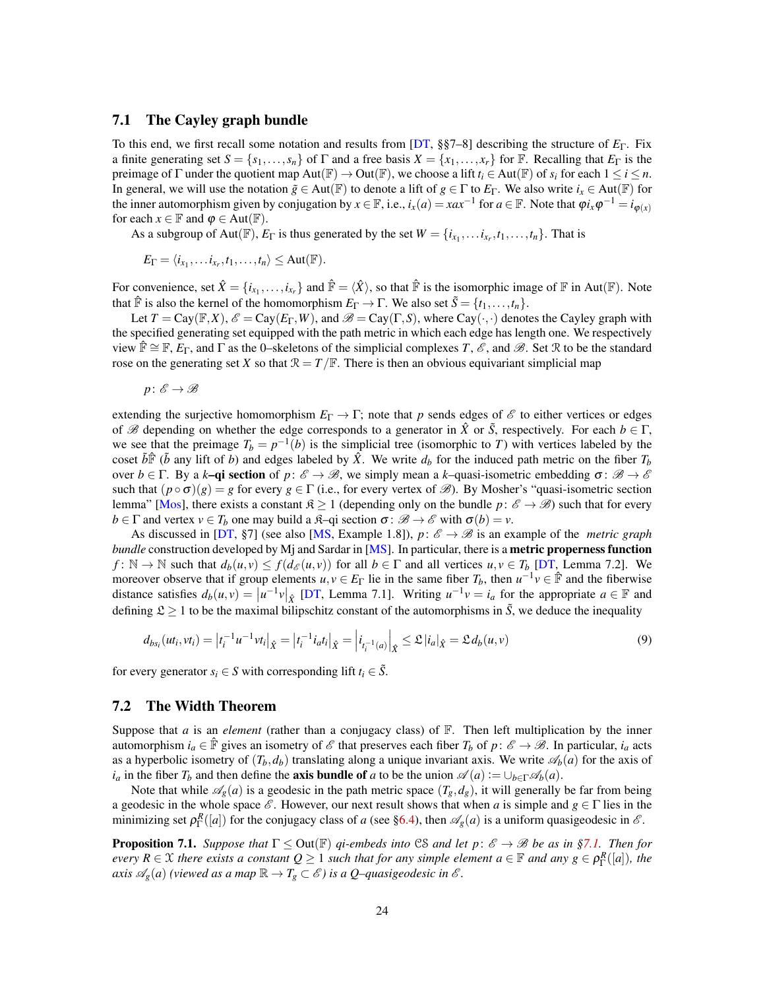### <span id="page-23-0"></span>7.1 The Cayley graph bundle

To this end, we first recall some notation and results from [\[DT,](#page-31-0) §§7–8] describing the structure of *E*Γ. Fix a finite generating set  $S = \{s_1, \ldots, s_n\}$  of  $\Gamma$  and a free basis  $X = \{x_1, \ldots, x_r\}$  for  $\mathbb F$ . Recalling that  $E_{\Gamma}$  is the preimage of  $\Gamma$  under the quotient map Aut( $\mathbb{F}$ )  $\to$  Out( $\mathbb{F}$ ), we choose a lift  $t_i \in$  Aut( $\mathbb{F}$ ) of  $s_i$  for each  $1 \le i \le n$ . In general, we will use the notation  $\tilde{g} \in Aut(\mathbb{F})$  to denote a lift of  $g \in \Gamma$  to  $E_{\Gamma}$ . We also write  $i_x \in Aut(\mathbb{F})$  for the inner automorphism given by conjugation by  $x \in \mathbb{F}$ , i.e.,  $i_x(a) = x a x^{-1}$  for  $a \in \mathbb{F}$ . Note that  $\varphi i_x \varphi^{-1} = i_{\varphi(x)}$ for each  $x \in \mathbb{F}$  and  $\varphi \in Aut(\mathbb{F})$ .

As a subgroup of Aut $(\mathbb{F})$ ,  $E_{\Gamma}$  is thus generated by the set  $W = \{i_{x_1}, \ldots, i_{x_r}, t_1, \ldots, t_n\}$ . That is

$$
E_{\Gamma} = \langle i_{x_1}, \ldots i_{x_r}, t_1, \ldots, t_n \rangle \leq \text{Aut}(\mathbb{F}).
$$

For convenience, set  $\hat{X} = \{i_{x_1},...,i_{x_r}\}$  and  $\hat{F} = \langle \hat{X} \rangle$ , so that  $\hat{F}$  is the isomorphic image of  $F$  in Aut( $F$ ). Note that  $\hat{\mathbb{F}}$  is also the kernel of the homomorphism  $E_{\Gamma} \to \Gamma$ . We also set  $\tilde{S} = \{t_1, \ldots, t_n\}$ .

Let  $T = \text{Cay}(\mathbb{F}, X)$ ,  $\mathcal{E} = \text{Cay}(E_{\Gamma}, W)$ , and  $\mathcal{B} = \text{Cay}(\Gamma, S)$ , where  $\text{Cay}(\cdot, \cdot)$  denotes the Cayley graph with the specified generating set equipped with the path metric in which each edge has length one. We respectively view  $\mathbb{F} \cong \mathbb{F}$ ,  $E_{\Gamma}$ , and  $\Gamma$  as the 0–skeletons of the simplicial complexes *T*,  $\mathscr{E}$ , and  $\mathscr{B}$ . Set R to be the standard rose on the generating set *X* so that  $\mathcal{R} = T/\mathbb{F}$ . There is then an obvious equivariant simplicial map

$$
p\colon\mathscr{E}\to\mathscr{B}
$$

extending the surjective homomorphism  $E_{\Gamma} \to \Gamma$ ; note that *p* sends edges of  $\mathscr E$  to either vertices or edges of B depending on whether the edge corresponds to a generator in  $\hat{X}$  or  $\tilde{S}$ , respectively. For each  $b \in \Gamma$ , we see that the preimage  $T_b = p^{-1}(b)$  is the simplicial tree (isomorphic to *T*) with vertices labeled by the coset  $\tilde{b}$   $\tilde{F}$  ( $\tilde{b}$  any lift of *b*) and edges labeled by  $\hat{X}$ . We write  $d_b$  for the induced path metric on the fiber  $T_b$ over  $b \in \Gamma$ . By a *k*–q**i section** of  $p: \mathscr{E} \to \mathscr{B}$ , we simply mean a *k*–quasi-isometric embedding  $\sigma: \mathscr{B} \to \mathscr{E}$ such that  $(p \circ \sigma)(g) = g$  for every  $g \in \Gamma$  (i.e., for every vertex of  $\mathcal{B}$ ). By Mosher's "quasi-isometric section lemma" [\[Mos\]](#page-32-12), there exists a constant  $\mathfrak{K} \geq 1$  (depending only on the bundle  $p: \mathscr{E} \to \mathscr{B}$ ) such that for every  $b \in \Gamma$  and vertex  $v \in T_b$  one may build a  $\mathfrak{K}$ -qi section  $\sigma : \mathcal{B} \to \mathcal{E}$  with  $\sigma(b) = v$ .

As discussed in [\[DT,](#page-31-0) §7] (see also [\[MS,](#page-32-13) Example 1.8]),  $p: \mathscr{E} \to \mathscr{B}$  is an example of the *metric graph bundle* construction developed by Mj and Sardar in [\[MS\]](#page-32-13). In particular, there is a **metric properness function** *f* :  $\mathbb{N} \to \mathbb{N}$  such that  $d_b(u, v) \leq f(d_{\mathcal{E}}(u, v))$  for all  $b \in \Gamma$  and all vertices  $u, v \in T_b$  [\[DT,](#page-31-0) Lemma 7.2]. We moreover observe that if group elements  $u, v \in E_{\Gamma}$  lie in the same fiber  $T_b$ , then  $u^{-1}v \in \mathbb{F}$  and the fiberwise distance satisfies  $d_b(u, v) = |u^{-1}v|_{\hat{X}}$  [\[DT,](#page-31-0) Lemma 7.1]. Writing  $u^{-1}v = i_a$  for the appropriate  $a \in \mathbb{F}$  and defining  $\mathfrak{L} \geq 1$  to be the maximal bilipschitz constant of the automorphisms in  $\tilde{S}$ , we deduce the inequality

<span id="page-23-2"></span>
$$
d_{bs_i}(ut_i, vt_i) = |t_i^{-1}u^{-1}vt_i|_{\hat{X}} = |t_i^{-1}i_at_i|_{\hat{X}} = |i_{t_i^{-1}(a)}|_{\hat{X}} \leq \mathfrak{L}|i_a|_{\hat{X}} = \mathfrak{L}d_b(u, v)
$$
\n(9)

for every generator  $s_i \in S$  with corresponding lift  $t_i \in \tilde{S}$ .

#### <span id="page-23-3"></span>7.2 The Width Theorem

Suppose that  $a$  is an *element* (rather than a conjugacy class) of  $\mathbb{F}$ . Then left multiplication by the inner automorphism  $i_a \in \mathbb{F}$  gives an isometry of  $\mathscr{E}$  that preserves each fiber  $T_b$  of  $p: \mathscr{E} \to \mathscr{B}$ . In particular,  $i_a$  acts as a hyperbolic isometry of  $(T_b, d_b)$  translating along a unique invariant axis. We write  $\mathscr{A}_b(a)$  for the axis of *i*<sub>*a*</sub> in the fiber *T<sub>b</sub>* and then define the **axis bundle of** *a* to be the union  $\mathcal{A}(a) := \cup_{b \in \Gamma} \mathcal{A}_b(a)$ .

Note that while  $\mathscr{A}_{g}(a)$  is a geodesic in the path metric space  $(T_g, d_g)$ , it will generally be far from being a geodesic in the whole space  $\mathscr E$ . However, our next result shows that when *a* is simple and  $g \in \Gamma$  lies in the minimizing set  $\rho_{\Gamma}^{R}([a])$  for the conjugacy class of *a* (see [§6.4\)](#page-21-2), then  $\mathscr{A}_{g}(a)$  is a uniform quasigeodesic in  $\mathscr{E}$ .

<span id="page-23-1"></span>**Proposition 7.1.** *Suppose that*  $\Gamma \leq$  Out( $\mathbb{F}$ ) *qi-embeds into* CS *and let*  $p: \mathscr{E} \to \mathscr{B}$  *be as in* [§7.1.](#page-23-0) *Then for every*  $R \in \mathcal{X}$  *there exists a constant*  $Q \geq 1$  *such that for any simple element*  $a \in \mathbb{F}$  *and any*  $g \in \rho_{\Gamma}^{R}([a])$ *, the axis*  $\mathscr{A}_{g}(a)$  *(viewed as a map*  $\mathbb{R} \to T_{g} \subset \mathscr{E}$ *) is a Q–quasigeodesic in*  $\mathscr{E}$ *.*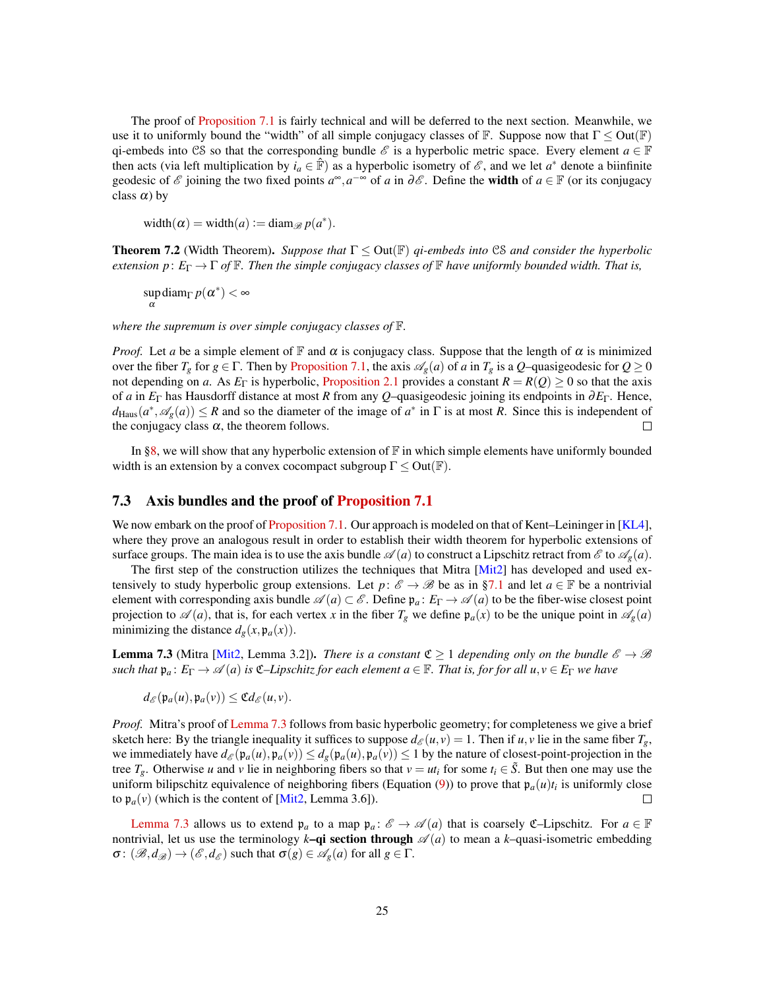The proof of [Proposition 7.1](#page-23-1) is fairly technical and will be deferred to the next section. Meanwhile, we use it to uniformly bound the "width" of all simple conjugacy classes of  $\mathbb F$ . Suppose now that  $\Gamma \leq Out(\mathbb F)$ qi-embeds into CS so that the corresponding bundle  $\mathscr E$  is a hyperbolic metric space. Every element  $a \in \mathbb F$ then acts (via left multiplication by  $i_a \in \hat{F}$ ) as a hyperbolic isometry of  $\mathscr{E}$ , and we let  $a^*$  denote a biinfinite geodesic of  $\mathscr E$  joining the two fixed points  $a^\infty, a^{-\infty}$  of *a* in  $\partial \mathscr E$ . Define the **width** of  $a \in \mathbb F$  (or its conjugacy class  $\alpha$ ) by

width $(\alpha)$  = width $(a)$  := diam<sub>*<sub><i>n*</sub></sub> p(*a*<sup>\*</sup>).</sub>

<span id="page-24-0"></span>Theorem 7.2 (Width Theorem). *Suppose that* Γ ≤ Out(F) *qi-embeds into* CS *and consider the hyperbolic extension p*:  $E_{\Gamma} \to \Gamma$  *of*  $\mathbb F$ *. Then the simple conjugacy classes of*  $\mathbb F$  *have uniformly bounded width. That is,* 

sup up diam<sub> $\Gamma$ </sub>  $p(\alpha^*) < \infty$ 

*where the supremum is over simple conjugacy classes of* F*.*

*Proof.* Let *a* be a simple element of F and  $\alpha$  is conjugacy class. Suppose that the length of  $\alpha$  is minimized over the fiber  $T_g$  for  $g \in \Gamma$ . Then by [Proposition 7.1,](#page-23-1) the axis  $\mathscr{A}_g(a)$  of *a* in  $T_g$  is a *Q*–quasigeodesic for  $Q \ge 0$ not depending on *a*. As  $E_{\Gamma}$  is hyperbolic, [Proposition 2.1](#page-3-0) provides a constant  $R = R(Q) \ge 0$  so that the axis of *a* in *E*<sup>Γ</sup> has Hausdorff distance at most *R* from any *Q*–quasigeodesic joining its endpoints in ∂*E*Γ. Hence,  $d_{\text{Haus}}(a^*, \mathscr{A}_g(a)) \leq R$  and so the diameter of the image of  $a^*$  in  $\Gamma$  is at most *R*. Since this is independent of the conjugacy class  $\alpha$ , the theorem follows.  $\Box$ 

In [§8,](#page-29-1) we will show that any hyperbolic extension of  $\mathbb F$  in which simple elements have uniformly bounded width is an extension by a convex cocompact subgroup  $\Gamma \leq Out(\mathbb{F})$ .

#### 7.3 Axis bundles and the proof of [Proposition 7.1](#page-23-1)

We now embark on the proof of [Proposition 7.1.](#page-23-1) Our approach is modeled on that of Kent–Leininger in [\[KL4\]](#page-32-6), where they prove an analogous result in order to establish their width theorem for hyperbolic extensions of surface groups. The main idea is to use the axis bundle  $\mathscr{A}(a)$  to construct a Lipschitz retract from  $\mathscr{E}$  to  $\mathscr{A}_g(a)$ .

The first step of the construction utilizes the techniques that Mitra [\[Mit2\]](#page-32-14) has developed and used extensively to study hyperbolic group extensions. Let  $p: \mathscr{E} \to \mathscr{B}$  be as in [§7.1](#page-23-0) and let  $a \in \mathbb{F}$  be a nontrivial element with corresponding axis bundle  $\mathscr{A}(a) \subset \mathscr{E}$ . Define  $\mathfrak{p}_a : E_\Gamma \to \mathscr{A}(a)$  to be the fiber-wise closest point projection to  $\mathscr{A}(a)$ , that is, for each vertex *x* in the fiber  $T_g$  we define  $\mathfrak{p}_a(x)$  to be the unique point in  $\mathscr{A}_g(a)$ minimizing the distance  $d_g(x, \mathfrak{p}_a(x))$ .

<span id="page-24-1"></span>**Lemma 7.3** (Mitra [\[Mit2,](#page-32-14) Lemma 3.2]). *There is a constant*  $\mathfrak{C} \geq 1$  *depending only on the bundle*  $\mathscr{E} \to \mathscr{B}$ *such that*  $\mathfrak{p}_a : E_\Gamma \to \mathscr{A}(a)$  *is*  $\mathfrak{C}-Lipschitz$  *for each element*  $a \in \mathbb{F}$ *. That is, for for all*  $u, v \in E_\Gamma$  *we have* 

$$
d_{\mathscr{E}}(\mathfrak{p}_a(u),\mathfrak{p}_a(v)) \leq \mathfrak{C}d_{\mathscr{E}}(u,v).
$$

*Proof.* Mitra's proof of [Lemma 7.3](#page-24-1) follows from basic hyperbolic geometry; for completeness we give a brief sketch here: By the triangle inequality it suffices to suppose  $d_{\mathscr{E}}(u, v) = 1$ . Then if  $u, v$  lie in the same fiber  $T_g$ , we immediately have  $d_{\mathscr{E}}(\mathfrak{p}_a(u),\mathfrak{p}_a(v)) \leq d_{\mathscr{E}}(\mathfrak{p}_a(u),\mathfrak{p}_a(v)) \leq 1$  by the nature of closest-point-projection in the tree  $T_g$ . Otherwise *u* and *v* lie in neighboring fibers so that  $v = ut_i$  for some  $t_i \in \tilde{S}$ . But then one may use the uniform bilipschitz equivalence of neighboring fibers (Equation [\(9\)](#page-23-2)) to prove that  $\mathfrak{p}_a(u)t_i$  is uniformly close to  $\mathfrak{p}_a(v)$  (which is the content of [\[Mit2,](#page-32-14) Lemma 3.6]).  $\Box$ 

<span id="page-24-2"></span>[Lemma 7.3](#page-24-1) allows us to extend  $\mathfrak{p}_a$  to a map  $\mathfrak{p}_a$ :  $\mathcal{E} \to \mathcal{A}(a)$  that is coarsely  $\mathfrak{C}-$ Lipschitz. For  $a \in \mathbb{F}$ nontrivial, let us use the terminology  $k$ –qi section through  $\mathscr{A}(a)$  to mean a  $k$ –quasi-isometric embedding  $\sigma: (\mathscr{B}, d_{\mathscr{B}}) \to (\mathscr{E}, d_{\mathscr{E}})$  such that  $\sigma(g) \in \mathscr{A}_{g}(a)$  for all  $g \in \Gamma$ .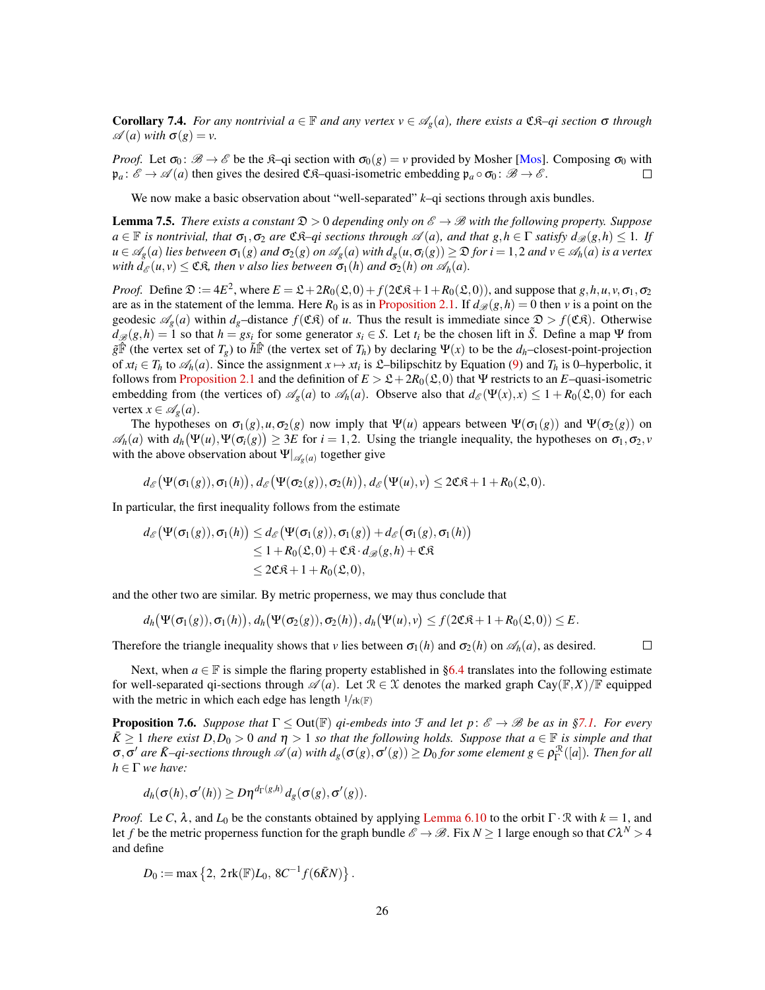**Corollary 7.4.** *For any nontrivial*  $a \in \mathbb{F}$  *and any vertex*  $v \in \mathcal{A}_{\varrho}(a)$ *, there exists a* CR–qi section  $\sigma$  *through*  $\mathscr{A}(a)$  *with*  $\sigma(g) = v$ .

*Proof.* Let  $\sigma_0$ :  $\mathscr{B} \to \mathscr{E}$  be the  $\mathscr{R}$ -qi section with  $\sigma_0(g) = v$  provided by Mosher [\[Mos\]](#page-32-12). Composing  $\sigma_0$  with  $\mathfrak{p}_a: \mathscr{E} \to \mathscr{A}(a)$  then gives the desired  $\mathfrak{CE}$ –quasi-isometric embedding  $\mathfrak{p}_a \circ \sigma_0: \mathscr{B} \to \mathscr{E}$ .  $\Box$ 

We now make a basic observation about "well-separated"  $k$ -qi sections through axis bundles.

<span id="page-25-0"></span>**Lemma 7.5.** *There exists a constant*  $\mathfrak{D} > 0$  *depending only on*  $\mathscr{E} \to \mathscr{B}$  *with the following property. Suppose*  $a \in \mathbb{F}$  *is nontrivial, that*  $\sigma_1, \sigma_2$  *are*  $\mathfrak{C} \mathfrak{K}$ *-qi sections through*  $\mathcal{A}(a)$ *, and that*  $g, h \in \Gamma$  *satisfy*  $d_{\mathcal{B}}(g, h) \leq 1$ *. If*  $u \in \mathscr{A}_g(a)$  lies between  $\sigma_1(g)$  and  $\sigma_2(g)$  on  $\mathscr{A}_g(a)$  with  $d_g(u, \sigma_i(g)) \geq \mathfrak{D}$  for  $i = 1, 2$  and  $v \in \mathscr{A}_h(a)$  is a vertex *with*  $d_{\mathscr{E}}(u, v) \leq \mathfrak{CR}$ , then *v* also lies between  $\sigma_1(h)$  and  $\sigma_2(h)$  on  $\mathscr{A}_h(a)$ .

*Proof.* Define  $\mathfrak{D} := 4E^2$ , where  $E = \mathfrak{L} + 2R_0(\mathfrak{L}, 0) + f(2\mathfrak{C}\mathfrak{K} + 1 + R_0(\mathfrak{L}, 0))$ , and suppose that *g*, *h*, *u*, *v*,  $\sigma_1$ ,  $\sigma_2$ are as in the statement of the lemma. Here  $R_0$  is as in [Proposition 2.1.](#page-3-0) If  $d_{\mathscr{B}}(g,h) = 0$  then *v* is a point on the geodesic  $\mathscr{A}_{g}(a)$  within  $d_g$ –distance  $f(\mathfrak{CR})$  of *u*. Thus the result is immediate since  $\mathfrak{D} > f(\mathfrak{CR})$ . Otherwise  $d_{\mathscr{B}}(g,h) = 1$  so that  $h = gs_i$  for some generator  $s_i \in S$ . Let  $t_i$  be the chosen lift in *S*<sup> $\tilde{S}$ </sup>. Define a map Ψ from  $\tilde{g}$ <sup> $\hat{F}$ </sup> (the vertex set of *T<sub>g</sub>*) to  $\tilde{h}$  (the vertex set of *T<sub>h</sub>*) by declaring  $\Psi(x)$  to be the *d<sub>h</sub>*–closest-point-projection of  $x_i \in T_h$  to  $\mathscr{A}_h(a)$ . Since the assignment  $x \mapsto xt_i$  is  $\mathfrak{L}$ –bilipschitz by Equation [\(9\)](#page-23-2) and  $T_h$  is 0–hyperbolic, it follows from [Proposition 2.1](#page-3-0) and the definition of  $E > \mathcal{L} + 2R_0(\mathcal{L},0)$  that Ψ restricts to an *E*–quasi-isometric embedding from (the vertices of)  $\mathscr{A}_g(a)$  to  $\mathscr{A}_h(a)$ . Observe also that  $d_{\mathscr{E}}(\Psi(x),x) \leq 1 + R_0(\mathfrak{L},0)$  for each vertex  $x \in \mathscr{A}_{g}(a)$ .

The hypotheses on  $\sigma_1(g)$ ,  $u, \sigma_2(g)$  now imply that  $\Psi(u)$  appears between  $\Psi(\sigma_1(g))$  and  $\Psi(\sigma_2(g))$  on  $\mathscr{A}_h(a)$  with  $d_h(\Psi(u), \Psi(\sigma_i(g)) \geq 3E$  for  $i = 1, 2$ . Using the triangle inequality, the hypotheses on  $\sigma_1, \sigma_2, \nu$ with the above observation about  $\Psi|_{\mathscr{A}_g(a)}$  together give

$$
d_{\mathscr{E}}(\Psi(\sigma_1(g)), \sigma_1(h)), d_{\mathscr{E}}(\Psi(\sigma_2(g)), \sigma_2(h)), d_{\mathscr{E}}(\Psi(u), v) \leq 2\mathfrak{C}\mathfrak{K} + 1 + R_0(\mathfrak{L}, 0).
$$

In particular, the first inequality follows from the estimate

$$
d_{\mathscr{E}}(\Psi(\sigma_1(g)), \sigma_1(h)) \leq d_{\mathscr{E}}(\Psi(\sigma_1(g)), \sigma_1(g)) + d_{\mathscr{E}}(\sigma_1(g), \sigma_1(h))
$$
  
\n
$$
\leq 1 + R_0(\mathfrak{L}, 0) + \mathfrak{C}\mathfrak{K} \cdot d_{\mathscr{B}}(g, h) + \mathfrak{C}\mathfrak{K}
$$
  
\n
$$
\leq 2\mathfrak{C}\mathfrak{K} + 1 + R_0(\mathfrak{L}, 0),
$$

and the other two are similar. By metric properness, we may thus conclude that

$$
d_h(\Psi(\sigma_1(g)), \sigma_1(h)), d_h(\Psi(\sigma_2(g)), \sigma_2(h)), d_h(\Psi(u), v) \leq f(2\mathfrak{CR} + 1 + R_0(\mathfrak{L}, 0)) \leq E.
$$

Therefore the triangle inequality shows that *v* lies between  $\sigma_1(h)$  and  $\sigma_2(h)$  on  $\mathscr{A}_h(a)$ , as desired.

 $\Box$ 

Next, when  $a \in \mathbb{F}$  is simple the flaring property established in [§6.4](#page-21-2) translates into the following estimate for well-separated qi-sections through  $\mathscr{A}(a)$ . Let  $\mathcal{R} \in \mathcal{X}$  denotes the marked graph Cay( $\mathbb{F}, X$ )/ $\mathbb{F}$  equipped with the metric in which each edge has length  $1/\text{rk}(\mathbb{F})$ 

<span id="page-25-1"></span>**Proposition 7.6.** *Suppose that*  $\Gamma \leq$  Out( $\mathbb{F}$ ) *qi-embeds into*  $\mathcal{F}$  *and let*  $p: \mathcal{E} \rightarrow \mathcal{B}$  *be as in* [§7.1.](#page-23-0) *For every*  $\bar{K} \geq 1$  *there exist*  $D, D_0 > 0$  *and*  $\eta > 1$  *so that the following holds. Suppose that*  $a \in \mathbb{F}$  *is simple and that*  $\sigma$ , $\sigma'$  are  $\bar{K}$ -qi-sections through  $\mathscr{A}(a)$  with  $d_g(\sigma(g), \sigma'(g)) \geq D_0$  for some element  $g \in \rho_{\Gamma}^{\mathcal{R}}([a])$ . Then for all  $h \in \Gamma$  *we have:* 

$$
d_h(\sigma(h), \sigma'(h)) \ge D\eta^{d_{\Gamma}(g,h)} d_g(\sigma(g), \sigma'(g)).
$$

*Proof.* Le *C*,  $\lambda$ , and  $L_0$  be the constants obtained by applying [Lemma 6.10](#page-21-0) to the orbit Γ·R with  $k = 1$ , and let *f* be the metric properness function for the graph bundle  $\mathscr{E} \to \mathscr{B}$ . Fix  $N \ge 1$  large enough so that  $C\lambda^N > 4$ and define

$$
D_0 := \max\left\{2, 2\operatorname{rk}(\mathbb{F})L_0, 8C^{-1}f(6\bar{K}N)\right\}.
$$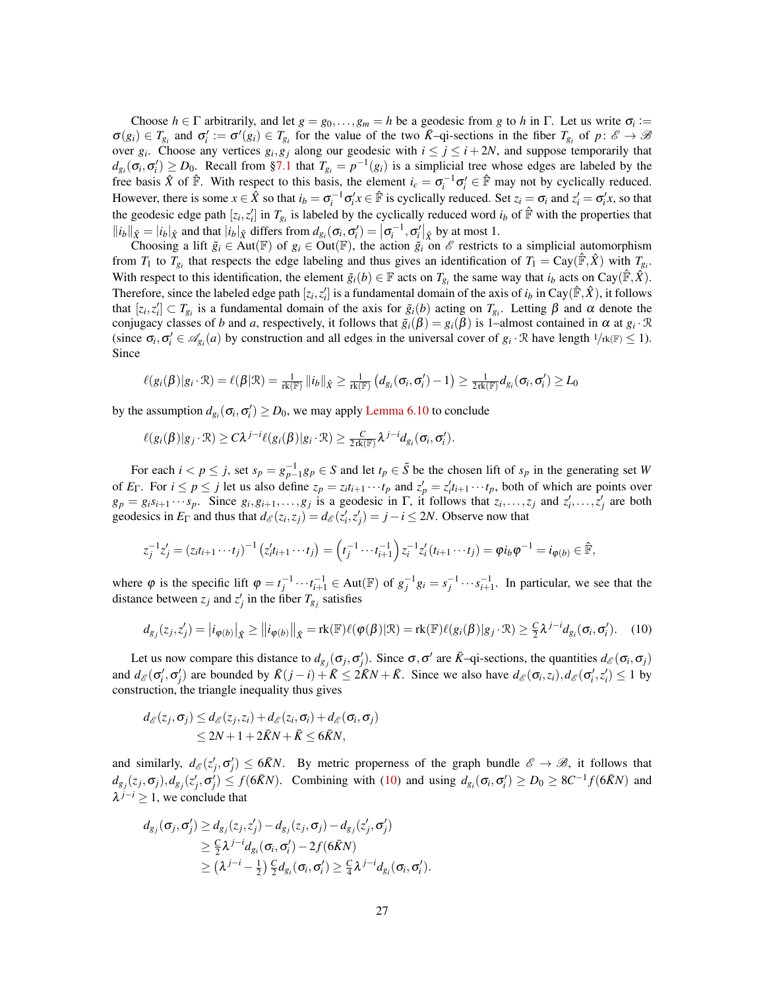Choose  $h \in \Gamma$  arbitrarily, and let  $g = g_0, \ldots, g_m = h$  be a geodesic from *g* to *h* in  $\Gamma$ . Let us write  $\sigma_i :=$  $\sigma(g_i) \in T_{g_i}$  and  $\sigma'_i := \sigma'(g_i) \in T_{g_i}$  for the value of the two  $\overline{K}$ -qi-sections in the fiber  $T_{g_i}$  of  $p: \mathscr{E} \to \mathscr{B}$ over  $g_i$ . Choose any vertices  $g_i, g_j$  along our geodesic with  $i \leq j \leq i + 2N$ , and suppose temporarily that  $d_{g_i}(\sigma_i, \sigma'_i) \ge D_0$ . Recall from [§7.1](#page-23-0) that  $T_{g_i} = p^{-1}(g_i)$  is a simplicial tree whose edges are labeled by the free basis  $\hat{X}$  of  $\hat{\mathbb{F}}$ . With respect to this basis, the element  $i_c = \sigma_i^{-1} \sigma_i' \in \hat{\mathbb{F}}$  may not by cyclically reduced. However, there is some  $x \in \hat{X}$  so that  $i_b = \sigma_i^{-1} \sigma_i' x \in \hat{\mathbb{F}}$  is cyclically reduced. Set  $z_i = \sigma_i$  and  $z_i' = \sigma_i' x$ , so that the geodesic edge path  $[z_i, z'_i]$  in  $T_{g_i}$  is labeled by the cyclically reduced word  $i_b$  of  $\hat{F}$  with the properties that  $||i_b||_{\hat{X}} = |i_b|_{\hat{X}}$  and that  $|i_b|_{\hat{X}}$  differs from  $d_{g_i}(\sigma_i, \sigma'_i) = |\sigma_i^{-1}, \sigma'_i|_{\hat{X}}$  by at most 1.

Choosing a lift  $\tilde{g}_i \in Aut(\mathbb{F})$  of  $g_i \in Out(\mathbb{F})$ , the action  $\tilde{g}_i$  on  $\mathscr{E}$  restricts to a simplicial automorphism from  $T_1$  to  $T_{g_i}$  that respects the edge labeling and thus gives an identification of  $T_1 = \text{Cay}(\hat{F}, \hat{X})$  with  $T_{g_i}$ . With respect to this identification, the element  $\tilde{g}_i(b) \in \mathbb{F}$  acts on  $T_{g_i}$  the same way that  $i_b$  acts on  $\text{Cay}(\hat{\mathbb{F}}, \hat{X})$ . Therefore, since the labeled edge path  $[z_i, z'_i]$  is a fundamental domain of the axis of  $i_b$  in Cay( $\hat{F}, \hat{X}$ ), it follows that  $[z_i, z'_i] \subset T_{g_i}$  is a fundamental domain of the axis for  $\tilde{g}_i(b)$  acting on  $T_{g_i}$ . Letting  $\beta$  and  $\alpha$  denote the conjugacy classes of *b* and *a*, respectively, it follows that  $\tilde{g}_i(\beta) = g_i(\beta)$  is 1–almost contained in  $\alpha$  at  $g_i \cdot \mathcal{R}$ (since  $\sigma_i, \sigma'_i \in \mathcal{A}_{g_i}(a)$  by construction and all edges in the universal cover of  $g_i \cdot \mathcal{R}$  have length  $1/\text{rk}(\mathbb{F}) \leq 1$ ). Since

$$
\ell(g_i(\beta)|g_i \cdot \mathcal{R}) = \ell(\beta|\mathcal{R}) = \frac{1}{\mathrm{rk}(\mathbb{F})} \|i_b\|_{\hat{X}} \ge \frac{1}{\mathrm{rk}(\mathbb{F})} (d_{g_i}(\sigma_i, \sigma'_i) - 1) \ge \frac{1}{2\mathrm{rk}(\mathbb{F})} d_{g_i}(\sigma_i, \sigma'_i) \ge L_0
$$

by the assumption  $d_{gi}(\sigma_i, \sigma'_i) \ge D_0$ , we may apply [Lemma 6.10](#page-21-0) to conclude

$$
\ell(g_i(\beta)|g_j \cdot \mathcal{R}) \geq C \lambda^{j-i} \ell(g_i(\beta)|g_i \cdot \mathcal{R}) \geq \frac{C}{2\mathrm{rk}(\mathbb{F})} \lambda^{j-i} d_{g_i}(\sigma_i, \sigma'_i).
$$

For each  $i < p \leq j$ , set  $s_p = g_{p-1}^{-1}g_p \in S$  and let  $t_p \in \tilde{S}$  be the chosen lift of  $s_p$  in the generating set *W* of  $E_{\Gamma}$ . For  $i \le p \le j$  let us also define  $z_p = z_i t_{i+1} \cdots t_p$  and  $z'_p = z'_i t_{i+1} \cdots t_p$ , both of which are points over  $g_p = g_i s_{i+1} \cdots s_p$ . Since  $g_i, g_{i+1}, \ldots, g_j$  is a geodesic in  $\Gamma$ , it follows that  $z_i, \ldots, z_j$  and  $z'_i, \ldots, z'_j$  are both geodesics in  $E_{\Gamma}$  and thus that  $d_{\mathscr{E}}(z_i, z_j) = d_{\mathscr{E}}(z'_i, z'_j) = j - i \leq 2N$ . Observe now that

$$
z_j^{-1}z_j' = (z_it_{i+1}\cdots t_j)^{-1} (z_i't_{i+1}\cdots t_j) = (t_j^{-1}\cdots t_{i+1}^{-1}) z_i^{-1}z_i' (t_{i+1}\cdots t_j) = \varphi i_b \varphi^{-1} = i_{\varphi(b)} \in \hat{\mathbb{F}},
$$

where  $\varphi$  is the specific lift  $\varphi = t_j^{-1} \cdots t_{i+1}^{-1} \in Aut(\mathbb{F})$  of  $g_j^{-1}g_i = s_j^{-1} \cdots s_{i+1}^{-1}$ . In particular, we see that the distance between  $z_j$  and  $z'_j$  in the fiber  $T_{g_j}$  satisfies

<span id="page-26-0"></span>
$$
d_{g_j}(z_j, z'_j) = |i_{\varphi(b)}|_{\hat{X}} \ge ||i_{\varphi(b)}||_{\hat{X}} = \text{rk}(\mathbb{F})\ell(\varphi(\beta)|\mathcal{R}) = \text{rk}(\mathbb{F})\ell(g_i(\beta)|g_j \cdot \mathcal{R}) \ge \frac{C}{2}\lambda^{j-i}d_{g_i}(\sigma_i, \sigma'_i). \tag{10}
$$

Let us now compare this distance to  $d_{g_j}(\sigma_j, \sigma'_j)$ . Since  $\sigma, \sigma'$  are  $\bar{K}$ –qi-sections, the quantities  $d_{\mathscr{E}}(\sigma_i, \sigma_j)$ and  $d_{\mathscr{E}}(\sigma'_i, \sigma'_j)$  are bounded by  $\bar{K}(j-i) + \bar{K} \le 2\bar{K}N + \bar{K}$ . Since we also have  $d_{\mathscr{E}}(\sigma_i, z_i), d_{\mathscr{E}}(\sigma'_i, z'_i) \le 1$  by construction, the triangle inequality thus gives

$$
d_{\mathscr{E}}(z_j, \sigma_j) \leq d_{\mathscr{E}}(z_j, z_i) + d_{\mathscr{E}}(z_i, \sigma_i) + d_{\mathscr{E}}(\sigma_i, \sigma_j)
$$
  

$$
\leq 2N + 1 + 2\bar{K}N + \bar{K} \leq 6\bar{K}N,
$$

and similarly,  $d_{\mathscr{E}}(z_j', \sigma'_j) \leq 6\bar{K}N$ . By metric properness of the graph bundle  $\mathscr{E} \to \mathscr{B}$ , it follows that  $d_{g_i}(z_j,\sigma_j), d_{g_j}(z'_j,\sigma'_j) \leq f(6\bar{K}N)$ . Combining with [\(10\)](#page-26-0) and using  $d_{g_i}(\sigma_i,\sigma'_i) \geq D_0 \geq 8C^{-1}f(6\bar{K}N)$  and  $\lambda^{j-i} \geq 1$ , we conclude that

$$
d_{g_j}(\sigma_j, \sigma'_j) \geq d_{g_j}(z_j, z'_j) - d_{g_j}(z_j, \sigma_j) - d_{g_j}(z'_j, \sigma'_j)
$$
  
\n
$$
\geq \frac{C}{2}\lambda^{j-i}d_{g_i}(\sigma_i, \sigma'_i) - 2f(6\bar{K}N)
$$
  
\n
$$
\geq (\lambda^{j-i} - \frac{1}{2})\frac{C}{2}d_{g_i}(\sigma_i, \sigma'_i) \geq \frac{C}{4}\lambda^{j-i}d_{g_i}(\sigma_i, \sigma'_i).
$$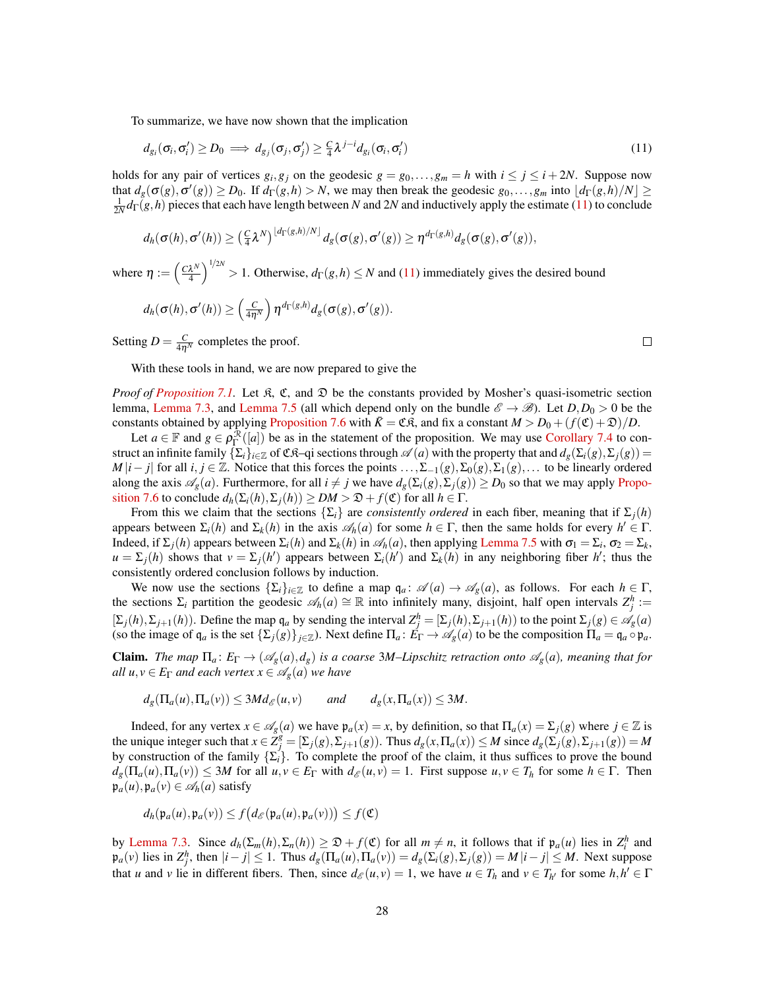To summarize, we have now shown that the implication

<span id="page-27-0"></span>
$$
d_{g_i}(\sigma_i, \sigma'_i) \ge D_0 \implies d_{g_j}(\sigma_j, \sigma'_j) \ge \frac{C}{4} \lambda^{j-i} d_{g_i}(\sigma_i, \sigma'_i)
$$
\n(11)

holds for any pair of vertices  $g_i, g_j$  on the geodesic  $g = g_0, \ldots, g_m = h$  with  $i \le j \le i + 2N$ . Suppose now that  $d_g(\sigma(g), \sigma'(g)) \ge D_0$ . If  $d_\Gamma(g, h) > N$ , we may then break the geodesic  $g_0, \ldots, g_m$  into  $\lfloor d_\Gamma(g, h)/N \rfloor \ge$  $\frac{1}{2N}d_{\Gamma}(g,h)$  pieces that each have length between *N* and 2*N* and inductively apply the estimate [\(11\)](#page-27-0) to conclude

$$
d_h(\sigma(h), \sigma'(h)) \geq \left(\frac{C}{4}\lambda^N\right)^{\lfloor d_{\Gamma}(g,h)/N \rfloor} d_g(\sigma(g), \sigma'(g)) \geq \eta^{d_{\Gamma}(g,h)} d_g(\sigma(g), \sigma'(g)),
$$

where  $\eta := \left(\frac{C\lambda^N}{4}\right)$  $\left(\frac{\lambda^N}{4}\right)^{1/2N} > 1$ . Otherwise,  $d_{\Gamma}(g, h) \leq N$  and [\(11\)](#page-27-0) immediately gives the desired bound

$$
d_h(\sigma(h), \sigma'(h)) \geq \left(\frac{C}{4\eta^N}\right) \eta^{d_{\Gamma}(g,h)} d_g(\sigma(g), \sigma'(g)).
$$

Setting  $D = \frac{C}{4\eta^N}$  completes the proof.

With these tools in hand, we are now prepared to give the

*Proof of [Proposition 7.1.](#page-23-1)* Let  $\mathfrak{K}$ ,  $\mathfrak{C}$ , and  $\mathfrak{D}$  be the constants provided by Mosher's quasi-isometric section lemma, [Lemma 7.3,](#page-24-1) and [Lemma 7.5](#page-25-0) (all which depend only on the bundle  $\mathscr{E} \to \mathscr{B}$ ). Let  $D, D_0 > 0$  be the constants obtained by applying [Proposition 7.6](#page-25-1) with  $\bar{K} = \mathfrak{CR}$ , and fix a constant  $M > D_0 + (f(\mathfrak{C}) + \mathfrak{D})/D$ .

Let  $a \in \mathbb{F}$  and  $g \in \rho_{\Gamma}^{R}([a])$  be as in the statement of the proposition. We may use [Corollary 7.4](#page-24-2) to construct an infinite family  $\{\Sigma_i\}_{i\in\mathbb{Z}}$  of  $\mathfrak{CR}$ -qi sections through  $\mathscr{A}(a)$  with the property that and  $d_g(\Sigma_i(g), \Sigma_j(g))$  =  $M|i-j|$  for all  $i, j \in \mathbb{Z}$ . Notice that this forces the points  $\dots$ ,  $\Sigma_{-1}(g)$ ,  $\Sigma_0(g)$ ,  $\Sigma_1(g)$ ,... to be linearly ordered along the axis  $\mathscr{A}_{g}(a)$ . Furthermore, for all  $i \neq j$  we have  $d_{g}(\Sigma_{i}(g), \Sigma_{j}(g)) \geq D_{0}$  so that we may apply [Propo](#page-25-1)[sition 7.6](#page-25-1) to conclude  $d_h(\Sigma_i(h), \Sigma_i(h)) \geq DM > \mathfrak{D} + f(\mathfrak{C})$  for all  $h \in \Gamma$ .

From this we claim that the sections  $\{\Sigma_i\}$  are *consistently ordered* in each fiber, meaning that if  $\Sigma_i(h)$ appears between  $\Sigma_i(h)$  and  $\Sigma_k(h)$  in the axis  $\mathscr{A}_h(a)$  for some  $h \in \Gamma$ , then the same holds for every  $h' \in \Gamma$ . Indeed, if  $\Sigma_j(h)$  appears between  $\Sigma_i(h)$  and  $\Sigma_k(h)$  in  $\mathscr{A}_h(a)$ , then applying [Lemma 7.5](#page-25-0) with  $\sigma_1 = \Sigma_i$ ,  $\sigma_2 = \Sigma_k$ ,  $u = \sum_j(h)$  shows that  $v = \sum_j(h')$  appears between  $\sum_i(h')$  and  $\sum_k(h)$  in any neighboring fiber *h*<sup>'</sup>; thus the consistently ordered conclusion follows by induction.

We now use the sections  $\{\Sigma_i\}_{i\in\mathbb{Z}}$  to define a map  $\mathfrak{q}_a: \mathcal{A}(a) \to \mathcal{A}_g(a)$ , as follows. For each  $h \in \Gamma$ , the sections  $\Sigma_i$  partition the geodesic  $\mathscr{A}_h(a) \cong \mathbb{R}$  into infinitely many, disjoint, half open intervals  $Z_j^h :=$  $[\Sigma_j(h), \Sigma_{j+1}(h))$ . Define the map  $\mathfrak{q}_a$  by sending the interval  $Z_j^h = [\Sigma_j(h), \Sigma_{j+1}(h))$  to the point  $\Sigma_j(g) \in \mathcal{A}_g(a)$ (so the image of  $\mathfrak{q}_a$  is the set  $\{\Sigma_j(g)\}_{j\in\mathbb{Z}}$ ). Next define  $\Pi_a: E_\Gamma \to \mathscr{A}_g(a)$  to be the composition  $\Pi_a = \mathfrak{q}_a \circ \mathfrak{p}_a$ .

**Claim.** *The map*  $\Pi_a: E_\Gamma \to (\mathscr{A}_g(a), d_g)$  *is a coarse* 3*M–Lipschitz retraction onto*  $\mathscr{A}_g(a)$ *, meaning that for all*  $u, v \in E_{\Gamma}$  *and each vertex*  $x \in \mathcal{A}_{g}(a)$  *we have* 

$$
d_g(\Pi_a(u), \Pi_a(v)) \leq 3Md_{\mathscr{E}}(u, v)
$$
 and  $d_g(x, \Pi_a(x)) \leq 3M$ .

Indeed, for any vertex  $x \in \mathcal{A}_{g}(a)$  we have  $\mathfrak{p}_{a}(x) = x$ , by definition, so that  $\Pi_{a}(x) = \Sigma_{j}(g)$  where  $j \in \mathbb{Z}$  is the unique integer such that  $x \in \mathbb{Z}_j^g = [\Sigma_j(g), \Sigma_{j+1}(g))$ . Thus  $d_g(x, \Pi_a(x)) \leq M$  since  $d_g(\Sigma_j(g), \Sigma_{j+1}(g)) = M$ by construction of the family  $\{\Sigma_i\}$ . To complete the proof of the claim, it thus suffices to prove the bound  $d_g(\Pi_a(u), \Pi_a(v)) \leq 3M$  for all  $u, v \in E_\Gamma$  with  $d_g(u, v) = 1$ . First suppose  $u, v \in T_h$  for some  $h \in \Gamma$ . Then  $\mathfrak{p}_a(u), \mathfrak{p}_a(v) \in \mathscr{A}_h(a)$  satisfy

$$
d_h(\mathfrak{p}_a(u), \mathfrak{p}_a(v)) \le f\big(d_{\mathscr{E}}(\mathfrak{p}_a(u), \mathfrak{p}_a(v))\big) \le f(\mathfrak{C})
$$

by [Lemma 7.3.](#page-24-1) Since  $d_h(\Sigma_m(h), \Sigma_n(h)) \geq \mathfrak{D} + f(\mathfrak{C})$  for all  $m \neq n$ , it follows that if  $\mathfrak{p}_a(u)$  lies in  $Z_i^h$  and  $\mathfrak{p}_a(v)$  lies in  $Z_j^h$ , then  $|i-j| \leq 1$ . Thus  $d_g(\Pi_a(u), \Pi_a(v)) = d_g(\Sigma_i(g), \Sigma_j(g)) = M|i-j| \leq M$ . Next suppose that *u* and *v* lie in different fibers. Then, since  $d_{\mathscr{E}}(u, v) = 1$ , we have  $u \in T_h$  and  $v \in T_{h'}$  for some  $h, h' \in \Gamma$ 

 $\Box$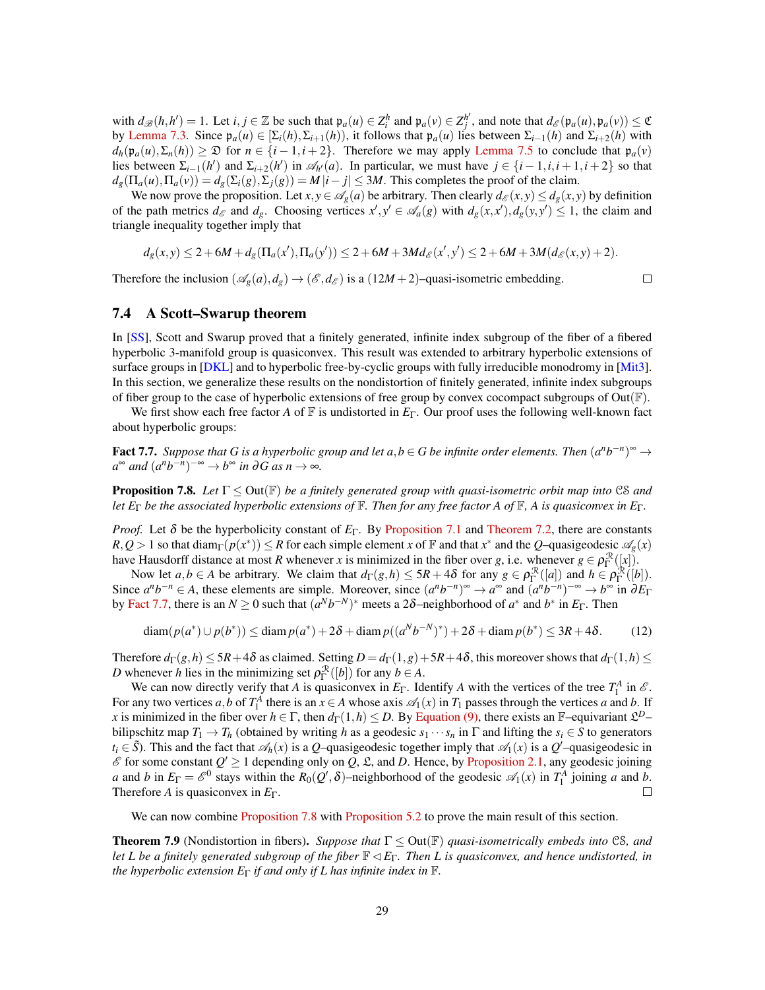with  $d_{\mathscr{B}}(h, h') = 1$ . Let  $i, j \in \mathbb{Z}$  be such that  $\mathfrak{p}_a(u) \in Z_i^h$  and  $\mathfrak{p}_a(v) \in Z_j^h$  $j'$ , and note that  $d_{\mathscr{E}}(\mathfrak{p}_a(u), \mathfrak{p}_a(v)) \leq \mathfrak{C}$ by [Lemma 7.3.](#page-24-1) Since  $p_a(u) \in [\Sigma_i(h), \Sigma_{i+1}(h))$ , it follows that  $p_a(u)$  lies between  $\Sigma_{i-1}(h)$  and  $\Sigma_{i+2}(h)$  with  $d_h(\mathfrak{p}_a(u), \Sigma_n(h)) \geq \mathfrak{D}$  for  $n \in \{i-1, i+2\}$ . Therefore we may apply [Lemma 7.5](#page-25-0) to conclude that  $\mathfrak{p}_a(v)$ lies between  $\Sigma_{i-1}(h')$  and  $\Sigma_{i+2}(h')$  in  $\mathscr{A}_{h'}(a)$ . In particular, we must have  $j \in \{i-1, i, i+1, i+2\}$  so that  $d_g(\Pi_a(u), \Pi_a(v)) = d_g(\Sigma_i(g), \Sigma_i(g)) = M|i-j| \leq 3M$ . This completes the proof of the claim.

We now prove the proposition. Let  $x, y \in \mathcal{A}_g(a)$  be arbitrary. Then clearly  $d_{\mathcal{E}}(x, y) \leq d_g(x, y)$  by definition of the path metrics  $d_{\mathcal{E}}$  and  $d_g$ . Choosing vertices  $x', y' \in \mathcal{A}_a(g)$  with  $d_g(x, x'), d_g(y, y') \leq 1$ , the claim and triangle inequality together imply that

$$
d_g(x,y) \leq 2+6M+d_g(\Pi_a(x'),\Pi_a(y')) \leq 2+6M+3Md_{\mathscr{E}}(x',y') \leq 2+6M+3M(d_{\mathscr{E}}(x,y)+2).
$$

Therefore the inclusion  $(\mathscr{A}_{g}(a), d_{g}) \rightarrow (\mathscr{E}, d_{\mathscr{E}})$  is a  $(12M + 2)$ –quasi-isometric embedding.

<span id="page-28-4"></span> $\Box$ 

### <span id="page-28-0"></span>7.4 A Scott–Swarup theorem

In [\[SS\]](#page-32-3), Scott and Swarup proved that a finitely generated, infinite index subgroup of the fiber of a fibered hyperbolic 3-manifold group is quasiconvex. This result was extended to arbitrary hyperbolic extensions of surface groups in [\[DKL\]](#page-31-5) and to hyperbolic free-by-cyclic groups with fully irreducible monodromy in [\[Mit3\]](#page-32-15). In this section, we generalize these results on the nondistortion of finitely generated, infinite index subgroups of fiber group to the case of hyperbolic extensions of free group by convex cocompact subgroups of  $Out(\mathbb{F})$ .

We first show each free factor *A* of **F** is undistorted in *E*<sub>Γ</sub>. Our proof uses the following well-known fact about hyperbolic groups:

<span id="page-28-2"></span>**Fact 7.7.** Suppose that G is a hyperbolic group and let  $a, b \in G$  be infinite order elements. Then  $(a^n b^{-n})^{\infty} \to$  $a^{\infty}$  and  $(a^n b^{-n})^{-\infty} \to b^{\infty}$  in  $\partial G$  as  $n \to \infty$ .

<span id="page-28-3"></span>Proposition 7.8. *Let* Γ ≤ Out(F) *be a finitely generated group with quasi-isometric orbit map into* CS *and let E*<sup>Γ</sup> *be the associated hyperbolic extensions of* F*. Then for any free factor A of* F*, A is quasiconvex in E*Γ*.*

*Proof.* Let  $\delta$  be the hyperbolicity constant of  $E_{\Gamma}$ . By [Proposition 7.1](#page-23-1) and [Theorem 7.2,](#page-24-0) there are constants  $R, Q > 1$  so that diam<sub> $\Gamma(P(x^*)) \leq R$  for each simple element *x* of  $\mathbb F$  and that  $x^*$  and the *Q*–quasigeodesic  $\mathscr{A}_g(x)$ </sub> have Hausdorff distance at most *R* whenever *x* is minimized in the fiber over *g*, i.e. whenever  $g \in \rho_{\Gamma}^{R}([x])$ .

Now let  $a, b \in A$  be arbitrary. We claim that  $d_{\Gamma}(g, h) \leq 5R + 4\delta$  for any  $g \in \rho_{\Gamma}^{\mathcal{R}}([a])$  and  $h \in \rho_{\Gamma}^{\mathcal{R}}([b])$ . Since  $a^n b^{-n} \in A$ , these elements are simple. Moreover, since  $(a^n b^{-n})^{\infty} \to a^{\infty}$  and  $(a^n b^{-n})^{-\infty} \to b^{\infty}$  in  $\partial E_{\Gamma}$ by [Fact 7.7,](#page-28-2) there is an  $N \ge 0$  such that  $(a^Nb^{-N})^*$  meets a 2 $\delta$ -neighborhood of  $a^*$  and  $b^*$  in  $E_{\Gamma}$ . Then

$$
\operatorname{diam}(p(a^*) \cup p(b^*)) \le \operatorname{diam} p(a^*) + 2\delta + \operatorname{diam} p((a^N b^{-N})^*) + 2\delta + \operatorname{diam} p(b^*) \le 3R + 4\delta. \tag{12}
$$

Therefore  $d_{\Gamma}(g, h) \leq 5R + 4\delta$  as claimed. Setting  $D = d_{\Gamma}(1, g) + 5R + 4\delta$ , this moreover shows that  $d_{\Gamma}(1, h) \leq$ *D* whenever *h* lies in the minimizing set  $\rho_{\Gamma}^{\mathcal{R}}([b])$  for any  $b \in A$ .

We can now directly verify that *A* is quasiconvex in  $E_{\Gamma}$ . Identify *A* with the vertices of the tree  $T_1^A$  in  $\mathcal{E}$ . For any two vertices *a*,*b* of  $T_1^A$  there is an  $x \in A$  whose axis  $\mathcal{A}_1(x)$  in  $T_1$  passes through the vertices *a* and *b*. If *x* is minimized in the fiber over  $h \in \Gamma$ , then  $d_{\Gamma}(1,h) \le D$ . By [Equation \(9\),](#page-23-2) there exists an F–equivariant  $\mathfrak{L}^D$ – bilipschitz map  $T_1 \to T_h$  (obtained by writing *h* as a geodesic  $s_1 \cdots s_n$  in  $\Gamma$  and lifting the  $s_i \in S$  to generators  $t_i \in \tilde{S}$ ). This and the fact that  $\mathscr{A}_h(x)$  is a *Q*–quasigeodesic together imply that  $\mathscr{A}_1(x)$  is a *Q*'–quasigeodesic in  $\mathscr E$  for some constant  $Q' \geq 1$  depending only on  $Q$ ,  $\mathfrak L$ , and  $D$ . Hence, by [Proposition 2.1,](#page-3-0) any geodesic joining *a* and *b* in  $E_{\Gamma} = \mathcal{E}^0$  stays within the  $R_0(Q', \delta)$ –neighborhood of the geodesic  $\mathcal{A}_1(x)$  in  $T_1^A$  joining *a* and *b*. Therefore *A* is quasiconvex in *E*Γ.  $\Box$ 

We can now combine [Proposition 7.8](#page-28-3) with [Proposition 5.2](#page-15-0) to prove the main result of this section.

<span id="page-28-1"></span>Theorem 7.9 (Nondistortion in fibers). *Suppose that* Γ ≤ Out(F) *quasi-isometrically embeds into* CS*, and let L be a finitely generated subgroup of the fiber*  $\mathbb{F}$   $\lhd$  *E*<sub>Γ</sub>*. Then L is quasiconvex, and hence undistorted, in the hyperbolic extension*  $E_{\Gamma}$  *if and only if L has infinite index in*  $\mathbb{F}$ *.*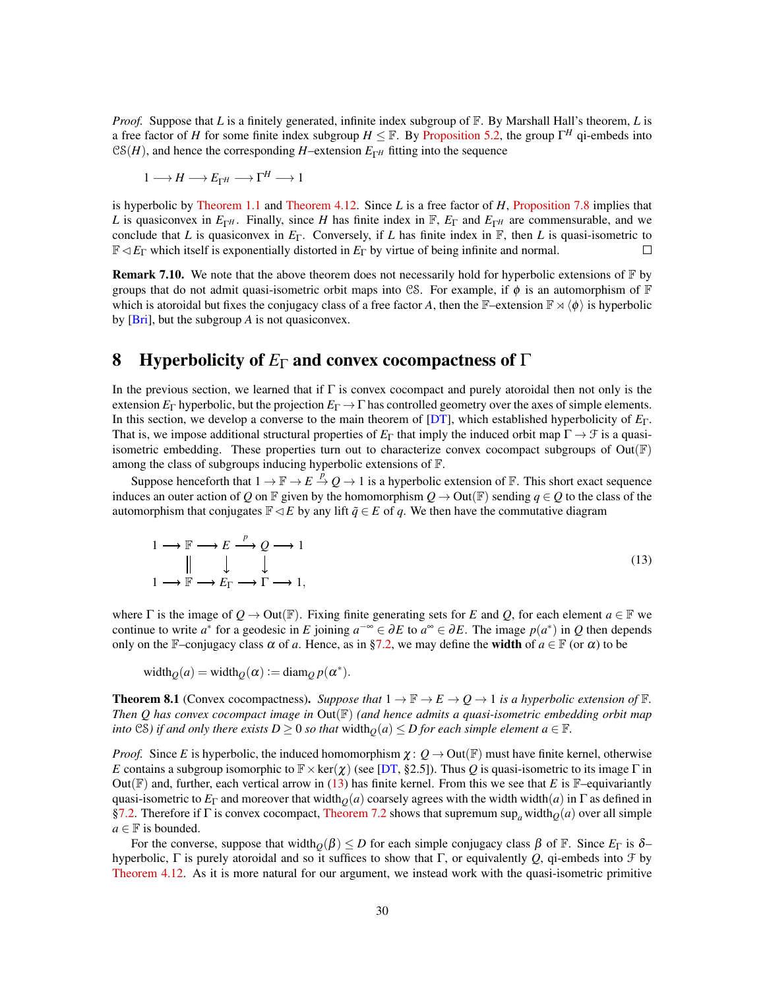*Proof.* Suppose that *L* is a finitely generated, infinite index subgroup of F. By Marshall Hall's theorem, *L* is a free factor of *H* for some finite index subgroup  $H \leq \mathbb{F}$ . By [Proposition 5.2,](#page-15-0) the group  $\Gamma^H$  qi-embeds into  $CS(H)$ , and hence the corresponding *H*–extension  $E_{\Gamma}$  fitting into the sequence

$$
1 \longrightarrow H \longrightarrow E_{\Gamma^H} \longrightarrow \Gamma^H \longrightarrow 1
$$

is hyperbolic by [Theorem 1.1](#page-0-1) and [Theorem 4.12.](#page-14-0) Since *L* is a free factor of *H*, [Proposition 7.8](#page-28-3) implies that *L* is quasiconvex in  $E_{\Gamma^H}$ . Finally, since *H* has finite index in F,  $E_{\Gamma}$  and  $E_{\Gamma^H}$  are commensurable, and we conclude that *L* is quasiconvex in  $E_\Gamma$ . Conversely, if *L* has finite index in  $\mathbb{F}$ , then *L* is quasi-isometric to F✁*E*<sup>Γ</sup> which itself is exponentially distorted in *E*<sup>Γ</sup> by virtue of being infinite and normal. □

**Remark 7.10.** We note that the above theorem does not necessarily hold for hyperbolic extensions of  $\mathbb{F}$  by groups that do not admit quasi-isometric orbit maps into CS. For example, if  $\phi$  is an automorphism of F which is atoroidal but fixes the conjugacy class of a free factor *A*, then the F–extension  $\mathbb{F} \times \langle \phi \rangle$  is hyperbolic by [\[Bri\]](#page-30-9), but the subgroup *A* is not quasiconvex.

# <span id="page-29-1"></span>8 Hyperbolicity of  $E_{\Gamma}$  and convex cocompactness of  $\Gamma$

In the previous section, we learned that if  $\Gamma$  is convex cocompact and purely atoroidal then not only is the extension  $E_{\Gamma}$  hyperbolic, but the projection  $E_{\Gamma} \to \Gamma$  has controlled geometry over the axes of simple elements. In this section, we develop a converse to the main theorem of [\[DT\]](#page-31-0), which established hyperbolicity of *E*Γ. That is, we impose additional structural properties of  $E_{\Gamma}$  that imply the induced orbit map  $\Gamma \to \mathcal{F}$  is a quasiisometric embedding. These properties turn out to characterize convex cocompact subgroups of  $Out(\mathbb{F})$ among the class of subgroups inducing hyperbolic extensions of F.

Suppose henceforth that  $1 \to \mathbb{F} \to E \stackrel{p}{\to} Q \to 1$  is a hyperbolic extension of  $\mathbb{F}$ . This short exact sequence induces an outer action of *Q* on F given by the homomorphism  $Q \to Out(F)$  sending  $q \in Q$  to the class of the automorphism that conjugates  $\mathbb{F} \triangleleft E$  by any lift  $\tilde{q} \in E$  of *q*. We then have the commutative diagram

<span id="page-29-2"></span>
$$
1 \longrightarrow \mathbb{F} \longrightarrow E \stackrel{p}{\longrightarrow} Q \longrightarrow 1
$$
  

$$
\parallel \qquad \downarrow \qquad \downarrow \qquad (13)
$$
  

$$
1 \longrightarrow \mathbb{F} \longrightarrow E_{\Gamma} \longrightarrow \Gamma \longrightarrow 1,
$$

where  $\Gamma$  is the image of  $Q \to Out(\mathbb{F})$ . Fixing finite generating sets for *E* and *Q*, for each element  $a \in \mathbb{F}$  we continue to write *a*<sup>\*</sup> for a geodesic in *E* joining  $a^{-\infty} \in \partial E$  to  $a^{\infty} \in \partial E$ . The image  $p(a^*)$  in *Q* then depends only on the F–conjugacy class  $\alpha$  of *a*. Hence, as in [§7.2,](#page-23-3) we may define the **width** of  $a \in \mathbb{F}$  (or  $\alpha$ ) to be

 $\text{width}_{Q}(a) = \text{width}_{Q}(\alpha) := \text{diam}_{Q} p(\alpha^*).$ 

<span id="page-29-0"></span>**Theorem 8.1** (Convex cocompactness). Suppose that  $1 \to \mathbb{F} \to E \to Q \to 1$  is a hyperbolic extension of  $\mathbb{F}$ . *Then Q has convex cocompact image in* Out(F) *(and hence admits a quasi-isometric embedding orbit map into* CS) if and only there exists  $D \ge 0$  so that width $_0$ (a)  $\le D$  for each simple element  $a \in \mathbb{F}$ .

*Proof.* Since *E* is hyperbolic, the induced homomorphism  $\chi: Q \to \text{Out}(\mathbb{F})$  must have finite kernel, otherwise *E* contains a subgroup isomorphic to  $\mathbb{F} \times \text{ker}(\chi)$  (see [\[DT,](#page-31-0) §2.5]). Thus *Q* is quasi-isometric to its image Γ in Out( $F$ ) and, further, each vertical arrow in [\(13\)](#page-29-2) has finite kernel. From this we see that *E* is  $F$ –equivariantly quasi-isometric to  $E_{\Gamma}$  and moreover that width<sub>*Q*</sub>(*a*) coarsely agrees with the width width(*a*) in  $\Gamma$  as defined in [§7.2.](#page-23-3) Therefore if Γ is convex cocompact, [Theorem 7.2](#page-24-0) shows that supremum sup*<sup>a</sup>* width*Q*(*a*) over all simple  $a \in \mathbb{F}$  is bounded.

For the converse, suppose that width $Q(\beta) \le D$  for each simple conjugacy class  $\beta$  of  $\mathbb F$ . Since  $E_{\Gamma}$  is  $\delta$ hyperbolic, Γ is purely atoroidal and so it suffices to show that Γ, or equivalently *Q*, qi-embeds into F by [Theorem 4.12.](#page-14-0) As it is more natural for our argument, we instead work with the quasi-isometric primitive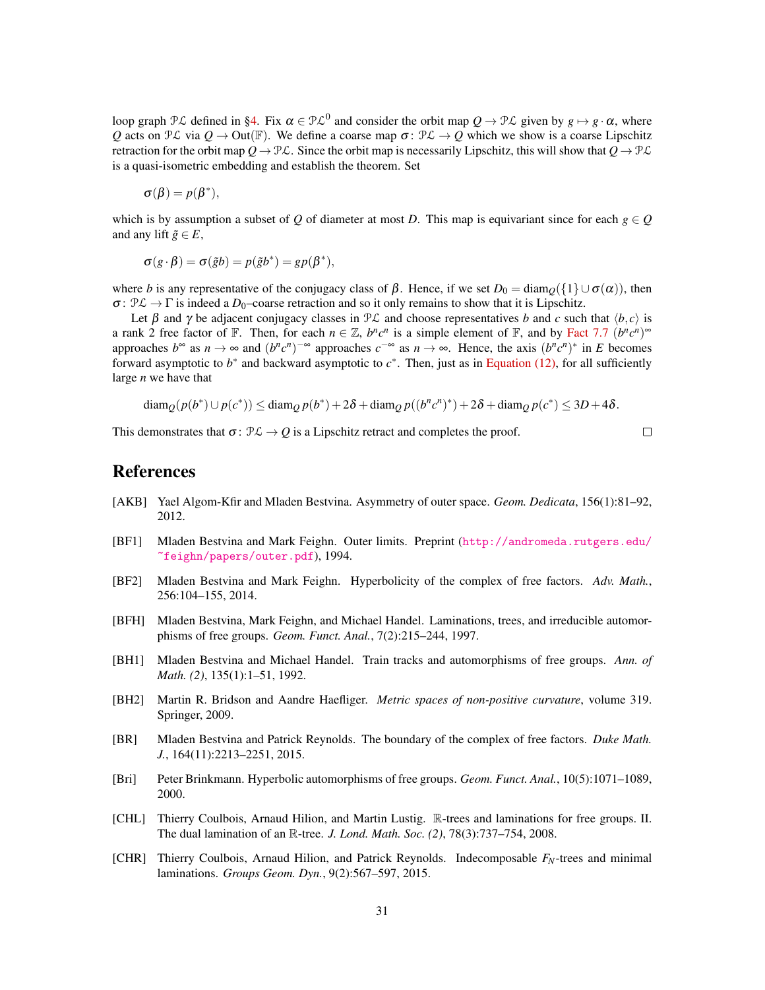loop graph PL defined in [§4.](#page-10-0) Fix  $\alpha \in P\mathcal{L}^0$  and consider the orbit map  $Q \to P\mathcal{L}$  given by  $g \mapsto g \cdot \alpha$ , where *Q* acts on  $\mathcal{PL}$  via  $Q \to \text{Out}(\mathbb{F})$ . We define a coarse map  $\sigma: \mathcal{PL} \to Q$  which we show is a coarse Lipschitz retraction for the orbit map  $Q \to \mathcal{PL}$ . Since the orbit map is necessarily Lipschitz, this will show that  $Q \to \mathcal{PL}$ is a quasi-isometric embedding and establish the theorem. Set

$$
\sigma(\beta) = p(\beta^*),
$$

which is by assumption a subset of  $Q$  of diameter at most  $D$ . This map is equivariant since for each  $g \in Q$ and any lift  $\tilde{g} \in E$ ,

$$
\sigma(g \cdot \beta) = \sigma(\tilde{g}b) = p(\tilde{g}b^*) = gp(\beta^*),
$$

where *b* is any representative of the conjugacy class of  $\beta$ . Hence, if we set  $D_0 = \text{diam}_Q({1} \cup \sigma(\alpha))$ , then  $\sigma: \mathcal{PL} \to \Gamma$  is indeed a *D*<sub>0</sub>–coarse retraction and so it only remains to show that it is Lipschitz.

Let  $\beta$  and  $\gamma$  be adjacent conjugacy classes in PL and choose representatives *b* and *c* such that  $\langle b, c \rangle$  is a rank 2 free factor of  $\mathbb{F}$ . Then, for each  $n \in \mathbb{Z}$ ,  $b^n c^n$  is a simple element of  $\mathbb{F}$ , and by [Fact 7.7](#page-28-2)  $(b^n c^n)^\infty$ approaches  $b^{\infty}$  as  $n \to \infty$  and  $(b^n c^n)^{-\infty}$  approaches  $c^{-\infty}$  as  $n \to \infty$ . Hence, the axis  $(b^n c^n)^*$  in *E* becomes forward asymptotic to  $b^*$  and backward asymptotic to  $c^*$ . Then, just as in [Equation \(12\),](#page-28-4) for all sufficiently large *n* we have that

$$
\operatorname{diam}_Q(p(b^*) \cup p(c^*)) \leq \operatorname{diam}_Q p(b^*) + 2\delta + \operatorname{diam}_Q p((b^n c^n)^*) + 2\delta + \operatorname{diam}_Q p(c^*) \leq 3D + 4\delta.
$$

This demonstrates that  $\sigma: \mathcal{PL} \to Q$  is a Lipschitz retract and completes the proof.

$$
\Box
$$

### References

- <span id="page-30-5"></span>[AKB] Yael Algom-Kfir and Mladen Bestvina. Asymmetry of outer space. *Geom. Dedicata*, 156(1):81–92, 2012.
- <span id="page-30-6"></span>[BF1] Mladen Bestvina and Mark Feighn. Outer limits. Preprint ([http://andromeda.rutgers.edu/](http://andromeda.rutgers.edu/~feighn/papers/outer.pdf) [~feighn/papers/outer.pdf](http://andromeda.rutgers.edu/~feighn/papers/outer.pdf)), 1994.
- <span id="page-30-1"></span>[BF2] Mladen Bestvina and Mark Feighn. Hyperbolicity of the complex of free factors. *Adv. Math.*, 256:104–155, 2014.
- <span id="page-30-2"></span>[BFH] Mladen Bestvina, Mark Feighn, and Michael Handel. Laminations, trees, and irreducible automorphisms of free groups. *Geom. Funct. Anal.*, 7(2):215–244, 1997.
- <span id="page-30-0"></span>[BH1] Mladen Bestvina and Michael Handel. Train tracks and automorphisms of free groups. *Ann. of Math. (2)*, 135(1):1–51, 1992.
- <span id="page-30-3"></span>[BH2] Martin R. Bridson and Aandre Haefliger. *Metric spaces of non-positive curvature*, volume 319. Springer, 2009.
- <span id="page-30-8"></span>[BR] Mladen Bestvina and Patrick Reynolds. The boundary of the complex of free factors. *Duke Math. J.*, 164(11):2213–2251, 2015.
- <span id="page-30-9"></span>[Bri] Peter Brinkmann. Hyperbolic automorphisms of free groups. *Geom. Funct. Anal.*, 10(5):1071–1089, 2000.
- <span id="page-30-4"></span>[CHL] Thierry Coulbois, Arnaud Hilion, and Martin Lustig. R-trees and laminations for free groups. II. The dual lamination of an R-tree. *J. Lond. Math. Soc. (2)*, 78(3):737–754, 2008.
- <span id="page-30-7"></span>[CHR] Thierry Coulbois, Arnaud Hilion, and Patrick Reynolds. Indecomposable *FN*-trees and minimal laminations. *Groups Geom. Dyn.*, 9(2):567–597, 2015.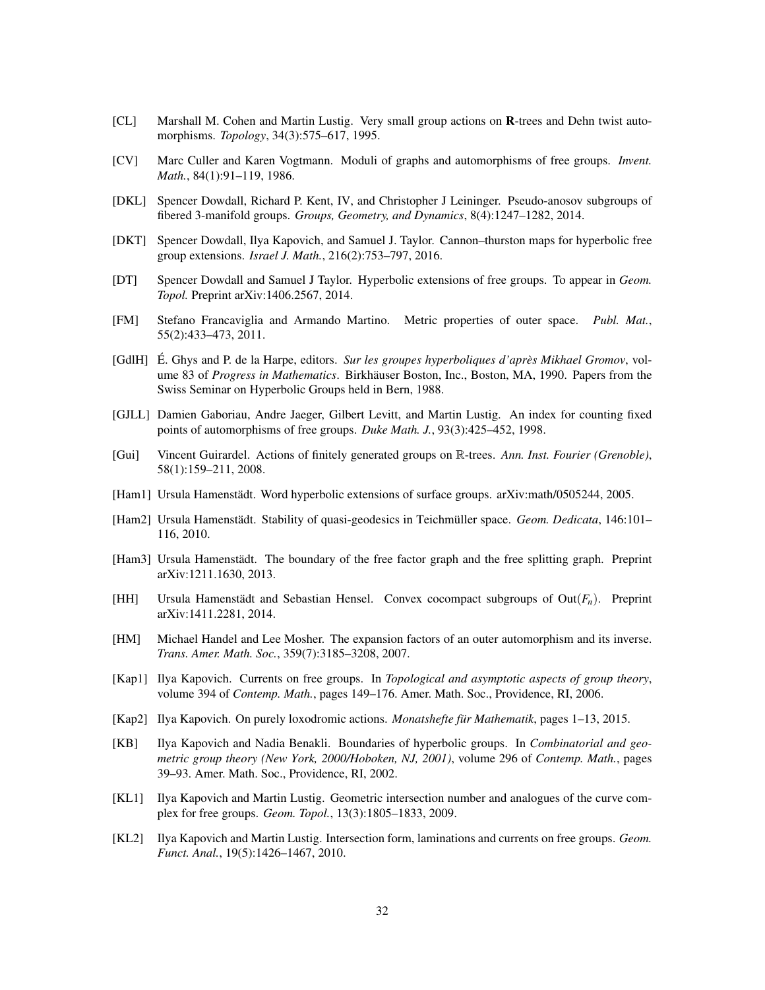- <span id="page-31-10"></span>[CL] Marshall M. Cohen and Martin Lustig. Very small group actions on R-trees and Dehn twist automorphisms. *Topology*, 34(3):575–617, 1995.
- <span id="page-31-12"></span>[CV] Marc Culler and Karen Vogtmann. Moduli of graphs and automorphisms of free groups. *Invent. Math.*, 84(1):91–119, 1986.
- <span id="page-31-5"></span>[DKL] Spencer Dowdall, Richard P. Kent, IV, and Christopher J Leininger. Pseudo-anosov subgroups of fibered 3-manifold groups. *Groups, Geometry, and Dynamics*, 8(4):1247–1282, 2014.
- <span id="page-31-6"></span>[DKT] Spencer Dowdall, Ilya Kapovich, and Samuel J. Taylor. Cannon–thurston maps for hyperbolic free group extensions. *Israel J. Math.*, 216(2):753–797, 2016.
- <span id="page-31-0"></span>[DT] Spencer Dowdall and Samuel J Taylor. Hyperbolic extensions of free groups. To appear in *Geom. Topol.* Preprint arXiv:1406.2567, 2014.
- <span id="page-31-13"></span>[FM] Stefano Francaviglia and Armando Martino. Metric properties of outer space. *Publ. Mat.*, 55(2):433–473, 2011.
- <span id="page-31-7"></span>[GdlH] É. Ghys and P. de la Harpe, editors. *Sur les groupes hyperboliques d'après Mikhael Gromov*, volume 83 of *Progress in Mathematics*. Birkhäuser Boston, Inc., Boston, MA, 1990. Papers from the Swiss Seminar on Hyperbolic Groups held in Bern, 1988.
- <span id="page-31-18"></span>[GJLL] Damien Gaboriau, Andre Jaeger, Gilbert Levitt, and Martin Lustig. An index for counting fixed points of automorphisms of free groups. *Duke Math. J.*, 93(3):425–452, 1998.
- <span id="page-31-11"></span>[Gui] Vincent Guirardel. Actions of finitely generated groups on R-trees. *Ann. Inst. Fourier (Grenoble)*, 58(1):159–211, 2008.
- <span id="page-31-2"></span>[Ham1] Ursula Hamenstädt. Word hyperbolic extensions of surface groups. arXiv:math/0505244, 2005.
- <span id="page-31-17"></span>[Ham2] Ursula Hamenstädt. Stability of quasi-geodesics in Teichmüller space. *Geom. Dedicata*, 146:101– 116, 2010.
- <span id="page-31-16"></span>[Ham3] Ursula Hamenstädt. The boundary of the free factor graph and the free splitting graph. Preprint arXiv:1211.1630, 2013.
- <span id="page-31-1"></span>[HH] Ursula Hamenstädt and Sebastian Hensel. Convex cocompact subgroups of Out(*Fn*). Preprint arXiv:1411.2281, 2014.
- <span id="page-31-14"></span>[HM] Michael Handel and Lee Mosher. The expansion factors of an outer automorphism and its inverse. *Trans. Amer. Math. Soc.*, 359(7):3185–3208, 2007.
- <span id="page-31-9"></span>[Kap1] Ilya Kapovich. Currents on free groups. In *Topological and asymptotic aspects of group theory*, volume 394 of *Contemp. Math.*, pages 149–176. Amer. Math. Soc., Providence, RI, 2006.
- <span id="page-31-4"></span>[Kap2] Ilya Kapovich. On purely loxodromic actions. *Monatshefte für Mathematik*, pages 1–13, 2015.
- <span id="page-31-8"></span>[KB] Ilya Kapovich and Nadia Benakli. Boundaries of hyperbolic groups. In *Combinatorial and geometric group theory (New York, 2000/Hoboken, NJ, 2001)*, volume 296 of *Contemp. Math.*, pages 39–93. Amer. Math. Soc., Providence, RI, 2002.
- <span id="page-31-3"></span>[KL1] Ilya Kapovich and Martin Lustig. Geometric intersection number and analogues of the curve complex for free groups. *Geom. Topol.*, 13(3):1805–1833, 2009.
- <span id="page-31-15"></span>[KL2] Ilya Kapovich and Martin Lustig. Intersection form, laminations and currents on free groups. *Geom. Funct. Anal.*, 19(5):1426–1467, 2010.